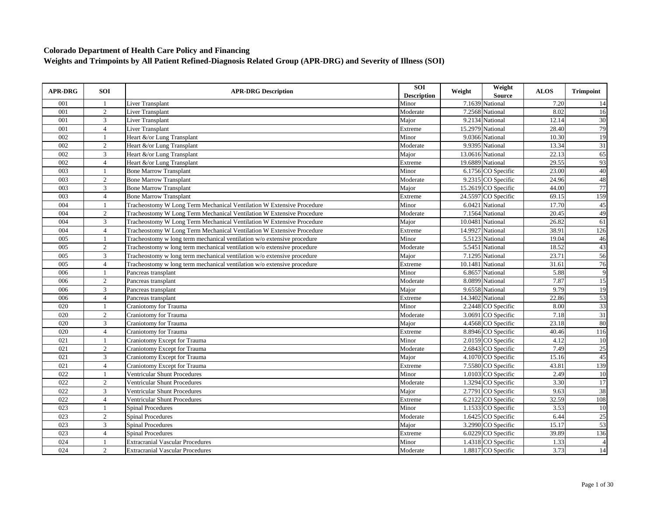| <b>APR-DRG</b>   | <b>SOI</b>     | <b>APR-DRG Description</b>                                              | <b>SOI</b><br><b>Description</b> | Weight | Weight<br><b>Source</b> | <b>ALOS</b> | <b>Trimpoint</b> |
|------------------|----------------|-------------------------------------------------------------------------|----------------------------------|--------|-------------------------|-------------|------------------|
| 001              |                | Liver Transplant                                                        | Minor                            |        | 7.1639 National         | 7.20        | 14               |
| 001              | 2              | <b>Liver Transplant</b>                                                 | Moderate                         |        | 7.2568 National         | 8.02        | 16               |
| 001              | 3              | <b>Liver Transplant</b>                                                 | Maior                            |        | 9.2134 National         | 12.14       | 30               |
| 001              | $\overline{4}$ | <b>Liver Transplant</b>                                                 | Extreme                          |        | 15.2979 National        | 28.40       | 79               |
| 002              |                | Heart &/or Lung Transplant                                              | Minor                            |        | 9.0366 National         | 10.30       | 19               |
| 002              | 2              | Heart &/or Lung Transplant                                              | Moderate                         |        | 9.9395 National         | 13.34       | 31               |
| 002              | 3              | Heart &/or Lung Transplant                                              | Major                            |        | 13.0616 National        | 22.13       | 65               |
| 002              | $\overline{4}$ | Heart &/or Lung Transplant                                              | Extreme                          |        | 19.6889 National        | 29.55       | 93               |
| 003              |                | <b>Bone Marrow Transplant</b>                                           | Minor                            |        | 6.1756 CO Specific      | 23.00       | 40               |
| 003              | 2              | <b>Bone Marrow Transplant</b>                                           | Moderate                         |        | 9.2315 CO Specific      | 24.96       | 48               |
| 003              | 3              | <b>Bone Marrow Transplant</b>                                           | Major                            |        | 15.2619 CO Specific     | 44.00       | 77               |
| 003              | $\overline{4}$ | <b>Bone Marrow Transplant</b>                                           | Extreme                          |        | 24.5597 CO Specific     | 69.15       | 159              |
| 004              | -1             | Tracheostomy W Long Term Mechanical Ventilation W Extensive Procedure   | Minor                            |        | 6.0421 National         | 17.70       | 45               |
| 004              | 2              | Tracheostomy W Long Term Mechanical Ventilation W Extensive Procedure   | Moderate                         |        | 7.1564 National         | 20.45       | 49               |
| 004              | 3              | Tracheostomy W Long Term Mechanical Ventilation W Extensive Procedure   | Major                            |        | 10.0481 National        | 26.82       | 61               |
| 004              | $\overline{4}$ | Tracheostomy W Long Term Mechanical Ventilation W Extensive Procedure   | Extreme                          |        | 14.9927 National        | 38.91       | 126              |
| 005              |                | Tracheostomy w long term mechanical ventilation w/o extensive procedure | Minor                            |        | 5.5123 National         | 19.04       | 46               |
| 005              | $\overline{2}$ | Tracheostomy w long term mechanical ventilation w/o extensive procedure | Moderate                         |        | 5.5451 National         | 18.52       | 43               |
| 005              | 3              | Tracheostomy w long term mechanical ventilation w/o extensive procedure | Major                            |        | 7.1295 National         | 23.71       | 56               |
| 005              | $\overline{4}$ | Tracheostomy w long term mechanical ventilation w/o extensive procedure | Extreme                          |        | 10.1481 National        | 31.61       | 76               |
| 006              | $\mathbf{1}$   | Pancreas transplant                                                     | Minor                            |        | 6.8657 National         | 5.88        | 9                |
| 006              | $\overline{2}$ | Pancreas transplant                                                     | Moderate                         |        | 8.0899 National         | 7.87        | 15               |
| 006              | 3              | Pancreas transplant                                                     | Major                            |        | 9.6558 National         | 9.79        | 19               |
| 006              | $\overline{4}$ | Pancreas transplant                                                     | Extreme                          |        | 14.3402 National        | 22.86       | 53               |
| 020              |                | <b>Craniotomy for Trauma</b>                                            | Minor                            |        | 2.2448 CO Specific      | 8.00        | 33               |
| 020              | 2              | <b>Craniotomy</b> for Trauma                                            | Moderate                         |        | 3.0691 CO Specific      | 7.18        | 31               |
| 020              | 3              | <b>Craniotomy</b> for Trauma                                            | Major                            |        | 4.4568 CO Specific      | 23.18       | 80               |
| 020              | $\overline{4}$ | Craniotomy for Trauma                                                   | Extreme                          |        | 8.8946 CO Specific      | 40.46       | 116              |
| $\overline{021}$ | $\mathbf{1}$   | Craniotomy Except for Trauma                                            | Minor                            |        | 2.0159 CO Specific      | 4.12        | 10               |
| 021              | 2              | Craniotomy Except for Trauma                                            | Moderate                         |        | 2.6843 CO Specific      | 7.49        | 25               |
| 021              | 3              | Craniotomy Except for Trauma                                            | Major                            |        | 4.1070 CO Specific      | 15.16       | 45               |
| 021              | $\overline{4}$ | Craniotomy Except for Trauma                                            | Extreme                          |        | 7.5580 CO Specific      | 43.81       | 139              |
| 022              | $\mathbf{1}$   | <b>Ventricular Shunt Procedures</b>                                     | Minor                            |        | 1.0103 CO Specific      | 2.49        | $\overline{10}$  |
| 022              | 2              | <b>Ventricular Shunt Procedures</b>                                     | Moderate                         |        | 1.3294 CO Specific      | 3.30        | 17               |
| 022              | 3              | <b>Ventricular Shunt Procedures</b>                                     | Major                            |        | 2.7791 CO Specific      | 9.63        | 38               |
| 022              | $\overline{4}$ | <b>Ventricular Shunt Procedures</b>                                     | Extreme                          |        | 6.2122 CO Specific      | 32.59       | 108              |
| 023              | $\overline{1}$ | <b>Spinal Procedures</b>                                                | Minor                            |        | 1.1533 CO Specific      | 3.53        | 10               |
| 023              | 2              | <b>Spinal Procedures</b>                                                | Moderate                         |        | 1.6425 CO Specific      | 6.44        | 25               |
| 023              | 3              | <b>Spinal Procedures</b>                                                | Major                            |        | 3.2990 CO Specific      | 15.17       | 53               |
| 023              | $\overline{4}$ | <b>Spinal Procedures</b>                                                | Extreme                          |        | $6.0229$ CO Specific    | 39.89       | 136              |
| 024              |                | <b>Extracranial Vascular Procedures</b>                                 | Minor                            |        | 1.4318 CO Specific      | 1.33        | $\overline{4}$   |
| 024              | 2              | <b>Extracranial Vascular Procedures</b>                                 | Moderate                         |        | 1.8817 CO Specific      | 3.73        | 14               |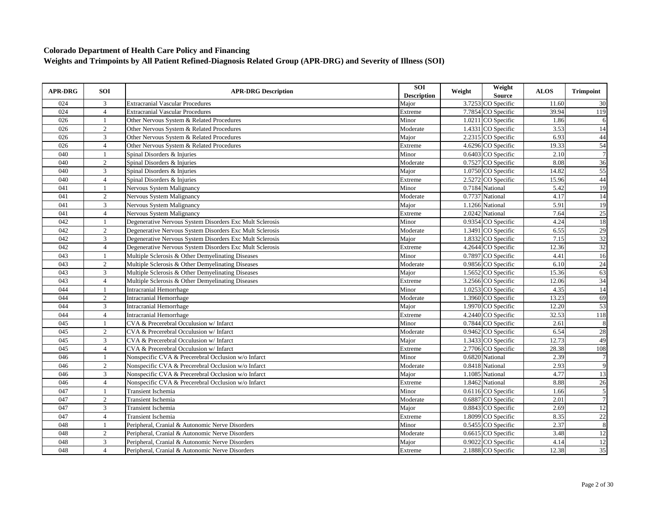| <b>APR-DRG</b> | <b>SOI</b>     | <b>APR-DRG Description</b>                               | <b>SOI</b><br><b>Description</b> | Weight | Weight<br>Source     | <b>ALOS</b> | <b>Trimpoint</b> |
|----------------|----------------|----------------------------------------------------------|----------------------------------|--------|----------------------|-------------|------------------|
| 024            | 3              | <b>Extracranial Vascular Procedures</b>                  | Major                            |        | 3.7253 CO Specific   | 11.60       | 30               |
| 024            | $\overline{4}$ | <b>Extracranial Vascular Procedures</b>                  | Extreme                          |        | 7.7854 CO Specific   | 39.94       | 119              |
| 026            | 1              | Other Nervous System & Related Procedures                | Minor                            |        | 1.0211 CO Specific   | 1.86        | 6                |
| 026            | 2              | Other Nervous System & Related Procedures                | Moderate                         |        | 1.4331 CO Specific   | 3.53        | 14               |
| 026            | 3              | Other Nervous System & Related Procedures                | Major                            |        | 2.2315 CO Specific   | 6.93        | 44               |
| 026            | $\overline{4}$ | Other Nervous System & Related Procedures                | Extreme                          |        | 4.6296 CO Specific   | 19.33       | 54               |
| 040            |                | Spinal Disorders & Injuries                              | Minor                            |        | 0.6403 CO Specific   | 2.10        | $\overline{7}$   |
| 040            | 2              | Spinal Disorders & Injuries                              | Moderate                         |        | 0.7527 CO Specific   | 8.08        | 36               |
| 040            | 3              | Spinal Disorders & Injuries                              | Major                            |        | 1.0750 CO Specific   | 14.82       | 55               |
| 040            | $\overline{4}$ | Spinal Disorders & Injuries                              | Extreme                          |        | 2.5272 CO Specific   | 15.96       | 44               |
| 041            | $\mathbf{1}$   | Nervous System Malignancy                                | Minor                            |        | 0.7184 National      | 5.42        | 19               |
| 041            | $\overline{2}$ | Nervous System Malignancy                                | Moderate                         |        | 0.7737 National      | 4.17        | 14               |
| 041            | 3              | Nervous System Malignancy                                | Major                            |        | 1.1266 National      | 5.91        | $\overline{19}$  |
| 041            | $\overline{4}$ | Nervous System Malignancy                                | Extreme                          |        | 2.0242 National      | 7.64        | $\overline{25}$  |
| 042            |                | Degenerative Nervous System Disorders Exc Mult Sclerosis | Minor                            |        | 0.9354 CO Specific   | 4.24        | 18               |
| 042            | $\overline{2}$ | Degenerative Nervous System Disorders Exc Mult Sclerosis | Moderate                         |        | 1.3491 CO Specific   | 6.55        | 29               |
| 042            | 3              | Degenerative Nervous System Disorders Exc Mult Sclerosis | Major                            |        | 1.8332 CO Specific   | 7.15        | 32               |
| 042            | $\overline{4}$ | Degenerative Nervous System Disorders Exc Mult Sclerosis | Extreme                          |        | 4.2644 CO Specific   | 12.36       | $\overline{32}$  |
| 043            | 1              | Multiple Sclerosis & Other Demyelinating Diseases        | Minor                            |        | 0.7897 CO Specific   | 4.41        | 16               |
| 043            | 2              | Multiple Sclerosis & Other Demyelinating Diseases        | Moderate                         |        | 0.9856 CO Specific   | 6.10        | $\overline{24}$  |
| 043            | $\mathfrak{Z}$ | Multiple Sclerosis & Other Demyelinating Diseases        | Major                            |        | 1.5652 CO Specific   | 15.36       | 63               |
| 043            | $\overline{4}$ | Multiple Sclerosis & Other Demyelinating Diseases        | Extreme                          |        | 3.2566 CO Specific   | 12.06       | 34               |
| 044            | $\mathbf{1}$   | <b>Intracranial Hemorrhage</b>                           | Minor                            |        | 1.0253 CO Specific   | 4.35        | 14               |
| 044            | 2              | <b>Intracranial Hemorrhage</b>                           | Moderate                         |        | 1.3960 CO Specific   | 13.23       | 69               |
| 044            | 3              | Intracranial Hemorrhage                                  | Major                            |        | 1.9970 CO Specific   | 12.20       | 53               |
| 044            | $\overline{4}$ | <b>Intracranial Hemorrhage</b>                           | Extreme                          |        | 4.2440 CO Specific   | 32.53       | 118              |
| 045            | $\overline{1}$ | CVA & Precerebral Occulusion w/ Infarct                  | Minor                            |        | 0.7844 CO Specific   | 2.61        | 8                |
| 045            | $\overline{2}$ | CVA & Precerebral Occulusion w/ Infarct                  | Moderate                         |        | 0.9462 CO Specific   | 6.54        | 28               |
| 045            | 3              | CVA & Precerebral Occulusion w/ Infarct                  | Major                            |        | 1.3433 CO Specific   | 12.73       | 49               |
| 045            | $\overline{4}$ | CVA & Precerebral Occulusion w/ Infarct                  | Extreme                          |        | 2.7706 CO Specific   | 28.38       | 108              |
| 046            |                | Nonspecific CVA & Precerebral Occlusion w/o Infarct      | Minor                            |        | 0.6820 National      | 2.39        | $\overline{7}$   |
| 046            | 2              | Nonspecific CVA & Precerebral Occlusion w/o Infarct      | Moderate                         |        | 0.8418 National      | 2.93        | 9                |
| 046            | 3              | Nonspecific CVA & Precerebral Occlusion w/o Infarct      | Major                            |        | 1.1085 National      | 4.77        | 13               |
| 046            | $\overline{4}$ | Nonspecific CVA & Precerebral Occlusion w/o Infarct      | Extreme                          |        | 1.8462 National      | 8.88        | 26               |
| 047            | $\overline{1}$ | <b>Transient Ischemia</b>                                | Minor                            |        | 0.6116 CO Specific   | 1.66        | $\overline{5}$   |
| 047            | $\overline{2}$ | <b>Transient Ischemia</b>                                | Moderate                         |        | 0.6887 CO Specific   | 2.01        | $\overline{7}$   |
| 047            | 3              | <b>Transient Ischemia</b>                                | Major                            |        | 0.8843 CO Specific   | 2.69        | 12               |
| 047            | $\overline{4}$ | Transient Ischemia                                       | Extreme                          |        | 1.8099 CO Specific   | 8.35        | $\overline{22}$  |
| 048            | $\mathbf{1}$   | Peripheral, Cranial & Autonomic Nerve Disorders          | Minor                            |        | 0.5455 CO Specific   | 2.37        | $\overline{8}$   |
| 048            | $\overline{2}$ | Peripheral, Cranial & Autonomic Nerve Disorders          | Moderate                         |        | 0.6615 CO Specific   | 3.48        | 12               |
| 048            | $\overline{3}$ | Peripheral, Cranial & Autonomic Nerve Disorders          | Maior                            |        | $0.9022$ CO Specific | 4.14        | $\overline{12}$  |
| 048            | $\overline{4}$ | Peripheral, Cranial & Autonomic Nerve Disorders          | Extreme                          |        | 2.1888 CO Specific   | 12.38       | $\overline{35}$  |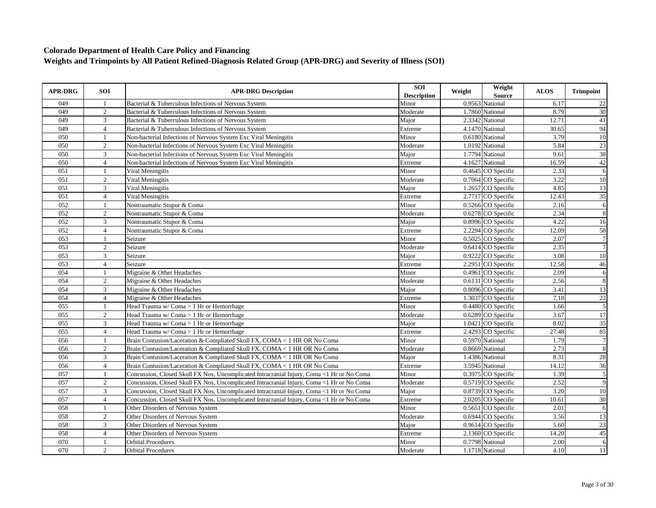| <b>APR-DRG</b> | <b>SOI</b>     | <b>APR-DRG Description</b>                                                                | SOI<br><b>Description</b> | Weight | Weight<br><b>Source</b>         | <b>ALOS</b> | <b>Trimpoint</b> |
|----------------|----------------|-------------------------------------------------------------------------------------------|---------------------------|--------|---------------------------------|-------------|------------------|
| 049            | -1             | Bacterial & Tuberculous Infections of Nervous System                                      | Minor                     |        | 0.9563 National                 | 6.17        | 22               |
| 049            | $\overline{2}$ | Bacterial & Tuberculous Infections of Nervous System                                      | Moderate                  |        | 1.7860 National                 | 8.79        | 30               |
| 049            | 3              | Bacterial & Tuberculous Infections of Nervous System                                      | Major                     |        | 2.3342 National                 | 12.71       | 41               |
| 049            | $\overline{4}$ | Bacterial & Tuberculous Infections of Nervous System                                      | Extreme                   |        | 4.1470 National                 | 30.65       | 94               |
| 050            | $\mathbf{1}$   | Non-bacterial Infections of Nervous System Exc Viral Meningitis                           | Minor                     |        | 0.6180 National                 | 3.79        | 10               |
| 050            | $\overline{2}$ | Non-bacterial Infections of Nervous System Exc Viral Meningitis                           | Moderate                  |        | 1.0192 National                 | 5.84        | 23               |
| 050            | 3              | Non-bacterial Infections of Nervous System Exc Viral Meningitis                           | Major                     |        | 1.7794 National                 | 9.61        | 38               |
| 050            | $\overline{4}$ | Non-bacterial Infections of Nervous System Exc Viral Meningitis                           | Extreme                   |        | 4.1627 National                 | 16.59       | 42               |
| 051            |                | Viral Meningitis                                                                          | Minor                     |        | 0.4645 CO Specific              | 2.33        | 6                |
| 051            | $\overline{2}$ | Viral Meningitis                                                                          | Moderate                  |        | 0.7064 CO Specific              | 3.22        | 10               |
| 051            | 3              | Viral Meningitis                                                                          | Major                     |        | 1.2657 CO Specific              | 4.85        | 13               |
| 051            | $\overline{4}$ | Viral Meningitis                                                                          | Extreme                   |        | 2.7717 CO Specific              | 12.43       | 35               |
| 052            | $\mathbf{1}$   | Nontraumatic Stupor & Coma                                                                | Minor                     |        | 0.5266 CO Specific              | 2.16        | 6                |
| 052            | $\overline{2}$ | Nontraumatic Stupor & Coma                                                                | Moderate                  |        | 0.6278 CO Specific              | 2.34        | 8                |
| 052            | 3              | Nontraumatic Stupor & Coma                                                                | Major                     |        | $\overline{0.8996}$ CO Specific | 4.22        | 16               |
| 052            | $\overline{4}$ | Nontraumatic Stupor & Coma                                                                | Extreme                   |        | 2.2294 CO Specific              | 12.09       | 58               |
| 053            |                | Seizure                                                                                   | Minor                     |        | 0.5025 CO Specific              | 2.07        | $\overline{7}$   |
| 053            | 2              | Seizure                                                                                   | Moderate                  |        | 0.6414 CO Specific              | 2.35        | $\overline{7}$   |
| 053            | 3              | Seizure                                                                                   | Maior                     |        | 0.9222 CO Specific              | 3.08        | 10               |
| 053            | $\overline{4}$ | Seizure                                                                                   | Extreme                   |        | 2.2951 CO Specific              | 12.58       | 46               |
| 054            | $\mathbf{1}$   | Migraine & Other Headaches                                                                | Minor                     |        | 0.4961 CO Specific              | 2.09        | $\overline{6}$   |
| 054            | $\overline{2}$ | Migraine & Other Headaches                                                                | Moderate                  |        | 0.6131 CO Specific              | 2.56        | $\overline{8}$   |
| 054            | 3              | Migraine & Other Headaches                                                                | Major                     |        | 0.8096 CO Specific              | 3.41        | 13               |
| 054            | $\overline{4}$ | Migraine & Other Headaches                                                                | Extreme                   |        | 1.3037 CO Specific              | 7.18        | 22               |
| 055            |                | Head Trauma w/ Coma > 1 Hr or Hemorrhage                                                  | Minor                     |        | 0.4480 CO Specific              | 1.66        | $\overline{5}$   |
| 055            | $\overline{2}$ | Head Trauma w/ Coma > 1 Hr or Hemorrhage                                                  | Moderate                  |        | 0.6289 CO Specific              | 3.67        | $\overline{17}$  |
| 055            | 3              | Head Trauma w/ Coma > 1 Hr or Hemorrhage                                                  | Major                     |        | 1.0421 CO Specific              | 8.02        | $\overline{35}$  |
| 055            | $\overline{4}$ | Head Trauma w/ Coma > 1 Hr or Hemorrhage                                                  | Extreme                   |        | 2.4293 CO Specific              | 27.48       | 85               |
| 056            | $\mathbf{1}$   | Brain Contusion/Laceration & Compliated Skull FX, COMA < 1 HR OR No Coma                  | Minor                     |        | 0.5970 National                 | 1.79        | $\overline{7}$   |
| 056            | 2              | Brain Contusion/Laceration & Compliated Skull FX, COMA < 1 HR OR No Coma                  | Moderate                  |        | 0.8669 National                 | 2.73        | 8                |
| 056            | 3              | Brain Contusion/Laceration & Compliated Skull FX, COMA < 1 HR OR No Coma                  | Major                     |        | 1.4386 National                 | 8.31        | 28               |
| 056            | $\overline{4}$ | Brain Contusion/Laceration & Compliated Skull FX, COMA < 1 HR OR No Coma                  | Extreme                   |        | 3.5945 National                 | 14.12       | 36               |
| 057            | $\mathbf{1}$   | Concussion, Closed Skull FX Nos, Uncomplicated Intracranial Injury, Coma <1 Hr or No Coma | Minor                     |        | 0.3975 CO Specific              | 1.39        | $\overline{5}$   |
| 057            | 2              | Concussion, Closed Skull FX Nos, Uncomplicated Intracranial Injury, Coma <1 Hr or No Coma | Moderate                  |        | $0.5719$ CO Specific            | 2.52        | 9                |
| 057            | 3              | Concussion, Closed Skull FX Nos, Uncomplicated Intracranial Injury, Coma <1 Hr or No Coma | Major                     |        | 0.8739 CO Specific              | 3.20        | 10               |
| 057            | $\overline{4}$ | Concussion, Closed Skull FX Nos, Uncomplicated Intracranial Injury, Coma <1 Hr or No Coma | Extreme                   |        | 2.0205 CO Specific              | 10.61       | $\overline{30}$  |
| 058            |                | Other Disorders of Nervous System                                                         | Minor                     |        | 0.5651 CO Specific              | 2.01        | 6                |
| 058            | 2              | Other Disorders of Nervous System                                                         | Moderate                  |        | 0.6944 CO Specific              | 3.56        | 13               |
| 058            | 3              | Other Disorders of Nervous System                                                         | Major                     |        | 0.9614 CO Specific              | 5.60        | 23               |
| 058            | $\overline{4}$ | Other Disorders of Nervous System                                                         | Extreme                   |        | 2.1360 CO Specific              | 14.20       | 45               |
| 070            | $\mathbf{1}$   | <b>Orbital Procedures</b>                                                                 | Minor                     |        | 0.7798 National                 | 2.00        | $\overline{6}$   |
| 070            | $\overline{2}$ | <b>Orbital Procedures</b>                                                                 | Moderate                  |        | 1.1718 National                 | 4.10        | 11               |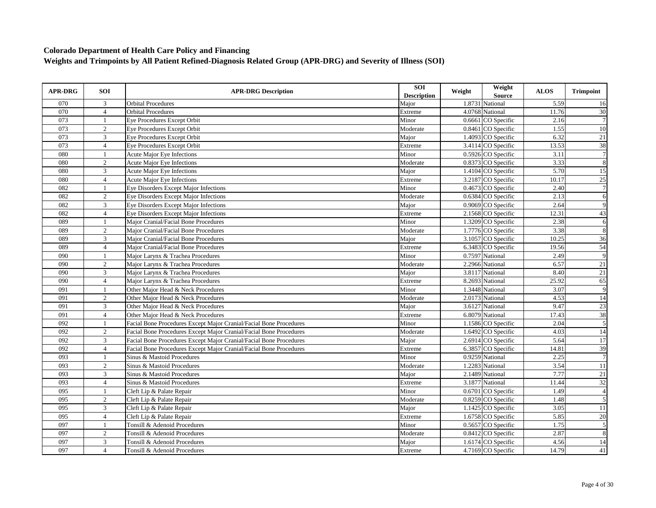| <b>APR-DRG</b> | SOI            | <b>APR-DRG Description</b>                                         | <b>SOI</b><br><b>Description</b> | Weight | Weight<br><b>Source</b> | <b>ALOS</b> | <b>Trimpoint</b>        |
|----------------|----------------|--------------------------------------------------------------------|----------------------------------|--------|-------------------------|-------------|-------------------------|
| 070            | 3              | <b>Orbital Procedures</b>                                          | Major                            |        | 1.8731 National         | 5.59        | 16                      |
| 070            | $\overline{4}$ | <b>Orbital Procedures</b>                                          | Extreme                          |        | 4.0768 National         | 11.76       | $\overline{30}$         |
| 073            | -1             | Eye Procedures Except Orbit                                        | Minor                            |        | 0.6661 CO Specific      | 2.16        | $\overline{7}$          |
| 073            | 2              | Eye Procedures Except Orbit                                        | Moderate                         |        | 0.8461 CO Specific      | 1.55        | 10                      |
| 073            | 3              | Eye Procedures Except Orbit                                        | Major                            |        | 1.4093 CO Specific      | 6.32        | $21\,$                  |
| 073            | $\overline{4}$ | Eye Procedures Except Orbit                                        | Extreme                          |        | 3.4114 CO Specific      | 13.53       | 38                      |
| 080            | $\overline{1}$ | Acute Major Eye Infections                                         | Minor                            |        | 0.5926 CO Specific      | 3.11        | $\overline{7}$          |
| 080            | 2              | <b>Acute Major Eye Infections</b>                                  | Moderate                         |        | 0.8373 CO Specific      | 3.33        | $\overline{8}$          |
| 080            | 3              | <b>Acute Major Eye Infections</b>                                  | Major                            |        | 1.4104 CO Specific      | 5.70        | 15                      |
| 080            | $\overline{4}$ | <b>Acute Major Eye Infections</b>                                  | Extreme                          |        | 3.2187 CO Specific      | 10.17       | $25\,$                  |
| 082            |                | Eye Disorders Except Major Infections                              | Minor                            |        | 0.4673 CO Specific      | 2.40        | $\overline{7}$          |
| 082            | $\overline{2}$ | Eye Disorders Except Major Infections                              | Moderate                         |        | 0.6384 CO Specific      | 2.13        | 6                       |
| 082            | 3              | Eye Disorders Except Major Infections                              | Major                            |        | 0.9069 CO Specific      | 2.64        | 9                       |
| 082            | $\overline{4}$ | Eye Disorders Except Major Infections                              | Extreme                          |        | 2.1568 CO Specific      | 12.31       | 43                      |
| 089            | $\mathbf{1}$   | Major Cranial/Facial Bone Procedures                               | Minor                            |        | 1.3209 CO Specific      | 2.38        | 6                       |
| 089            | 2              | Major Cranial/Facial Bone Procedures                               | Moderate                         |        | 1.7776 CO Specific      | 3.38        | $\,8\,$                 |
| 089            | 3              | Major Cranial/Facial Bone Procedures                               | Major                            |        | 3.1057 CO Specific      | 10.25       | 36                      |
| 089            | $\overline{4}$ | Major Cranial/Facial Bone Procedures                               | Extreme                          |        | 6.3483 CO Specific      | 19.56       | 54                      |
| 090            |                | Major Larynx & Trachea Procedures                                  | Minor                            |        | 0.7597 National         | 2.49        | 9                       |
| 090            | 2              | Major Larynx & Trachea Procedures                                  | Moderate                         |        | 2.2966 National         | 6.57        | 21                      |
| 090            | 3              | Major Larynx & Trachea Procedures                                  | Major                            |        | 3.8117 National         | 8.40        | 21                      |
| 090            | $\overline{4}$ | Maior Larvnx & Trachea Procedures                                  | Extreme                          |        | 8.2693 National         | 25.92       | 65                      |
| 091            | -1             | Other Major Head & Neck Procedures                                 | Minor                            |        | 1.3448 National         | 3.07        | $\overline{9}$          |
| 091            | $\overline{2}$ | Other Major Head & Neck Procedures                                 | Moderate                         |        | 2.0173 National         | 4.53        | 14                      |
| 091            | 3              | Other Major Head & Neck Procedures                                 | Major                            |        | 3.6127 National         | 9.47        | 23                      |
| 091            | $\overline{4}$ | Other Major Head & Neck Procedures                                 | Extreme                          |        | 6.8079 National         | 17.43       | 38                      |
| 092            |                | Facial Bone Procedures Except Major Cranial/Facial Bone Procedures | Minor                            |        | 1.1586 CO Specific      | 2.04        | $\overline{5}$          |
| 092            | 2              | Facial Bone Procedures Except Major Cranial/Facial Bone Procedures | Moderate                         |        | 1.6492 CO Specific      | 4.03        | 14                      |
| 092            | 3              | Facial Bone Procedures Except Major Cranial/Facial Bone Procedures | Major                            |        | 2.6914 CO Specific      | 5.64        | 17                      |
| 092            | $\overline{4}$ | Facial Bone Procedures Except Major Cranial/Facial Bone Procedures | Extreme                          |        | 6.3857 CO Specific      | 14.81       | 39                      |
| 093            | -1             | Sinus & Mastoid Procedures                                         | Minor                            |        | 0.9259 National         | 2.25        | $\overline{7}$          |
| 093            | $\overline{2}$ | Sinus & Mastoid Procedures                                         | Moderate                         |        | 1.2283 National         | 3.54        | 11                      |
| 093            | 3              | Sinus & Mastoid Procedures                                         | Major                            |        | 2.1489 National         | 7.77        | $21\,$                  |
| 093            | $\overline{4}$ | Sinus & Mastoid Procedures                                         | Extreme                          |        | 3.1877 National         | 11.44       | 32                      |
| 095            | $\mathbf{1}$   | Cleft Lip & Palate Repair                                          | Minor                            |        | 0.6701 CO Specific      | 1.49        | $\overline{4}$          |
| 095            | 2              | Cleft Lip & Palate Repair                                          | Moderate                         |        | 0.8259 CO Specific      | 1.48        | $\overline{5}$          |
| 095            | 3              | Cleft Lip & Palate Repair                                          | Major                            |        | 1.1425 CO Specific      | 3.05        | $11$                    |
| 095            | $\overline{4}$ | Cleft Lip & Palate Repair                                          | Extreme                          |        | 1.6758 CO Specific      | 5.85        | 20                      |
| 097            | $\mathbf{1}$   | Tonsill & Adenoid Procedures                                       | Minor                            |        | 0.5657 CO Specific      | 1.75        | $\overline{\mathbf{5}}$ |
| 097            | 2              | Tonsill & Adenoid Procedures                                       | Moderate                         |        | 0.8412 CO Specific      | 2.87        | $\,8\,$                 |
| 097            | 3              | Tonsill & Adenoid Procedures                                       | Major                            |        | 1.6174 CO Specific      | 4.56        | 14                      |
| 097            | $\overline{4}$ | Tonsill & Adenoid Procedures                                       | Extreme                          |        | 4.7169 CO Specific      | 14.79       | 41                      |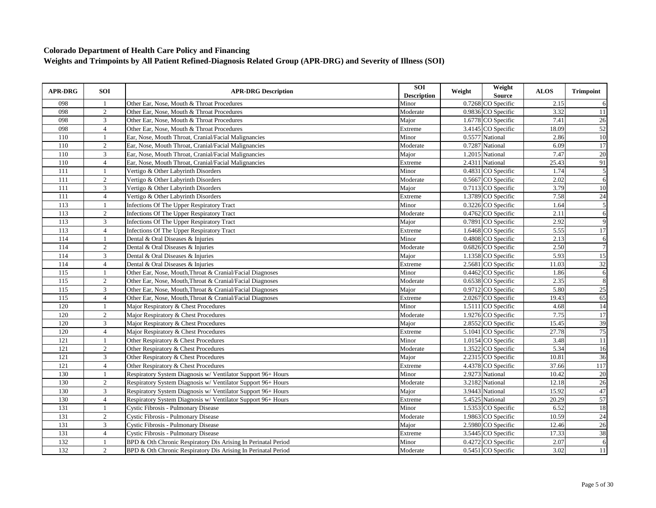| <b>APR-DRG</b>   | <b>SOI</b>     | <b>APR-DRG Description</b>                                    | SOI<br><b>Description</b> | Weight | Weight<br>Source     | <b>ALOS</b> | <b>Trimpoint</b> |
|------------------|----------------|---------------------------------------------------------------|---------------------------|--------|----------------------|-------------|------------------|
| 098              | $\mathbf{1}$   | Other Ear, Nose, Mouth & Throat Procedures                    | Minor                     |        | 0.7268 CO Specific   | 2.15        | 6                |
| 098              | $\sqrt{2}$     | Other Ear, Nose, Mouth & Throat Procedures                    | Moderate                  |        | 0.9836 CO Specific   | 3.32        | 11               |
| 098              | 3              | Other Ear, Nose, Mouth & Throat Procedures                    | Major                     |        | 1.6778 CO Specific   | 7.41        | 26               |
| 098              | $\overline{4}$ | Other Ear, Nose, Mouth & Throat Procedures                    | Extreme                   |        | 3.4145 CO Specific   | 18.09       | 52               |
| 110              |                | Ear, Nose, Mouth Throat, Cranial/Facial Malignancies          | Minor                     |        | 0.5577 National      | 2.86        | 10               |
| 110              | $\overline{2}$ | Ear, Nose, Mouth Throat, Cranial/Facial Malignancies          | Moderate                  |        | 0.7287 National      | 6.09        | $\overline{17}$  |
| 110              | 3              | Ear, Nose, Mouth Throat, Cranial/Facial Malignancies          | Major                     |        | 1.2015 National      | 7.47        | 20               |
| 110              | $\overline{4}$ | Ear, Nose, Mouth Throat, Cranial/Facial Malignancies          | Extreme                   |        | 2.4311 National      | 25.43       | 91               |
| 111              | -1             | Vertigo & Other Labyrinth Disorders                           | Minor                     |        | 0.4831 CO Specific   | 1.74        | 5                |
| 111              | $\overline{2}$ | Vertigo & Other Labyrinth Disorders                           | Moderate                  |        | 0.5667 CO Specific   | 2.02        | 6                |
| 111              | 3              | Vertigo & Other Labyrinth Disorders                           | Major                     |        | 0.7113 CO Specific   | 3.79        | 10               |
| 111              | $\overline{4}$ | Vertigo & Other Labyrinth Disorders                           | Extreme                   |        | 1.3789 CO Specific   | 7.58        | $\overline{24}$  |
| 113              | $\mathbf{1}$   | <b>Infections Of The Upper Respiratory Tract</b>              | Minor                     |        | 0.3226 CO Specific   | 1.64        | 5                |
| 113              | 2              | Infections Of The Upper Respiratory Tract                     | Moderate                  |        | 0.4762 CO Specific   | 2.11        | 6                |
| 113              | 3              | Infections Of The Upper Respiratory Tract                     | Major                     |        | 0.7891 CO Specific   | 2.92        | 9                |
| 113              | $\overline{4}$ | <b>Infections Of The Upper Respiratory Tract</b>              | Extreme                   |        | 1.6468 CO Specific   | 5.55        | 17               |
| 114              |                | Dental & Oral Diseases & Injuries                             | Minor                     |        | 0.4808 CO Specific   | 2.13        | 6                |
| 114              | 2              | Dental & Oral Diseases & Injuries                             | Moderate                  |        | 0.6826 CO Specific   | 2.50        | $\overline{7}$   |
| 114              | 3              | Dental & Oral Diseases & Injuries                             | Major                     |        | 1.1358 CO Specific   | 5.93        | $\overline{15}$  |
| 114              | $\overline{4}$ | Dental & Oral Diseases & Injuries                             | Extreme                   |        | 2.5681 CO Specific   | 11.03       | $\overline{32}$  |
| 115              | $\overline{1}$ | Other Ear, Nose, Mouth, Throat & Cranial/Facial Diagnoses     | Minor                     |        | 0.4462 CO Specific   | 1.86        | $\overline{6}$   |
| 115              | $\overline{2}$ | Other Ear, Nose, Mouth, Throat & Cranial/Facial Diagnoses     | Moderate                  |        | 0.6538 CO Specific   | 2.35        | 8                |
| 115              | 3              | Other Ear, Nose, Mouth, Throat & Cranial/Facial Diagnoses     | Maior                     |        | $0.9712$ CO Specific | 5.80        | 25               |
| 115              | $\overline{4}$ | Other Ear, Nose, Mouth, Throat & Cranial/Facial Diagnoses     | Extreme                   |        | 2.0267 CO Specific   | 19.43       | 65               |
| 120              |                | Major Respiratory & Chest Procedures                          | Minor                     |        | 1.5111 CO Specific   | 4.68        | $\overline{14}$  |
| 120              | 2              | Major Respiratory & Chest Procedures                          | Moderate                  |        | 1.9276 CO Specific   | 7.75        | $\overline{17}$  |
| 120              | 3              | Major Respiratory & Chest Procedures                          | Major                     |        | 2.8552 CO Specific   | 15.45       | 39               |
| 120              | $\overline{4}$ | Major Respiratory & Chest Procedures                          | Extreme                   |        | 5.1041 CO Specific   | 27.78       | 75               |
| 121              | $\mathbf{1}$   | Other Respiratory & Chest Procedures                          | Minor                     |        | 1.0154 CO Specific   | 3.48        | $\overline{11}$  |
| 121              | 2              | Other Respiratory & Chest Procedures                          | Moderate                  |        | 1.3522 CO Specific   | 5.34        | 16               |
| 121              | 3              | Other Respiratory & Chest Procedures                          | Major                     |        | 2.2315 CO Specific   | 10.81       | 36               |
| 121              | $\overline{4}$ | Other Respiratory & Chest Procedures                          | Extreme                   |        | 4.4378 CO Specific   | 37.66       | 117              |
| 130              | $\mathbf{1}$   | Respiratory System Diagnosis w/ Ventilator Support 96+ Hours  | Minor                     |        | 2.9273 National      | 10.42       | 20               |
| 130              | $\overline{2}$ | Respiratory System Diagnosis w/ Ventilator Support 96+ Hours  | Moderate                  |        | 3.2182 National      | 12.18       | 26               |
| 130              | 3              | Respiratory System Diagnosis w/ Ventilator Support 96+ Hours  | Major                     |        | 3.9443 National      | 15.92       | 47               |
| 130              | $\overline{4}$ | Respiratory System Diagnosis w/ Ventilator Support 96+ Hours  | Extreme                   |        | 5.4525 National      | 20.29       | 57               |
| 131              | $\overline{1}$ | <b>Cystic Fibrosis - Pulmonary Disease</b>                    | Minor                     |        | 1.5353 CO Specific   | 6.52        | 18               |
| 131              | $\overline{2}$ | <b>Cystic Fibrosis - Pulmonary Disease</b>                    | Moderate                  |        | 1.9863 CO Specific   | 10.59       | $\overline{24}$  |
| $\overline{131}$ | 3              | <b>Cystic Fibrosis - Pulmonary Disease</b>                    | Major                     |        | 2.5980 CO Specific   | 12.46       | $\overline{26}$  |
| 131              | $\overline{4}$ | <b>Cystic Fibrosis - Pulmonary Disease</b>                    | Extreme                   |        | 3.5445 CO Specific   | 17.33       | 38               |
| 132              | $\mathbf{1}$   | BPD & Oth Chronic Respiratory Dis Arising In Perinatal Period | Minor                     |        | $0.4272$ CO Specific | 2.07        | $\overline{6}$   |
| 132              | $\overline{2}$ | BPD & Oth Chronic Respiratory Dis Arising In Perinatal Period | Moderate                  |        | 0.5451 CO Specific   | 3.02        | 11               |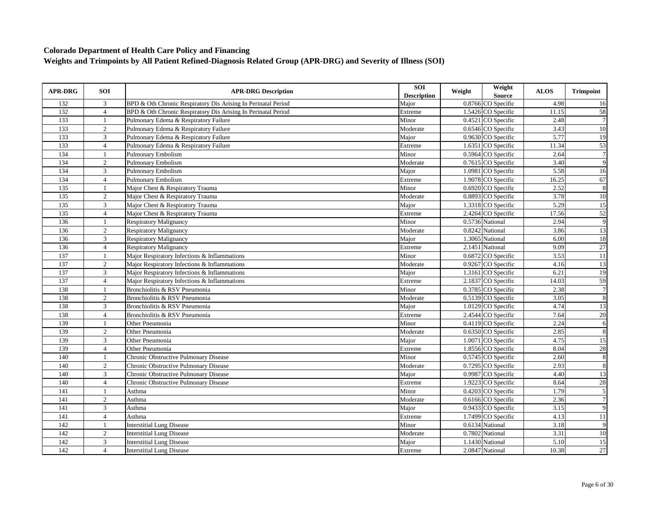| <b>APR-DRG</b> | <b>SOI</b>     | <b>APR-DRG Description</b>                                    | SOI<br><b>Description</b> | Weight | Weight<br><b>Source</b> | <b>ALOS</b> | <b>Trimpoint</b> |
|----------------|----------------|---------------------------------------------------------------|---------------------------|--------|-------------------------|-------------|------------------|
| 132            | 3              | BPD & Oth Chronic Respiratory Dis Arising In Perinatal Period | Major                     |        | 0.8766 CO Specific      | 4.98        | 16               |
| 132            | $\overline{4}$ | BPD & Oth Chronic Respiratory Dis Arising In Perinatal Period | Extreme                   |        | 1.5426 CO Specific      | 11.15       | 58               |
| 133            | -1             | Pulmonary Edema & Respiratory Failure                         | Minor                     |        | $0.4521$ CO Specific    | 2.48        | $\overline{7}$   |
| 133            | $\overline{2}$ | Pulmonary Edema & Respiratory Failure                         | Moderate                  |        | 0.6546 CO Specific      | 3.43        | 10               |
| 133            | 3              | Pulmonary Edema & Respiratory Failure                         | Major                     |        | 0.9630 CO Specific      | 5.77        | 19               |
| 133            | $\overline{4}$ | Pulmonary Edema & Respiratory Failure                         | Extreme                   |        | 1.6351 CO Specific      | 11.34       | 53               |
| 134            |                | <b>Pulmonary Embolism</b>                                     | Minor                     |        | 0.5964 CO Specific      | 2.64        | $\overline{7}$   |
| 134            | 2              | <b>Pulmonary Embolism</b>                                     | Moderate                  |        | 0.7615 CO Specific      | 3.40        | 9                |
| 134            | $\overline{3}$ | <b>Pulmonary Embolism</b>                                     | Major                     |        | 1.0981 CO Specific      | 5.58        | 16               |
| 134            | $\overline{4}$ | <b>Pulmonary Embolism</b>                                     | Extreme                   |        | 1.9078 CO Specific      | 16.25       | 67               |
| 135            | -1             | Major Chest & Respiratory Trauma                              | Minor                     |        | 0.6920 CO Specific      | 2.52        | $\overline{8}$   |
| 135            | $\overline{c}$ | Major Chest & Respiratory Trauma                              | Moderate                  |        | 0.8893 CO Specific      | 3.78        | 10               |
| 135            | $\mathfrak{Z}$ | Major Chest & Respiratory Trauma                              | Major                     |        | 1.3318 CO Specific      | 5.29        | 15               |
| 135            | $\overline{4}$ | Major Chest & Respiratory Trauma                              | Extreme                   |        | 2.4264 CO Specific      | 17.56       | 52               |
| 136            |                | <b>Respiratory Malignancy</b>                                 | Minor                     |        | 0.5736 National         | 2.94        | 9                |
| 136            | 2              | <b>Respiratory Malignancy</b>                                 | Moderate                  |        | 0.8242 National         | 3.86        | 13               |
| 136            | 3              | <b>Respiratory Malignancy</b>                                 | Major                     |        | 1.3065 National         | 6.00        | 18               |
| 136            | $\overline{4}$ | <b>Respiratory Malignancy</b>                                 | Extreme                   |        | 2.1451 National         | 9.09        | $\overline{27}$  |
| 137            | -1             | Major Respiratory Infections & Inflammations                  | Minor                     |        | 0.6872 CO Specific      | 3.53        | 11               |
| 137            | 2              | Major Respiratory Infections & Inflammations                  | Moderate                  |        | 0.9267 CO Specific      | 4.16        | 13               |
| 137            | 3              | Major Respiratory Infections & Inflammations                  | Major                     |        | 1.3161 CO Specific      | 6.21        | 19               |
| 137            | $\overline{4}$ | Major Respiratory Infections & Inflammations                  | Extreme                   |        | 2.1837 CO Specific      | 14.03       | 59               |
| 138            | $\mathbf{1}$   | Bronchiolitis & RSV Pneumonia                                 | Minor                     |        | 0.3785 CO Specific      | 2.38        | $\overline{7}$   |
| 138            | 2              | Bronchiolitis & RSV Pneumonia                                 | Moderate                  |        | 0.5139 CO Specific      | 3.05        | $\boldsymbol{8}$ |
| 138            | $\overline{3}$ | Bronchiolitis & RSV Pneumonia                                 | Major                     |        | 1.0129 CO Specific      | 4.74        | 13               |
| 138            | $\overline{4}$ | Bronchiolitis & RSV Pneumonia                                 | Extreme                   |        | 2.4544 CO Specific      | 7.64        | 20               |
| 139            | $\mathbf{1}$   | Other Pneumonia                                               | Minor                     |        | 0.4119 CO Specific      | 2.24        | 6                |
| 139            | $\overline{c}$ | Other Pneumonia                                               | Moderate                  |        | 0.6350 CO Specific      | 2.85        | $\overline{8}$   |
| 139            | 3              | Other Pneumonia                                               | Major                     |        | 1.0071 CO Specific      | 4.75        | 15               |
| 139            | $\overline{4}$ | Other Pneumonia                                               | Extreme                   |        | 1.8556 CO Specific      | 8.04        | 28               |
| 140            |                | Chronic Obstructive Pulmonary Disease                         | Minor                     |        | 0.5745 CO Specific      | 2.60        | $\overline{8}$   |
| 140            | 2              | Chronic Obstructive Pulmonary Disease                         | Moderate                  |        | 0.7295 CO Specific      | 2.93        | $\,8\,$          |
| 140            | 3              | Chronic Obstructive Pulmonary Disease                         | Major                     |        | 0.9987 CO Specific      | 4.40        | 13               |
| 140            | $\overline{4}$ | Chronic Obstructive Pulmonary Disease                         | Extreme                   |        | 1.9223 CO Specific      | 8.64        | 28               |
| 141            | $\mathbf{1}$   | Asthma                                                        | Minor                     |        | 0.4203 CO Specific      | 1.79        | $\overline{5}$   |
| 141            | 2              | Asthma                                                        | Moderate                  |        | 0.6166 CO Specific      | 2.36        | $\overline{7}$   |
| 141            | 3              | Asthma                                                        | Major                     |        | 0.9433 CO Specific      | 3.15        | 9                |
| 141            | $\overline{4}$ | Asthma                                                        | Extreme                   |        | 1.7499 CO Specific      | 4.13        | $\overline{11}$  |
| 142            | $\overline{1}$ | <b>Interstitial Lung Disease</b>                              | Minor                     |        | 0.6134 National         | 3.18        | 9                |
| 142            | $\overline{2}$ | <b>Interstitial Lung Disease</b>                              | Moderate                  |        | 0.7802 National         | 3.31        | $\overline{10}$  |
| 142            | $\mathbf{3}$   | <b>Interstitial Lung Disease</b>                              | Major                     |        | 1.1430 National         | 5.10        | $\overline{15}$  |
| 142            | $\overline{4}$ | <b>Interstitial Lung Disease</b>                              | Extreme                   |        | 2.0847 National         | 10.38       | 27               |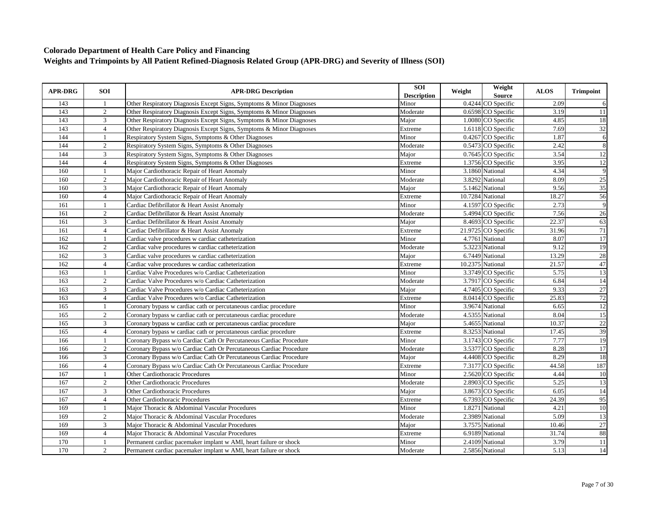| <b>APR-DRG</b> | <b>SOI</b>     | <b>APR-DRG Description</b>                                           | SOI<br><b>Description</b> | Weight | Weight<br>Source    | <b>ALOS</b> | <b>Trimpoint</b> |
|----------------|----------------|----------------------------------------------------------------------|---------------------------|--------|---------------------|-------------|------------------|
| 143            | -1             | Other Respiratory Diagnosis Except Signs, Symptoms & Minor Diagnoses | Minor                     |        | 0.4244 CO Specific  | 2.09        | 6                |
| 143            | $\overline{2}$ | Other Respiratory Diagnosis Except Signs, Symptoms & Minor Diagnoses | Moderate                  |        | 0.6598 CO Specific  | 3.19        | 11               |
| 143            | 3              | Other Respiratory Diagnosis Except Signs, Symptoms & Minor Diagnoses | Major                     |        | 1.0080 CO Specific  | 4.85        | 18               |
| 143            | $\overline{4}$ | Other Respiratory Diagnosis Except Signs, Symptoms & Minor Diagnoses | Extreme                   |        | 1.6118 CO Specific  | 7.69        | $\overline{32}$  |
| 144            | $\overline{1}$ | Respiratory System Signs, Symptoms & Other Diagnoses                 | Minor                     |        | 0.4267 CO Specific  | 1.87        | 6                |
| 144            | $\sqrt{2}$     | Respiratory System Signs, Symptoms & Other Diagnoses                 | Moderate                  |        | 0.5473 CO Specific  | 2.42        | 8                |
| 144            | 3              | Respiratory System Signs, Symptoms & Other Diagnoses                 | Major                     |        | 0.7645 CO Specific  | 3.54        | 12               |
| 144            | $\overline{4}$ | Respiratory System Signs, Symptoms & Other Diagnoses                 | Extreme                   |        | 1.3756 CO Specific  | 3.95        | 12               |
| 160            | $\overline{1}$ | Major Cardiothoracic Repair of Heart Anomaly                         | Minor                     |        | 3.1860 National     | 4.34        | $\overline{9}$   |
| 160            | 2              | Major Cardiothoracic Repair of Heart Anomaly                         | Moderate                  |        | 3.8292 National     | 8.09        | $\overline{25}$  |
| 160            | 3              | Major Cardiothoracic Repair of Heart Anomaly                         | Major                     |        | 5.1462 National     | 9.56        | $\overline{35}$  |
| 160            | $\overline{4}$ | Major Cardiothoracic Repair of Heart Anomaly                         | Extreme                   |        | 10.7284 National    | 18.27       | 56               |
| 161            | $\mathbf{1}$   | Cardiac Defibrillator & Heart Assist Anomaly                         | Minor                     |        | 4.1597 CO Specific  | 2.73        | $\overline{9}$   |
| 161            | $\overline{2}$ | Cardiac Defibrillator & Heart Assist Anomaly                         | Moderate                  |        | 5.4994 CO Specific  | 7.56        | $\overline{26}$  |
| 161            | 3              | Cardiac Defibrillator & Heart Assist Anomaly                         | Major                     |        | 8.4693 CO Specific  | 22.37       | 63               |
| 161            | $\overline{4}$ | Cardiac Defibrillator & Heart Assist Anomaly                         | Extreme                   |        | 21.9725 CO Specific | 31.96       | 71               |
| 162            |                | Cardiac valve procedures w cardiac catheterization                   | Minor                     |        | 4.7761 National     | 8.07        | $\overline{17}$  |
| 162            | 2              | Cardiac valve procedures w cardiac catheterization                   | Moderate                  |        | 5.3223 National     | 9.12        | 19               |
| 162            | 3              | Cardiac valve procedures w cardiac catheterization                   | Major                     |        | 6.7449 National     | 13.29       | 28               |
| 162            | $\overline{4}$ | Cardiac valve procedures w cardiac catheterization                   | Extreme                   |        | 10.2375 National    | 21.57       | 47               |
| 163            | $\overline{1}$ | Cardiac Valve Procedures w/o Cardiac Catheterization                 | Minor                     |        | 3.3749 CO Specific  | 5.75        | 13               |
| 163            | $\overline{2}$ | Cardiac Valve Procedures w/o Cardiac Catheterization                 | Moderate                  |        | 3.7917 CO Specific  | 6.84        | 14               |
| 163            | 3              | Cardiac Valve Procedures w/o Cardiac Catheterization                 | Maior                     |        | 4.7405 CO Specific  | 9.33        | $\overline{27}$  |
| 163            | $\overline{4}$ | Cardiac Valve Procedures w/o Cardiac Catheterization                 | Extreme                   |        | 8.0414 CO Specific  | 25.83       | 72               |
| 165            |                | Coronary bypass w cardiac cath or percutaneous cardiac procedure     | Minor                     |        | 3.9674 National     | 6.65        | 12               |
| 165            | $\overline{2}$ | Coronary bypass w cardiac cath or percutaneous cardiac procedure     | Moderate                  |        | 4.5355 National     | 8.04        | 15               |
| 165            | 3              | Coronary bypass w cardiac cath or percutaneous cardiac procedure     | Major                     |        | 5.4655 National     | 10.37       | 22               |
| 165            | $\overline{4}$ | Coronary bypass w cardiac cath or percutaneous cardiac procedure     | Extreme                   |        | 8.3253 National     | 17.45       | 39               |
| 166            | -1             | Coronary Bypass w/o Cardiac Cath Or Percutaneous Cardiac Procedure   | Minor                     |        | 3.1743 CO Specific  | 7.77        | 19               |
| 166            | $\overline{2}$ | Coronary Bypass w/o Cardiac Cath Or Percutaneous Cardiac Procedure   | Moderate                  |        | 3.5377 CO Specific  | 8.28        | 17               |
| 166            | 3              | Coronary Bypass w/o Cardiac Cath Or Percutaneous Cardiac Procedure   | Major                     |        | 4.4408 CO Specific  | 8.29        | 18               |
| 166            | $\overline{4}$ | Coronary Bypass w/o Cardiac Cath Or Percutaneous Cardiac Procedure   | Extreme                   |        | 7.3177 CO Specific  | 44.58       | 187              |
| 167            |                | Other Cardiothoracic Procedures                                      | Minor                     |        | 2.5620 CO Specific  | 4.44        | 10               |
| 167            | $\overline{2}$ | <b>Other Cardiothoracic Procedures</b>                               | Moderate                  |        | 2.8903 CO Specific  | 5.25        | 13               |
| 167            | 3              | Other Cardiothoracic Procedures                                      | Major                     |        | 3.8673 CO Specific  | 6.05        | 14               |
| 167            | $\overline{4}$ | Other Cardiothoracic Procedures                                      | Extreme                   |        | 6.7393 CO Specific  | 24.39       | 95               |
| 169            | 1              | Maior Thoracic & Abdominal Vascular Procedures                       | Minor                     |        | 1.8271 National     | 4.21        | 10               |
| 169            | $\overline{2}$ | Major Thoracic & Abdominal Vascular Procedures                       | Moderate                  |        | 2.3989 National     | 5.09        | $\overline{13}$  |
| 169            | $\mathfrak{Z}$ | Major Thoracic & Abdominal Vascular Procedures                       | Major                     |        | 3.7575 National     | 10.46       | 27               |
| 169            | $\overline{4}$ | Major Thoracic & Abdominal Vascular Procedures                       | Extreme                   |        | 6.9189 National     | 31.74       | 88               |
| 170            | $\mathbf{1}$   | Permanent cardiac pacemaker implant w AMI, heart failure or shock    | Minor                     |        | 2.4109 National     | 3.79        | 11               |
| 170            | $\overline{2}$ | Permanent cardiac pacemaker implant w AMI, heart failure or shock    | Moderate                  |        | 2.5856 National     | 5.13        | $\overline{14}$  |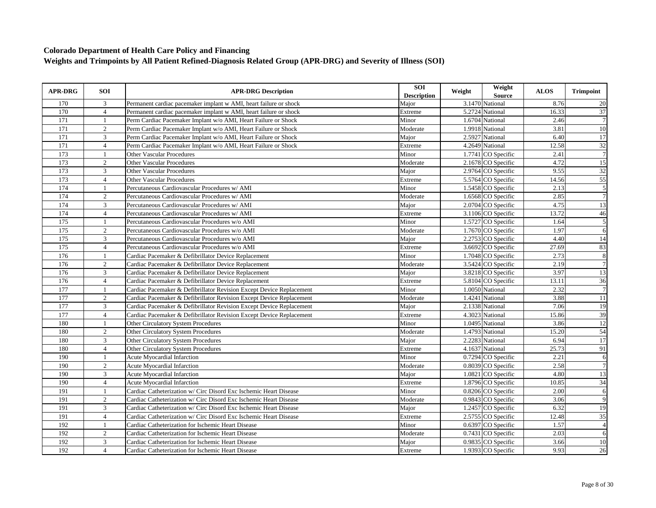| <b>APR-DRG</b> | <b>SOI</b>     | <b>APR-DRG Description</b>                                           | SOI<br><b>Description</b> | Weight | Weight<br><b>Source</b> | <b>ALOS</b> | <b>Trimpoint</b> |
|----------------|----------------|----------------------------------------------------------------------|---------------------------|--------|-------------------------|-------------|------------------|
| 170            | 3              | Permanent cardiac pacemaker implant w AMI, heart failure or shock    | Major                     |        | 3.1470 National         | 8.76        | 20               |
| 170            | $\overline{4}$ | Permanent cardiac pacemaker implant w AMI, heart failure or shock    | Extreme                   |        | 5.2724 National         | 16.33       | 37               |
| 171            | 1              | Perm Cardiac Pacemaker Implant w/o AMI, Heart Failure or Shock       | Minor                     |        | $1.6704$ National       | 2.46        | $\overline{7}$   |
| 171            | $\overline{2}$ | Perm Cardiac Pacemaker Implant w/o AMI, Heart Failure or Shock       | Moderate                  |        | 1.9918 National         | 3.81        | 10               |
| 171            | 3              | Perm Cardiac Pacemaker Implant w/o AMI, Heart Failure or Shock       | Major                     |        | 2.5927 National         | 6.40        | $\overline{17}$  |
| 171            | $\overline{4}$ | Perm Cardiac Pacemaker Implant w/o AMI, Heart Failure or Shock       | Extreme                   |        | 4.2649 National         | 12.58       | 32               |
| 173            |                | <b>Other Vascular Procedures</b>                                     | Minor                     |        | 1.7741 CO Specific      | 2.41        | $\overline{7}$   |
| 173            | 2              | <b>Other Vascular Procedures</b>                                     | Moderate                  |        | 2.1678 CO Specific      | 4.72        | 15               |
| 173            | 3              | <b>Other Vascular Procedures</b>                                     | Major                     |        | 2.9764 CO Specific      | 9.55        | 32               |
| 173            | $\overline{4}$ | <b>Other Vascular Procedures</b>                                     | Extreme                   |        | 5.5764 CO Specific      | 14.56       | 55               |
| 174            | $\mathbf{1}$   | Percutaneous Cardiovascular Procedures w/ AMI                        | Minor                     |        | 1.5458 CO Specific      | 2.13        | $\overline{5}$   |
| 174            | $\overline{2}$ | Percutaneous Cardiovascular Procedures w/ AMI                        | Moderate                  |        | 1.6568 CO Specific      | 2.85        | 7                |
| 174            | $\mathbf{3}$   | Percutaneous Cardiovascular Procedures w/ AMI                        | Major                     |        | 2.0704 CO Specific      | 4.75        | 13               |
| 174            | $\overline{4}$ | Percutaneous Cardiovascular Procedures w/ AMI                        | Extreme                   |        | 3.1106 CO Specific      | 13.72       | 46               |
| 175            |                | Percutaneous Cardiovascular Procedures w/o AMI                       | Minor                     |        | 1.5727 CO Specific      | 1.64        | 5                |
| 175            | $\overline{2}$ | Percutaneous Cardiovascular Procedures w/o AMI                       | Moderate                  |        | 1.7670 CO Specific      | 1.97        | 6                |
| 175            | 3              | Percutaneous Cardiovascular Procedures w/o AMI                       | Major                     |        | 2.2753 CO Specific      | 4.40        | 14               |
| 175            | $\overline{4}$ | Percutaneous Cardiovascular Procedures w/o AMI                       | Extreme                   |        | 3.6692 CO Specific      | 27.69       | 83               |
| 176            | $\mathbf{1}$   | Cardiac Pacemaker & Defibrillator Device Replacement                 | Minor                     |        | 1.7048 CO Specific      | 2.73        | $\overline{8}$   |
| 176            | $\overline{2}$ | Cardiac Pacemaker & Defibrillator Device Replacement                 | Moderate                  |        | 3.5424 CO Specific      | 2.19        | $\overline{7}$   |
| 176            | 3              | Cardiac Pacemaker & Defibrillator Device Replacement                 | Major                     |        | 3.8218 CO Specific      | 3.97        | 13               |
| 176            | $\overline{4}$ | Cardiac Pacemaker & Defibrillator Device Replacement                 | Extreme                   |        | 5.8104 CO Specific      | 13.11       | 36               |
| 177            | $\mathbf{1}$   | Cardiac Pacemaker & Defibrillator Revision Except Device Replacement | Minor                     |        | 1.0050 National         | 2.32        | $\overline{7}$   |
| 177            | $\overline{2}$ | Cardiac Pacemaker & Defibrillator Revision Except Device Replacement | Moderate                  |        | 1.4241 National         | 3.88        | 11               |
| 177            | 3              | Cardiac Pacemaker & Defibrillator Revision Except Device Replacement | Major                     |        | 2.1338 National         | 7.06        | 19               |
| 177            | $\overline{4}$ | Cardiac Pacemaker & Defibrillator Revision Except Device Replacement | Extreme                   |        | 4.3023 National         | 15.86       | 39               |
| 180            |                | Other Circulatory System Procedures                                  | Minor                     |        | 1.0495 National         | 3.86        | $\overline{12}$  |
| 180            | $\overline{2}$ | Other Circulatory System Procedures                                  | Moderate                  |        | 1.4793 National         | 15.20       | 54               |
| 180            | 3              | Other Circulatory System Procedures                                  | Major                     |        | 2.2283 National         | 6.94        | 17               |
| 180            | $\overline{4}$ | <b>Other Circulatory System Procedures</b>                           | Extreme                   |        | 4.1637 National         | 25.73       | 91               |
| 190            | -1             | <b>Acute Myocardial Infarction</b>                                   | Minor                     |        | 0.7294 CO Specific      | 2.21        | $\overline{6}$   |
| 190            | $\overline{2}$ | <b>Acute Myocardial Infarction</b>                                   | Moderate                  |        | 0.8039 CO Specific      | 2.58        | $\overline{7}$   |
| 190            | 3              | <b>Acute Myocardial Infarction</b>                                   | Major                     |        | 1.0821 CO Specific      | 4.80        | 13               |
| 190            | $\overline{4}$ | <b>Acute Myocardial Infarction</b>                                   | Extreme                   |        | 1.8796 CO Specific      | 10.85       | 34               |
| 191            |                | Cardiac Catheterization w/ Circ Disord Exc Ischemic Heart Disease    | Minor                     |        | 0.8206 CO Specific      | 2.00        | 6                |
| 191            | 2              | Cardiac Catheterization w/ Circ Disord Exc Ischemic Heart Disease    | Moderate                  |        | 0.9843 CO Specific      | 3.06        | 9                |
| 191            | 3              | Cardiac Catheterization w/ Circ Disord Exc Ischemic Heart Disease    | Major                     |        | 1.2457 CO Specific      | 6.32        | 19               |
| 191            | $\overline{4}$ | Cardiac Catheterization w/ Circ Disord Exc Ischemic Heart Disease    | Extreme                   |        | 2.5755 CO Specific      | 12.48       | 35               |
| 192            | $\mathbf{1}$   | Cardiac Catheterization for Ischemic Heart Disease                   | Minor                     |        | 0.6397 CO Specific      | 1.57        | $\overline{4}$   |
| 192            | $\overline{2}$ | Cardiac Catheterization for Ischemic Heart Disease                   | Moderate                  |        | 0.7431 CO Specific      | 2.03        | 6                |
| 192            | $\mathfrak{Z}$ | Cardiac Catheterization for Ischemic Heart Disease                   | Major                     |        | 0.9835 CO Specific      | 3.66        | $10\,$           |
| 192            | $\overline{4}$ | Cardiac Catheterization for Ischemic Heart Disease                   | Extreme                   |        | 1.9393 CO Specific      | 9.93        | $\overline{26}$  |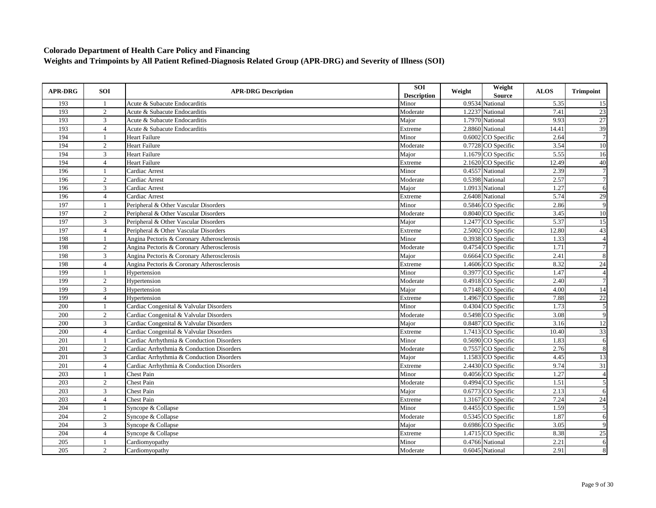| <b>APR-DRG</b>   | <b>SOI</b>     | <b>APR-DRG Description</b>                 | SOI<br><b>Description</b> | Weight | Weight<br><b>Source</b> | <b>ALOS</b> | <b>Trimpoint</b> |
|------------------|----------------|--------------------------------------------|---------------------------|--------|-------------------------|-------------|------------------|
| 193              | -1             | Acute & Subacute Endocarditis              | Minor                     |        | 0.9534 National         | 5.35        | 15               |
| 193              | $\overline{c}$ | Acute & Subacute Endocarditis              | Moderate                  |        | 1.2237 National         | 7.41        | 23               |
| 193              | 3              | Acute & Subacute Endocarditis              | Major                     |        | 1.7970 National         | 9.93        | 27               |
| 193              | $\overline{4}$ | Acute & Subacute Endocarditis              | Extreme                   |        | 2.8860 National         | 14.41       | 39               |
| 194              | $\overline{1}$ | <b>Heart Failure</b>                       | Minor                     |        | $0.6002$ CO Specific    | 2.64        | $\boldsymbol{7}$ |
| 194              | $\overline{2}$ | <b>Heart Failure</b>                       | Moderate                  |        | 0.7728 CO Specific      | 3.54        | $10\,$           |
| 194              | 3              | <b>Heart Failure</b>                       | Major                     |        | 1.1679 CO Specific      | 5.55        | 16               |
| 194              | $\overline{4}$ | <b>Heart Failure</b>                       | Extreme                   |        | 2.1620 CO Specific      | 12.49       | 40               |
| 196              | $\mathbf{1}$   | Cardiac Arrest                             | Minor                     |        | 0.4557 National         | 2.39        | $\overline{7}$   |
| 196              | 2              | Cardiac Arrest                             | Moderate                  |        | 0.5398 National         | 2.57        | $\overline{7}$   |
| 196              | $\mathfrak{Z}$ | Cardiac Arrest                             | Major                     |        | 1.0913 National         | 1.27        | 6                |
| 196              | $\overline{4}$ | Cardiac Arrest                             | Extreme                   |        | 2.6408 National         | 5.74        | 29               |
| 197              | $\mathbf{1}$   | Peripheral & Other Vascular Disorders      | Minor                     |        | 0.5846 CO Specific      | 2.86        | 9                |
| 197              | $\overline{2}$ | Peripheral & Other Vascular Disorders      | Moderate                  |        | 0.8040 CO Specific      | 3.45        | 10               |
| 197              | 3              | Peripheral & Other Vascular Disorders      | Major                     |        | 1.2477 CO Specific      | 5.37        | 15               |
| 197              | $\overline{4}$ | Peripheral & Other Vascular Disorders      | Extreme                   |        | 2.5002 CO Specific      | 12.80       | 43               |
| 198              |                | Angina Pectoris & Coronary Atherosclerosis | Minor                     |        | 0.3938 CO Specific      | 1.33        | $\overline{4}$   |
| 198              | 2              | Angina Pectoris & Coronary Atherosclerosis | Moderate                  |        | 0.4754 CO Specific      | 1.71        | $\overline{7}$   |
| 198              | 3              | Angina Pectoris & Coronary Atherosclerosis | Major                     |        | 0.6664 CO Specific      | 2.41        | 8                |
| 198              | $\overline{4}$ | Angina Pectoris & Coronary Atherosclerosis | Extreme                   |        | 1.4606 CO Specific      | 8.32        | 24               |
| 199              | $\mathbf{1}$   | Hypertension                               | Minor                     |        | 0.3977 CO Specific      | 1.47        | $\overline{4}$   |
| 199              | $\overline{2}$ | Hypertension                               | Moderate                  |        | 0.4918 CO Specific      | 2.40        | $\overline{7}$   |
| 199              | 3              | Hypertension                               | Maior                     |        | 0.7148 CO Specific      | 4.00        | 14               |
| 199              | $\overline{4}$ | Hypertension                               | Extreme                   |        | 1.4967 CO Specific      | 7.88        | 22               |
| 200              |                | Cardiac Congenital & Valvular Disorders    | Minor                     |        | 0.4304 CO Specific      | 1.73        | $\overline{5}$   |
| 200              | 2              | Cardiac Congenital & Valvular Disorders    | Moderate                  |        | 0.5498 CO Specific      | 3.08        | $\overline{9}$   |
| 200              | 3              | Cardiac Congenital & Valvular Disorders    | Major                     |        | 0.8487 CO Specific      | 3.16        | 12               |
| 200              | $\overline{4}$ | Cardiac Congenital & Valvular Disorders    | Extreme                   |        | 1.7413 CO Specific      | 10.40       | 33               |
| 201              | -1             | Cardiac Arrhythmia & Conduction Disorders  | Minor                     |        | 0.5690 CO Specific      | 1.83        | 6                |
| 201              | 2              | Cardiac Arrhythmia & Conduction Disorders  | Moderate                  |        | 0.7557 CO Specific      | 2.76        | $\,8\,$          |
| 201              | 3              | Cardiac Arrhythmia & Conduction Disorders  | Major                     |        | 1.1583 CO Specific      | 4.45        | 13               |
| 201              | $\overline{4}$ | Cardiac Arrhythmia & Conduction Disorders  | Extreme                   |        | 2.4430 CO Specific      | 9.74        | $\overline{31}$  |
| 203              |                | <b>Chest Pain</b>                          | Minor                     |        | 0.4056 CO Specific      | 1.27        | $\overline{4}$   |
| 203              | 2              | <b>Chest Pain</b>                          | Moderate                  |        | 0.4994 CO Specific      | 1.51        | 5                |
| $\overline{203}$ | 3              | <b>Chest Pain</b>                          | Major                     |        | 0.6773 CO Specific      | 2.13        | 6                |
| 203              | $\overline{4}$ | <b>Chest Pain</b>                          | Extreme                   |        | 1.3167 CO Specific      | 7.24        | 24               |
| 204              | -1             | Syncope & Collapse                         | Minor                     |        | 0.4455 CO Specific      | 1.59        | $\overline{5}$   |
| 204              | 2              | Syncope & Collapse                         | Moderate                  |        | 0.5345 CO Specific      | 1.87        | 6                |
| 204              | $\mathfrak{Z}$ | Syncope & Collapse                         | Major                     |        | 0.6986 CO Specific      | 3.05        | $\overline{9}$   |
| 204              | $\overline{4}$ | Syncope & Collapse                         | Extreme                   |        | 1.4715 CO Specific      | 8.38        | $\overline{25}$  |
| 205              | $\mathbf{1}$   | Cardiomyopathy                             | Minor                     |        | 0.4766 National         | 2.21        | 6                |
| 205              | 2              | Cardiomyopathy                             | Moderate                  |        | 0.6045 National         | 2.91        | 8                |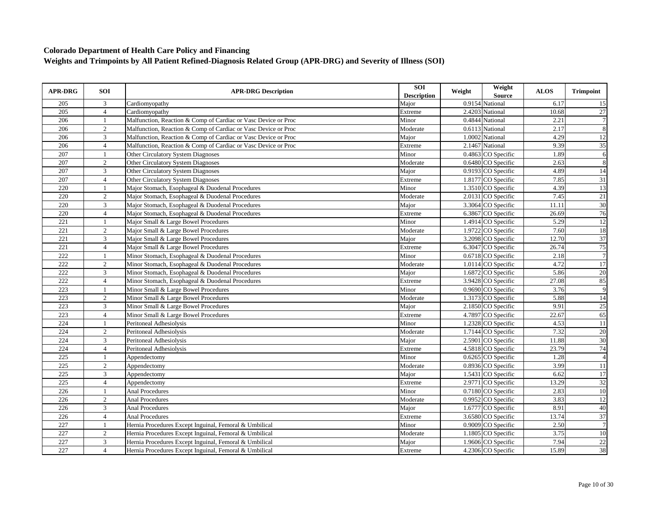| <b>APR-DRG</b>   | <b>SOI</b>     | <b>APR-DRG Description</b>                                     | SOI<br><b>Description</b> | Weight | Weight<br><b>Source</b> | <b>ALOS</b> | <b>Trimpoint</b> |
|------------------|----------------|----------------------------------------------------------------|---------------------------|--------|-------------------------|-------------|------------------|
| 205              | 3              | Cardiomyopathy                                                 | Major                     |        | 0.9154 National         | 6.17        | 15               |
| 205              | $\overline{4}$ | Cardiomyopathy                                                 | Extreme                   |        | 2.4203 National         | 10.68       | 27               |
| 206              | $\mathbf{1}$   | Malfunction, Reaction & Comp of Cardiac or Vasc Device or Proc | Minor                     |        | 0.4844 National         | 2.21        | $\tau$           |
| 206              | 2              | Malfunction, Reaction & Comp of Cardiac or Vasc Device or Proc | Moderate                  |        | 0.6113 National         | 2.17        | $\,8\,$          |
| 206              | 3              | Malfunction, Reaction & Comp of Cardiac or Vasc Device or Proc | Major                     |        | 1.0002 National         | 4.29        | 12               |
| 206              | $\overline{4}$ | Malfunction, Reaction & Comp of Cardiac or Vasc Device or Proc | Extreme                   |        | 2.1467 National         | 9.39        | 35               |
| 207              |                | Other Circulatory System Diagnoses                             | Minor                     |        | 0.4863 CO Specific      | 1.89        | 6                |
| 207              | 2              | Other Circulatory System Diagnoses                             | Moderate                  |        | 0.6480 CO Specific      | 2.63        | $\overline{8}$   |
| 207              | 3              | Other Circulatory System Diagnoses                             | Major                     |        | 0.9193 CO Specific      | 4.89        | 14               |
| 207              | $\overline{4}$ | Other Circulatory System Diagnoses                             | Extreme                   |        | 1.8177 CO Specific      | 7.85        | 31               |
| 220              |                | Major Stomach, Esophageal & Duodenal Procedures                | Minor                     |        | 1.3510 CO Specific      | 4.39        | 13               |
| 220              | 2              | Major Stomach, Esophageal & Duodenal Procedures                | Moderate                  |        | 2.0131 CO Specific      | 7.45        | 21               |
| 220              | 3              | Major Stomach, Esophageal & Duodenal Procedures                | Major                     |        | 3.3064 CO Specific      | 11.11       | $\overline{30}$  |
| 220              | $\overline{4}$ | Major Stomach, Esophageal & Duodenal Procedures                | Extreme                   |        | 6.3867 CO Specific      | 26.69       | 76               |
| 221              |                | Major Small & Large Bowel Procedures                           | Minor                     |        | 1.4914 CO Specific      | 5.29        | $\overline{12}$  |
| 221              | 2              | Major Small & Large Bowel Procedures                           | Moderate                  |        | 1.9722 CO Specific      | 7.60        | 18               |
| 221              | 3              | Major Small & Large Bowel Procedures                           | Major                     |        | 3.2098 CO Specific      | 12.70       | 37               |
| 221              | $\overline{4}$ | Major Small & Large Bowel Procedures                           | Extreme                   |        | 6.3047 CO Specific      | 26.74       | $\overline{75}$  |
| 222              | $\mathbf{1}$   | Minor Stomach, Esophageal & Duodenal Procedures                | Minor                     |        | 0.6718 CO Specific      | 2.18        | $\overline{7}$   |
| 222              | 2              | Minor Stomach, Esophageal & Duodenal Procedures                | Moderate                  |        | 1.0114 CO Specific      | 4.72        | 17               |
| 222              | 3              | Minor Stomach, Esophageal & Duodenal Procedures                | Major                     |        | 1.6872 CO Specific      | 5.86        | 20               |
| 222              | $\overline{4}$ | Minor Stomach, Esophageal & Duodenal Procedures                | Extreme                   |        | 3.9428 CO Specific      | 27.08       | 85               |
| 223              | -1             | Minor Small & Large Bowel Procedures                           | Minor                     |        | 0.9690 CO Specific      | 3.76        | 9                |
| 223              | 2              | Minor Small & Large Bowel Procedures                           | Moderate                  |        | 1.3173 CO Specific      | 5.88        | 14               |
| 223              | $\overline{3}$ | Minor Small & Large Bowel Procedures                           | Major                     |        | 2.1850 CO Specific      | 9.91        | 25               |
| 223              | $\overline{4}$ | Minor Small & Large Bowel Procedures                           | Extreme                   |        | 4.7897 CO Specific      | 22.67       | 65               |
| 224              | $\overline{1}$ | Peritoneal Adhesiolysis                                        | Minor                     |        | 1.2328 CO Specific      | 4.53        | 11               |
| 224              | 2              | Peritoneal Adhesiolysis                                        | Moderate                  |        | 1.7144 CO Specific      | 7.32        | 20               |
| 224              | 3              | Peritoneal Adhesiolysis                                        | Major                     |        | 2.5901 CO Specific      | 11.88       | 30               |
| 224              | $\overline{4}$ | Peritoneal Adhesiolysis                                        | Extreme                   |        | 4.5818 CO Specific      | 23.79       | 74               |
| 225              | $\mathbf{1}$   | Appendectomy                                                   | Minor                     |        | 0.6265 CO Specific      | 1.28        | $\overline{4}$   |
| 225              | $\overline{c}$ | Appendectomy                                                   | Moderate                  |        | 0.8936 CO Specific      | 3.99        | 11               |
| 225              | $\overline{3}$ | Appendectomy                                                   | Major                     |        | 1.5431 CO Specific      | 6.62        | 17               |
| 225              | $\overline{4}$ | Appendectomy                                                   | Extreme                   |        | 2.9771 CO Specific      | 13.29       | 32               |
| 226              | $\overline{1}$ | <b>Anal Procedures</b>                                         | Minor                     |        | 0.7180 CO Specific      | 2.83        | 10               |
| 226              | 2              | <b>Anal Procedures</b>                                         | Moderate                  |        | 0.9952 CO Specific      | 3.83        | 12               |
| 226              | 3              | <b>Anal Procedures</b>                                         | Major                     |        | 1.6777 CO Specific      | 8.91        | 40               |
| 226              | $\overline{4}$ | <b>Anal Procedures</b>                                         | Extreme                   |        | 3.6580 CO Specific      | 13.74       | $\overline{37}$  |
| $\overline{227}$ | $\mathbf{1}$   | Hernia Procedures Except Inguinal, Femoral & Umbilical         | Minor                     |        | 0.9009 CO Specific      | 2.50        | $\overline{7}$   |
| 227              | 2              | Hernia Procedures Except Inguinal, Femoral & Umbilical         | Moderate                  |        | 1.1805 CO Specific      | 3.75        | 10               |
| 227              | $\mathbf{3}$   | Hernia Procedures Except Inguinal, Femoral & Umbilical         | Major                     |        | 1.9606 CO Specific      | 7.94        | 22               |
| 227              | $\overline{4}$ | Hernia Procedures Except Inguinal, Femoral & Umbilical         | Extreme                   |        | 4.2306 CO Specific      | 15.89       | 38               |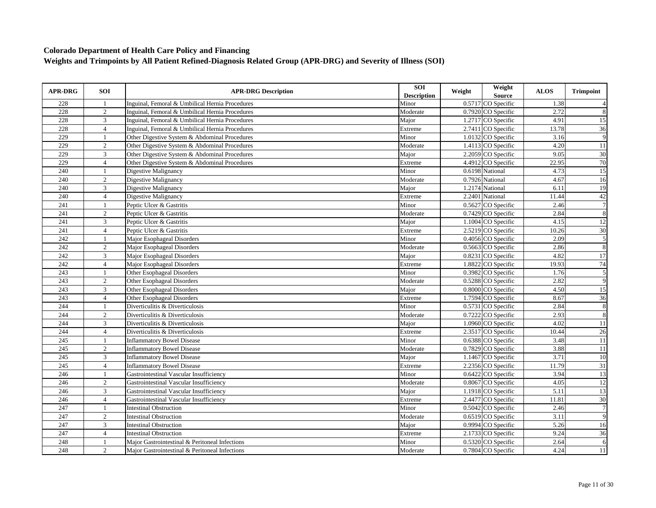| <b>APR-DRG</b> | <b>SOI</b>     | <b>APR-DRG Description</b>                      | SOI<br><b>Description</b> | Weight | Weight<br><b>Source</b> | <b>ALOS</b> | <b>Trimpoint</b> |
|----------------|----------------|-------------------------------------------------|---------------------------|--------|-------------------------|-------------|------------------|
| 228            | -1             | Inguinal, Femoral & Umbilical Hernia Procedures | Minor                     |        | 0.5717 CO Specific      | 1.38        |                  |
| 228            | $\overline{2}$ | Inguinal, Femoral & Umbilical Hernia Procedures | Moderate                  |        | 0.7920 CO Specific      | 2.72        | 8                |
| 228            | 3              | Inguinal, Femoral & Umbilical Hernia Procedures | Major                     |        | 1.2717 CO Specific      | 4.91        | 15               |
| 228            | $\overline{4}$ | Inguinal, Femoral & Umbilical Hernia Procedures | Extreme                   |        | 2.7411 CO Specific      | 13.78       | 36               |
| 229            | $\overline{1}$ | Other Digestive System & Abdominal Procedures   | Minor                     |        | 1.0132 CO Specific      | 3.16        | 9                |
| 229            | $\overline{2}$ | Other Digestive System & Abdominal Procedures   | Moderate                  |        | 1.4113 CO Specific      | 4.20        | 11               |
| 229            | 3              | Other Digestive System & Abdominal Procedures   | Major                     |        | 2.2059 CO Specific      | 9.05        | $\overline{30}$  |
| 229            | $\overline{4}$ | Other Digestive System & Abdominal Procedures   | Extreme                   |        | 4.4912 CO Specific      | 22.95       | 70               |
| 240            | $\overline{1}$ | Digestive Malignancy                            | Minor                     |        | 0.6198 National         | 4.73        | 15               |
| 240            | $\overline{2}$ | Digestive Malignancy                            | Moderate                  |        | 0.7926 National         | 4.67        | 16               |
| 240            | $\overline{3}$ | Digestive Malignancy                            | Major                     |        | 1.2174 National         | 6.11        | $\overline{19}$  |
| 240            | $\overline{4}$ | Digestive Malignancy                            | Extreme                   |        | 2.2401 National         | 11.44       | 42               |
| 241            | $\mathbf{1}$   | Peptic Ulcer & Gastritis                        | Minor                     |        | 0.5627 CO Specific      | 2.46        | $\overline{7}$   |
| 241            | $\overline{c}$ | Peptic Ulcer & Gastritis                        | Moderate                  |        | 0.7429 CO Specific      | 2.84        | 8                |
| 241            | 3              | Peptic Ulcer & Gastritis                        | Major                     |        | 1.1004 CO Specific      | 4.15        | 12               |
| 241            | $\overline{4}$ | Peptic Ulcer & Gastritis                        | Extreme                   |        | 2.5219 CO Specific      | 10.26       | $\overline{30}$  |
| 242            | $\mathbf{1}$   | Major Esophageal Disorders                      | Minor                     |        | 0.4056 CO Specific      | 2.09        | 5                |
| 242            | 2              | Major Esophageal Disorders                      | Moderate                  |        | 0.5663 CO Specific      | 2.86        | 8                |
| 242            | 3              | Major Esophageal Disorders                      | Major                     |        | 0.8231 CO Specific      | 4.82        | $\overline{17}$  |
| 242            | $\overline{4}$ | Major Esophageal Disorders                      | Extreme                   |        | 1.8822 CO Specific      | 19.93       | 74               |
| 243            | $\mathbf{1}$   | Other Esophageal Disorders                      | Minor                     |        | 0.3982 CO Specific      | 1.76        | $\overline{5}$   |
| 243            | $\overline{c}$ | Other Esophageal Disorders                      | Moderate                  |        | 0.5288 CO Specific      | 2.82        | $\overline{9}$   |
| 243            | 3              | Other Esophageal Disorders                      | Major                     |        | 0.8000 CO Specific      | 4.50        | 15               |
| 243            | $\overline{4}$ | Other Esophageal Disorders                      | Extreme                   |        | 1.7594 CO Specific      | 8.67        | 36               |
| 244            | $\mathbf{1}$   | Diverticulitis & Diverticulosis                 | Minor                     |        | 0.5731 CO Specific      | 2.84        | $\overline{8}$   |
| 244            | 2              | Diverticulitis & Diverticulosis                 | Moderate                  |        | $0.7222$ CO Specific    | 2.93        | 8                |
| 244            | 3              | Diverticulitis & Diverticulosis                 | Maior                     |        | 1.0960 CO Specific      | 4.02        | 11               |
| 244            | $\overline{4}$ | Diverticulitis & Diverticulosis                 | Extreme                   |        | 2.3517 CO Specific      | 10.44       | 26               |
| 245            | $\mathbf{1}$   | <b>Inflammatory Bowel Disease</b>               | Minor                     |        | 0.6388 CO Specific      | 3.48        | 11               |
| 245            | $\overline{2}$ | <b>Inflammatory Bowel Disease</b>               | Moderate                  |        | 0.7829 CO Specific      | 3.88        | 11               |
| 245            | 3              | <b>Inflammatory Bowel Disease</b>               | Major                     |        | 1.1467 CO Specific      | 3.71        | 10               |
| 245            | $\overline{4}$ | <b>Inflammatory Bowel Disease</b>               | Extreme                   |        | 2.2356 CO Specific      | 11.79       | 31               |
| 246            | $\mathbf{1}$   | Gastrointestinal Vascular Insufficiency         | Minor                     |        | 0.6422 CO Specific      | 3.94        | 13               |
| 246            | $\overline{2}$ | Gastrointestinal Vascular Insufficiency         | Moderate                  |        | 0.8067 CO Specific      | 4.05        | 12               |
| 246            | 3              | Gastrointestinal Vascular Insufficiency         | Major                     |        | 1.1918 CO Specific      | 5.11        | 13               |
| 246            | $\overline{4}$ | Gastrointestinal Vascular Insufficiency         | Extreme                   |        | 2.4477 CO Specific      | 11.81       | 30               |
| 247            | $\mathbf{1}$   | <b>Intestinal Obstruction</b>                   | Minor                     |        | $0.5042$ CO Specific    | 2.46        | $\overline{7}$   |
| 247            | 2              | <b>Intestinal Obstruction</b>                   | Moderate                  |        | 0.6519 CO Specific      | 3.11        | $\overline{9}$   |
| 247            | 3              | <b>Intestinal Obstruction</b>                   | Major                     |        | 0.9994 CO Specific      | 5.26        | 16               |
| 247            | $\overline{4}$ | <b>Intestinal Obstruction</b>                   | Extreme                   |        | 2.1733 CO Specific      | 9.24        | $\overline{36}$  |
| 248            | 1              | Maior Gastrointestinal & Peritoneal Infections  | Minor                     |        | 0.5320 CO Specific      | 2.64        | 6                |
| 248            | 2              | Major Gastrointestinal & Peritoneal Infections  | Moderate                  |        | 0.7804 CO Specific      | 4.24        | 11               |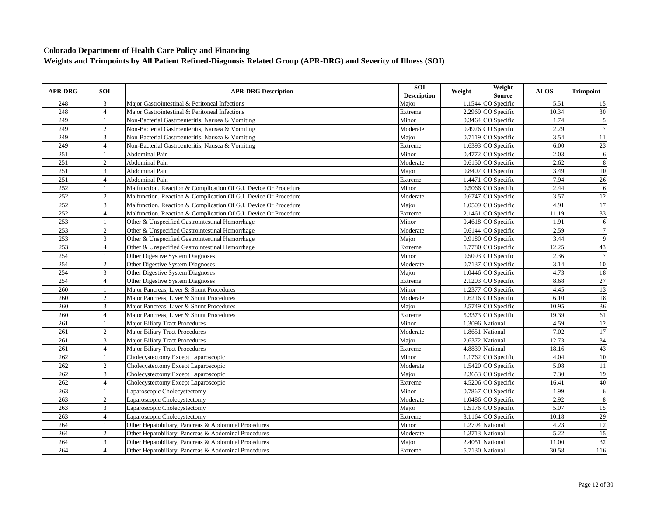| <b>APR-DRG</b> | SOI            | <b>APR-DRG Description</b>                                       | SOI<br><b>Description</b> | Weight | Weight<br>Source   | <b>ALOS</b> | <b>Trimpoint</b> |
|----------------|----------------|------------------------------------------------------------------|---------------------------|--------|--------------------|-------------|------------------|
| 248            | 3              | Major Gastrointestinal & Peritoneal Infections                   | Major                     |        | 1.1544 CO Specific | 5.51        | 15               |
| 248            | $\overline{4}$ | Major Gastrointestinal & Peritoneal Infections                   | Extreme                   |        | 2.2969 CO Specific | 10.34       | $\overline{30}$  |
| 249            | $\mathbf{1}$   | Non-Bacterial Gastroenteritis, Nausea & Vomiting                 | Minor                     |        | 0.3464 CO Specific | 1.74        | 5                |
| 249            | $\overline{2}$ | Non-Bacterial Gastroenteritis, Nausea & Vomiting                 | Moderate                  |        | 0.4926 CO Specific | 2.29        | $\overline{7}$   |
| 249            | $\overline{3}$ | Non-Bacterial Gastroenteritis, Nausea & Vomiting                 | Major                     |        | 0.7119 CO Specific | 3.54        | 11               |
| 249            | $\overline{4}$ | Non-Bacterial Gastroenteritis, Nausea & Vomiting                 | Extreme                   |        | 1.6393 CO Specific | 6.00        | 23               |
| 251            | $\overline{1}$ | Abdominal Pain                                                   | Minor                     |        | 0.4772 CO Specific | 2.03        | $\sqrt{6}$       |
| 251            | $\overline{2}$ | Abdominal Pain                                                   | Moderate                  |        | 0.6150 CO Specific | 2.62        | $\overline{8}$   |
| 251            | $\overline{3}$ | Abdominal Pain                                                   | Major                     |        | 0.8407 CO Specific | 3.49        | 10               |
| 251            | $\overline{4}$ | Abdominal Pain                                                   | Extreme                   |        | 1.4471 CO Specific | 7.94        | 26               |
| 252            | $\mathbf{1}$   | Malfunction, Reaction & Complication Of G.I. Device Or Procedure | Minor                     |        | 0.5066 CO Specific | 2.44        | 6                |
| 252            | $\overline{2}$ | Malfunction, Reaction & Complication Of G.I. Device Or Procedure | Moderate                  |        | 0.6747 CO Specific | 3.57        | 12               |
| 252            | $\mathfrak{Z}$ | Malfunction, Reaction & Complication Of G.I. Device Or Procedure | Major                     |        | 1.0509 CO Specific | 4.91        | $\overline{17}$  |
| 252            | $\overline{4}$ | Malfunction, Reaction & Complication Of G.I. Device Or Procedure | Extreme                   |        | 2.1461 CO Specific | 11.19       | 33               |
| 253            | $\mathbf{1}$   | Other & Unspecified Gastrointestinal Hemorrhage                  | Minor                     |        | 0.4618 CO Specific | 1.91        | 6                |
| 253            | $\overline{2}$ | Other & Unspecified Gastrointestinal Hemorrhage                  | Moderate                  |        | 0.6144 CO Specific | 2.59        | $\overline{7}$   |
| 253            | 3              | Other & Unspecified Gastrointestinal Hemorrhage                  | Major                     |        | 0.9180 CO Specific | 3.44        | 9                |
| 253            | $\overline{4}$ | Other & Unspecified Gastrointestinal Hemorrhage                  | Extreme                   |        | 1.7780 CO Specific | 12.25       | 43               |
| 254            | $\mathbf{1}$   | Other Digestive System Diagnoses                                 | Minor                     |        | 0.5093 CO Specific | 2.36        | $\overline{7}$   |
| 254            | $\overline{2}$ | Other Digestive System Diagnoses                                 | Moderate                  |        | 0.7137 CO Specific | 3.14        | 10               |
| 254            | 3              | <b>Other Digestive System Diagnoses</b>                          | Major                     |        | 1.0446 CO Specific | 4.73        | 18               |
| 254            | $\overline{4}$ | Other Digestive System Diagnoses                                 | Extreme                   |        | 2.1203 CO Specific | 8.68        | 27               |
| 260            | 1              | Major Pancreas, Liver & Shunt Procedures                         | Minor                     |        | 1.2377 CO Specific | 4.45        | 13               |
| 260            | $\overline{2}$ | Major Pancreas, Liver & Shunt Procedures                         | Moderate                  |        | 1.6216 CO Specific | 6.10        | 18               |
| 260            | $\overline{3}$ | Major Pancreas, Liver & Shunt Procedures                         | Major                     |        | 2.5749 CO Specific | 10.95       | 36               |
| 260            | $\overline{4}$ | Major Pancreas, Liver & Shunt Procedures                         | Extreme                   |        | 5.3373 CO Specific | 19.39       | 61               |
| 261            | $\overline{1}$ | Major Biliary Tract Procedures                                   | Minor                     |        | 1.3096 National    | 4.59        | 12               |
| 261            | $\overline{2}$ | <b>Major Biliary Tract Procedures</b>                            | Moderate                  |        | 1.8651 National    | 7.02        | 17               |
| 261            | 3              | <b>Major Biliary Tract Procedures</b>                            | Major                     |        | 2.6372 National    | 12.73       | 34               |
| 261            | $\overline{4}$ | <b>Major Biliary Tract Procedures</b>                            | Extreme                   |        | 4.8839 National    | 18.16       | 43               |
| 262            |                | Cholecystectomy Except Laparoscopic                              | Minor                     |        | 1.1762 CO Specific | 4.04        | 10               |
| 262            | 2              | Cholecystectomy Except Laparoscopic                              | Moderate                  |        | 1.5420 CO Specific | 5.08        | <b>11</b>        |
| 262            | 3              | Cholecystectomy Except Laparoscopic                              | Major                     |        | 2.3653 CO Specific | 7.30        | 19               |
| 262            | $\overline{4}$ | Cholecystectomy Except Laparoscopic                              | Extreme                   |        | 4.5206 CO Specific | 16.41       | 40               |
| 263            | $\mathbf{1}$   | Laparoscopic Cholecystectomy                                     | Minor                     |        | 0.7867 CO Specific | 1.99        | 6                |
| 263            | 2              | Laparoscopic Cholecystectomy                                     | Moderate                  |        | 1.0486 CO Specific | 2.92        | 8                |
| 263            | 3              | Laparoscopic Cholecystectomy                                     | Major                     |        | 1.5176 CO Specific | 5.07        | 15               |
| 263            | $\overline{4}$ | Laparoscopic Cholecystectomy                                     | Extreme                   |        | 3.1164 CO Specific | 10.18       | 29               |
| 264            | $\overline{1}$ | Other Hepatobiliary, Pancreas & Abdominal Procedures             | Minor                     |        | 1.2794 National    | 4.23        | 12               |
| 264            | $\overline{2}$ | Other Hepatobiliary, Pancreas & Abdominal Procedures             | Moderate                  |        | 1.3713 National    | 5.22        | $\overline{15}$  |
| 264            | $\overline{3}$ | Other Hepatobiliary, Pancreas & Abdominal Procedures             | Major                     |        | 2.4051 National    | 11.00       | $\overline{32}$  |
| 264            | $\overline{4}$ | Other Hepatobiliary, Pancreas & Abdominal Procedures             | Extreme                   |        | 5.7130 National    | 30.58       | 116              |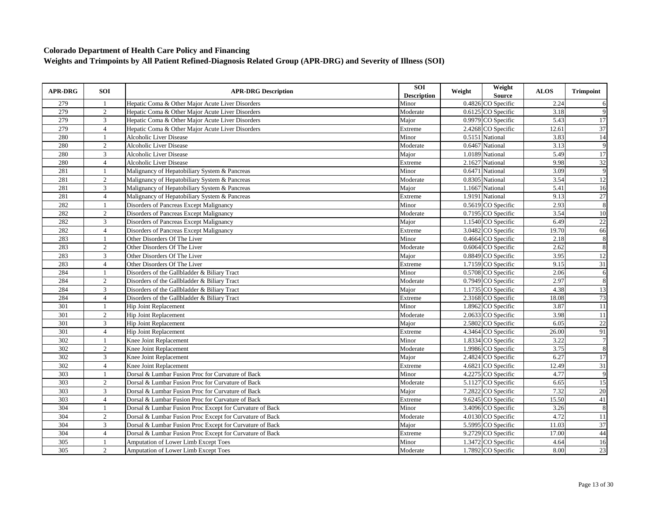| <b>APR-DRG</b> | SOI            | <b>APR-DRG Description</b>                               | SOI<br><b>Description</b> | Weight | Weight<br>Source   | <b>ALOS</b> | <b>Trimpoint</b> |
|----------------|----------------|----------------------------------------------------------|---------------------------|--------|--------------------|-------------|------------------|
| 279            | -1             | Hepatic Coma & Other Major Acute Liver Disorders         | Minor                     |        | 0.4826 CO Specific | 2.24        | 6                |
| 279            | $\overline{2}$ | Hepatic Coma & Other Major Acute Liver Disorders         | Moderate                  |        | 0.6125 CO Specific | 3.18        | 9                |
| 279            | $\mathfrak{Z}$ | Hepatic Coma & Other Major Acute Liver Disorders         | Major                     |        | 0.9979 CO Specific | 5.43        | 17               |
| 279            | $\overline{4}$ | Hepatic Coma & Other Major Acute Liver Disorders         | Extreme                   |        | 2.4268 CO Specific | 12.61       | 37               |
| 280            | $\overline{1}$ | <b>Alcoholic Liver Disease</b>                           | Minor                     |        | 0.5151 National    | 3.83        | 14               |
| 280            | $\sqrt{2}$     | <b>Alcoholic Liver Disease</b>                           | Moderate                  |        | 0.6467 National    | 3.13        | 9                |
| 280            | 3              | Alcoholic Liver Disease                                  | Major                     |        | 1.0189 National    | 5.49        | 17               |
| 280            | $\overline{4}$ | <b>Alcoholic Liver Disease</b>                           | Extreme                   |        | 2.1627 National    | 9.98        | $\overline{32}$  |
| 281            | $\overline{1}$ | Malignancy of Hepatobiliary System & Pancreas            | Minor                     |        | 0.6471 National    | 3.09        | $\overline{9}$   |
| 281            | 2              | Malignancy of Hepatobiliary System & Pancreas            | Moderate                  |        | 0.8305 National    | 3.54        | 12               |
| 281            | $\mathfrak{Z}$ | Malignancy of Hepatobiliary System & Pancreas            | Major                     |        | 1.1667 National    | 5.41        | 16               |
| 281            | $\overline{4}$ | Malignancy of Hepatobiliary System & Pancreas            | Extreme                   |        | 1.9191 National    | 9.13        | 27               |
| 282            | $\mathbf{1}$   | Disorders of Pancreas Except Malignancy                  | Minor                     |        | 0.5619 CO Specific | 2.93        | $\overline{8}$   |
| 282            | $\overline{2}$ | Disorders of Pancreas Except Malignancy                  | Moderate                  |        | 0.7195 CO Specific | 3.54        | 10               |
| 282            | 3              | Disorders of Pancreas Except Malignancy                  | Major                     |        | 1.1540 CO Specific | 6.49        | 22               |
| 282            | $\overline{4}$ | Disorders of Pancreas Except Malignancy                  | Extreme                   |        | 3.0482 CO Specific | 19.70       | 66               |
| 283            | $\mathbf{1}$   | Other Disorders Of The Liver                             | Minor                     |        | 0.4664 CO Specific | 2.18        | 8                |
| 283            | $\overline{2}$ | Other Disorders Of The Liver                             | Moderate                  |        | 0.6064 CO Specific | 2.62        | 8                |
| 283            | $\mathfrak{Z}$ | Other Disorders Of The Liver                             | Major                     |        | 0.8849 CO Specific | 3.95        | 12               |
| 283            | $\overline{4}$ | Other Disorders Of The Liver                             | Extreme                   |        | 1.7159 CO Specific | 9.15        | $\overline{31}$  |
| 284            | $\mathbf{1}$   | Disorders of the Gallbladder & Biliary Tract             | Minor                     |        | 0.5708 CO Specific | 2.06        | $\overline{6}$   |
| 284            | $\overline{2}$ | Disorders of the Gallbladder & Biliary Tract             | Moderate                  |        | 0.7949 CO Specific | 2.97        | $\overline{8}$   |
| 284            | $\overline{3}$ | Disorders of the Gallbladder & Biliary Tract             | Major                     |        | 1.1735 CO Specific | 4.38        | 13               |
| 284            | $\overline{4}$ | Disorders of the Gallbladder & Biliary Tract             | Extreme                   |        | 2.3168 CO Specific | 18.08       | 73               |
| 301            | $\mathbf{1}$   | Hip Joint Replacement                                    | Minor                     |        | 1.8962 CO Specific | 3.87        | $\overline{11}$  |
| 301            | 2              | Hip Joint Replacement                                    | Moderate                  |        | 2.0633 CO Specific | 3.98        | 11               |
| 301            | $\overline{3}$ | Hip Joint Replacement                                    | Maior                     |        | 2.5802 CO Specific | 6.05        | 22               |
| 301            | $\overline{4}$ | Hip Joint Replacement                                    | Extreme                   |        | 4.3464 CO Specific | 26.00       | 91               |
| 302            | $\mathbf{1}$   | Knee Joint Replacement                                   | Minor                     |        | 1.8334 CO Specific | 3.22        | $\overline{7}$   |
| 302            | $\overline{2}$ | Knee Joint Replacement                                   | Moderate                  |        | 1.9986 CO Specific | 3.75        | 8                |
| 302            | 3              | Knee Joint Replacement                                   | Major                     |        | 2.4824 CO Specific | 6.27        | $\overline{17}$  |
| 302            | $\overline{4}$ | Knee Joint Replacement                                   | Extreme                   |        | 4.6821 CO Specific | 12.49       | $\overline{31}$  |
| 303            | 1              | Dorsal & Lumbar Fusion Proc for Curvature of Back        | Minor                     |        | 4.2275 CO Specific | 4.77        | 9                |
| 303            | $\overline{2}$ | Dorsal & Lumbar Fusion Proc for Curvature of Back        | Moderate                  |        | 5.1127 CO Specific | 6.65        | 15               |
| 303            | 3              | Dorsal & Lumbar Fusion Proc for Curvature of Back        | Major                     |        | 7.2822 CO Specific | 7.32        | 20               |
| 303            | $\overline{4}$ | Dorsal & Lumbar Fusion Proc for Curvature of Back        | Extreme                   |        | 9.6245 CO Specific | 15.50       | $\overline{41}$  |
| 304            | $\mathbf{1}$   | Dorsal & Lumbar Fusion Proc Except for Curvature of Back | Minor                     |        | 3.4096 CO Specific | 3.26        | 8                |
| 304            | 2              | Dorsal & Lumbar Fusion Proc Except for Curvature of Back | Moderate                  |        | 4.0130 CO Specific | 4.72        | 11               |
| 304            | 3              | Dorsal & Lumbar Fusion Proc Except for Curvature of Back | Major                     |        | 5.5995 CO Specific | 11.03       | 37               |
| 304            | $\overline{4}$ | Dorsal & Lumbar Fusion Proc Except for Curvature of Back | Extreme                   |        | 9.2729 CO Specific | 17.00       | 44               |
| 305            | 1              | Amputation of Lower Limb Except Toes                     | Minor                     |        | 1.3472 CO Specific | 4.64        | 16               |
| 305            | 2              | <b>Amputation of Lower Limb Except Toes</b>              | Moderate                  |        | 1.7892 CO Specific | 8.00        | 23               |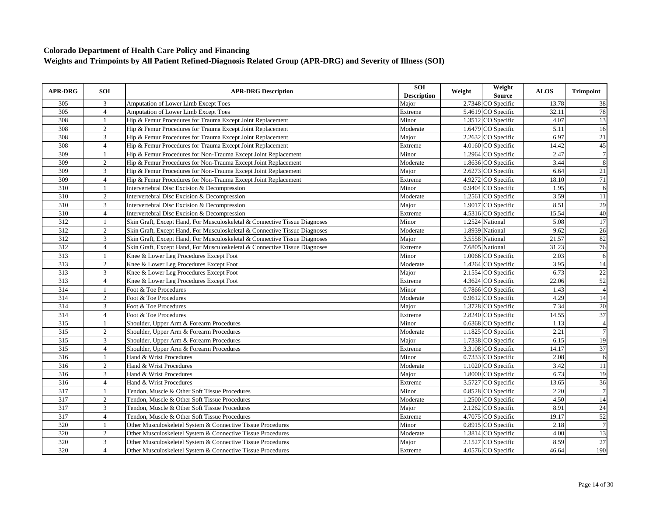| 3<br>2.7348 CO Specific<br>305<br>Amputation of Lower Limb Except Toes<br>Major<br>13.78<br>305<br>$\overline{4}$<br>5.4619 CO Specific<br>32.11<br>Amputation of Lower Limb Except Toes<br>Extreme<br>308<br>1.3512 CO Specific<br>4.07<br>Hip & Femur Procedures for Trauma Except Joint Replacement<br>Minor<br>1<br>308<br>1.6479 CO Specific<br>$\overline{2}$<br>Hip & Femur Procedures for Trauma Except Joint Replacement<br>Moderate<br>5.11<br>3<br>2.2632 CO Specific<br>6.97<br>308<br>Hip & Femur Procedures for Trauma Except Joint Replacement<br>Major<br>308<br>$\overline{4}$<br>4.0160 CO Specific<br>14.42<br>Hip & Femur Procedures for Trauma Except Joint Replacement<br>Extreme<br>309<br>1.2964 CO Specific<br>2.47<br>Hip & Femur Procedures for Non-Trauma Except Joint Replacement<br>Minor<br>$\mathbf{1}$<br>309<br>2<br>1.8636 CO Specific<br>3.44<br>Hip & Femur Procedures for Non-Trauma Except Joint Replacement<br>Moderate<br>309<br>3<br>6.64<br>Major<br>2.6273 CO Specific<br>Hip & Femur Procedures for Non-Trauma Except Joint Replacement | <b>APR-DRG</b> | <b>SOI</b>     | <b>APR-DRG Description</b>                                     | SOI<br><b>Description</b> | Weight | Weight<br>Source | <b>ALOS</b> | <b>Trimpoint</b> |
|--------------------------------------------------------------------------------------------------------------------------------------------------------------------------------------------------------------------------------------------------------------------------------------------------------------------------------------------------------------------------------------------------------------------------------------------------------------------------------------------------------------------------------------------------------------------------------------------------------------------------------------------------------------------------------------------------------------------------------------------------------------------------------------------------------------------------------------------------------------------------------------------------------------------------------------------------------------------------------------------------------------------------------------------------------------------------------------|----------------|----------------|----------------------------------------------------------------|---------------------------|--------|------------------|-------------|------------------|
|                                                                                                                                                                                                                                                                                                                                                                                                                                                                                                                                                                                                                                                                                                                                                                                                                                                                                                                                                                                                                                                                                      |                |                |                                                                |                           |        |                  |             | 38               |
|                                                                                                                                                                                                                                                                                                                                                                                                                                                                                                                                                                                                                                                                                                                                                                                                                                                                                                                                                                                                                                                                                      |                |                |                                                                |                           |        |                  |             | 78               |
|                                                                                                                                                                                                                                                                                                                                                                                                                                                                                                                                                                                                                                                                                                                                                                                                                                                                                                                                                                                                                                                                                      |                |                |                                                                |                           |        |                  |             | 13               |
|                                                                                                                                                                                                                                                                                                                                                                                                                                                                                                                                                                                                                                                                                                                                                                                                                                                                                                                                                                                                                                                                                      |                |                |                                                                |                           |        |                  |             | 16               |
|                                                                                                                                                                                                                                                                                                                                                                                                                                                                                                                                                                                                                                                                                                                                                                                                                                                                                                                                                                                                                                                                                      |                |                |                                                                |                           |        |                  |             | 21               |
|                                                                                                                                                                                                                                                                                                                                                                                                                                                                                                                                                                                                                                                                                                                                                                                                                                                                                                                                                                                                                                                                                      |                |                |                                                                |                           |        |                  |             | 45               |
|                                                                                                                                                                                                                                                                                                                                                                                                                                                                                                                                                                                                                                                                                                                                                                                                                                                                                                                                                                                                                                                                                      |                |                |                                                                |                           |        |                  |             | $\overline{7}$   |
|                                                                                                                                                                                                                                                                                                                                                                                                                                                                                                                                                                                                                                                                                                                                                                                                                                                                                                                                                                                                                                                                                      |                |                |                                                                |                           |        |                  |             | 8                |
|                                                                                                                                                                                                                                                                                                                                                                                                                                                                                                                                                                                                                                                                                                                                                                                                                                                                                                                                                                                                                                                                                      |                |                |                                                                |                           |        |                  |             | 21               |
| 4.9272 CO Specific                                                                                                                                                                                                                                                                                                                                                                                                                                                                                                                                                                                                                                                                                                                                                                                                                                                                                                                                                                                                                                                                   | 309            | $\overline{4}$ | Hip & Femur Procedures for Non-Trauma Except Joint Replacement | Extreme                   |        |                  | 18.10       | 71               |
| 0.9404 CO Specific<br>310<br>Minor<br>1.95<br>Intervertebral Disc Excision & Decompression<br>1                                                                                                                                                                                                                                                                                                                                                                                                                                                                                                                                                                                                                                                                                                                                                                                                                                                                                                                                                                                      |                |                |                                                                |                           |        |                  |             | 6                |
| 310<br>$\overline{2}$<br>3.59<br>1.2561 CO Specific<br>Intervertebral Disc Excision & Decompression<br>Moderate                                                                                                                                                                                                                                                                                                                                                                                                                                                                                                                                                                                                                                                                                                                                                                                                                                                                                                                                                                      |                |                |                                                                |                           |        |                  |             | 11               |
| $\overline{3}$<br>1.9017 CO Specific<br>8.51<br>310<br>Intervertebral Disc Excision & Decompression<br>Major                                                                                                                                                                                                                                                                                                                                                                                                                                                                                                                                                                                                                                                                                                                                                                                                                                                                                                                                                                         |                |                |                                                                |                           |        |                  |             | 29               |
| 310<br>$\overline{4}$<br>4.5316 CO Specific<br>15.54<br>Intervertebral Disc Excision & Decompression<br>Extreme                                                                                                                                                                                                                                                                                                                                                                                                                                                                                                                                                                                                                                                                                                                                                                                                                                                                                                                                                                      |                |                |                                                                |                           |        |                  |             | 40               |
| 312<br>1.2524 National<br>Skin Graft, Except Hand, For Musculoskeletal & Connective Tissue Diagnoses<br>Minor<br>5.08                                                                                                                                                                                                                                                                                                                                                                                                                                                                                                                                                                                                                                                                                                                                                                                                                                                                                                                                                                |                |                |                                                                |                           |        |                  |             | 17               |
| 312<br>$\overline{2}$<br>1.8939 National<br>9.62<br>Skin Graft, Except Hand, For Musculoskeletal & Connective Tissue Diagnoses<br>Moderate                                                                                                                                                                                                                                                                                                                                                                                                                                                                                                                                                                                                                                                                                                                                                                                                                                                                                                                                           |                |                |                                                                |                           |        |                  |             | 26               |
| 312<br>3.5558 National<br>21.57<br>3<br>Skin Graft, Except Hand, For Musculoskeletal & Connective Tissue Diagnoses<br>Major                                                                                                                                                                                                                                                                                                                                                                                                                                                                                                                                                                                                                                                                                                                                                                                                                                                                                                                                                          |                |                |                                                                |                           |        |                  |             | 82               |
| 312<br>$\overline{4}$<br>7.6805 National<br>31.23<br>Skin Graft, Except Hand, For Musculoskeletal & Connective Tissue Diagnoses<br>Extreme                                                                                                                                                                                                                                                                                                                                                                                                                                                                                                                                                                                                                                                                                                                                                                                                                                                                                                                                           |                |                |                                                                |                           |        |                  |             | 76               |
| 313<br>2.03<br>Minor<br>1.0066 CO Specific<br>1<br>Knee & Lower Leg Procedures Except Foot                                                                                                                                                                                                                                                                                                                                                                                                                                                                                                                                                                                                                                                                                                                                                                                                                                                                                                                                                                                           |                |                |                                                                |                           |        |                  |             | 6                |
| 313<br>$\overline{2}$<br>1.4264 CO Specific<br>3.95<br>Knee & Lower Leg Procedures Except Foot<br>Moderate                                                                                                                                                                                                                                                                                                                                                                                                                                                                                                                                                                                                                                                                                                                                                                                                                                                                                                                                                                           |                |                |                                                                |                           |        |                  |             | 14               |
| 313<br>3<br>2.1554 CO Specific<br>6.73<br>Knee & Lower Leg Procedures Except Foot<br>Major                                                                                                                                                                                                                                                                                                                                                                                                                                                                                                                                                                                                                                                                                                                                                                                                                                                                                                                                                                                           |                |                |                                                                |                           |        |                  |             | 22               |
| 313<br>22.06<br>4.3624 CO Specific<br>$\overline{4}$<br>Knee & Lower Leg Procedures Except Foot<br>Extreme                                                                                                                                                                                                                                                                                                                                                                                                                                                                                                                                                                                                                                                                                                                                                                                                                                                                                                                                                                           |                |                |                                                                |                           |        |                  |             | 52               |
| 314<br>0.7866 CO Specific<br>1.43<br>Foot & Toe Procedures<br>Minor<br>$\mathbf{1}$                                                                                                                                                                                                                                                                                                                                                                                                                                                                                                                                                                                                                                                                                                                                                                                                                                                                                                                                                                                                  |                |                |                                                                |                           |        |                  |             | $\overline{4}$   |
| 314<br>$\overline{2}$<br>0.9612 CO Specific<br>Foot & Toe Procedures<br>Moderate<br>4.29                                                                                                                                                                                                                                                                                                                                                                                                                                                                                                                                                                                                                                                                                                                                                                                                                                                                                                                                                                                             |                |                |                                                                |                           |        |                  |             | 14               |
| 314<br>3<br>7.34<br>1.3728 CO Specific<br>Foot & Toe Procedures<br>Major                                                                                                                                                                                                                                                                                                                                                                                                                                                                                                                                                                                                                                                                                                                                                                                                                                                                                                                                                                                                             |                |                |                                                                |                           |        |                  |             | 20               |
| 314<br>14.55<br>$\overline{4}$<br>2.8240 CO Specific<br>Foot & Toe Procedures<br>Extreme                                                                                                                                                                                                                                                                                                                                                                                                                                                                                                                                                                                                                                                                                                                                                                                                                                                                                                                                                                                             |                |                |                                                                |                           |        |                  |             | 37               |
| 315<br>Shoulder, Upper Arm & Forearm Procedures<br>Minor<br>0.6368 CO Specific<br>1.13<br>$\overline{1}$                                                                                                                                                                                                                                                                                                                                                                                                                                                                                                                                                                                                                                                                                                                                                                                                                                                                                                                                                                             |                |                |                                                                |                           |        |                  |             | $\overline{4}$   |
| 315<br>$\overline{2}$<br>2.21<br>1.1825 CO Specific<br>Shoulder, Upper Arm & Forearm Procedures<br>Moderate                                                                                                                                                                                                                                                                                                                                                                                                                                                                                                                                                                                                                                                                                                                                                                                                                                                                                                                                                                          |                |                |                                                                |                           |        |                  |             | $\overline{7}$   |
| 315<br>3<br>Major<br>1.7338 CO Specific<br>6.15<br>Shoulder, Upper Arm & Forearm Procedures                                                                                                                                                                                                                                                                                                                                                                                                                                                                                                                                                                                                                                                                                                                                                                                                                                                                                                                                                                                          |                |                |                                                                |                           |        |                  |             | 19               |
| 315<br>$\overline{4}$<br>Shoulder, Upper Arm & Forearm Procedures<br>Extreme<br>3.3108 CO Specific<br>14.17                                                                                                                                                                                                                                                                                                                                                                                                                                                                                                                                                                                                                                                                                                                                                                                                                                                                                                                                                                          |                |                |                                                                |                           |        |                  |             | 37               |
| 316<br>2.08<br>Hand & Wrist Procedures<br>Minor<br>0.7333 CO Specific                                                                                                                                                                                                                                                                                                                                                                                                                                                                                                                                                                                                                                                                                                                                                                                                                                                                                                                                                                                                                |                |                |                                                                |                           |        |                  |             | 6                |
| 316<br>$\overline{2}$<br>3.42<br>Hand & Wrist Procedures<br>Moderate<br>1.1020 CO Specific                                                                                                                                                                                                                                                                                                                                                                                                                                                                                                                                                                                                                                                                                                                                                                                                                                                                                                                                                                                           |                |                |                                                                |                           |        |                  |             | <b>11</b>        |
| 316<br>3<br>1.8000 CO Specific<br>6.73<br>Hand & Wrist Procedures<br>Major                                                                                                                                                                                                                                                                                                                                                                                                                                                                                                                                                                                                                                                                                                                                                                                                                                                                                                                                                                                                           |                |                |                                                                |                           |        |                  |             | 19               |
| 316<br>3.5727 CO Specific<br>13.65<br>$\overline{4}$<br>Hand & Wrist Procedures<br>Extreme                                                                                                                                                                                                                                                                                                                                                                                                                                                                                                                                                                                                                                                                                                                                                                                                                                                                                                                                                                                           |                |                |                                                                |                           |        |                  |             | 36               |
| $\overline{317}$<br>$\overline{1}$<br>Tendon, Muscle & Other Soft Tissue Procedures<br>Minor<br>0.8528 CO Specific<br>2.20                                                                                                                                                                                                                                                                                                                                                                                                                                                                                                                                                                                                                                                                                                                                                                                                                                                                                                                                                           |                |                |                                                                |                           |        |                  |             | $\overline{7}$   |
| 317<br>$\overline{2}$<br>1.2500 CO Specific<br>4.50<br>Tendon, Muscle & Other Soft Tissue Procedures<br>Moderate                                                                                                                                                                                                                                                                                                                                                                                                                                                                                                                                                                                                                                                                                                                                                                                                                                                                                                                                                                     |                |                |                                                                |                           |        |                  |             | 14               |
| 2.1262 CO Specific<br>317<br>3<br>Tendon, Muscle & Other Soft Tissue Procedures<br>Major<br>8.91                                                                                                                                                                                                                                                                                                                                                                                                                                                                                                                                                                                                                                                                                                                                                                                                                                                                                                                                                                                     |                |                |                                                                |                           |        |                  |             | 24               |
| 317<br>$\overline{4}$<br>4.7075 CO Specific<br>19.17<br>Tendon, Muscle & Other Soft Tissue Procedures<br>Extreme                                                                                                                                                                                                                                                                                                                                                                                                                                                                                                                                                                                                                                                                                                                                                                                                                                                                                                                                                                     |                |                |                                                                |                           |        |                  |             | 52               |
| 320<br>Minor<br>0.8915 CO Specific<br>2.18<br>Other Musculoskeletel System & Connective Tissue Procedures<br>$\mathbf{1}$                                                                                                                                                                                                                                                                                                                                                                                                                                                                                                                                                                                                                                                                                                                                                                                                                                                                                                                                                            |                |                |                                                                |                           |        |                  |             | $\overline{7}$   |
| 320<br>$\overline{2}$<br>Other Musculoskeletel System & Connective Tissue Procedures<br>1.3814 CO Specific<br>4.00<br>Moderate                                                                                                                                                                                                                                                                                                                                                                                                                                                                                                                                                                                                                                                                                                                                                                                                                                                                                                                                                       |                |                |                                                                |                           |        |                  |             | 13               |
| 320<br>$\overline{3}$<br>Other Musculoskeletel System & Connective Tissue Procedures<br>2.1527 CO Specific<br>8.59<br>Major                                                                                                                                                                                                                                                                                                                                                                                                                                                                                                                                                                                                                                                                                                                                                                                                                                                                                                                                                          |                |                |                                                                |                           |        |                  |             | 27               |
| 320<br>$\overline{4}$<br>Extreme<br>4.0576 CO Specific<br>46.64<br>Other Musculoskeletel System & Connective Tissue Procedures                                                                                                                                                                                                                                                                                                                                                                                                                                                                                                                                                                                                                                                                                                                                                                                                                                                                                                                                                       |                |                |                                                                |                           |        |                  |             | 190              |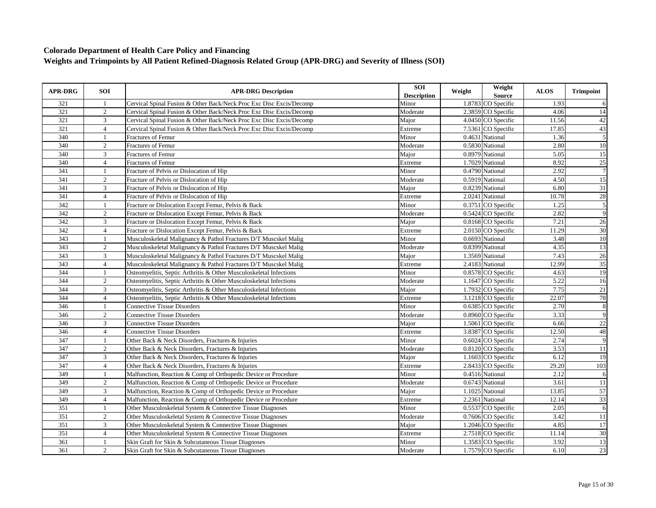| <b>APR-DRG</b> | <b>SOI</b>     | <b>APR-DRG Description</b>                                          | SOI<br><b>Description</b> | Weight | Weight<br>Source     | <b>ALOS</b> | <b>Trimpoint</b> |
|----------------|----------------|---------------------------------------------------------------------|---------------------------|--------|----------------------|-------------|------------------|
| 321            | -1             | Cervical Spinal Fusion & Other Back/Neck Proc Exc Disc Excis/Decomp | Minor                     |        | 1.8783 CO Specific   | 1.93        | 6                |
| 321            | $\overline{2}$ | Cervical Spinal Fusion & Other Back/Neck Proc Exc Disc Excis/Decomp | Moderate                  |        | 2.3859 CO Specific   | 4.06        | 14               |
| 321            | 3              | Cervical Spinal Fusion & Other Back/Neck Proc Exc Disc Excis/Decomp | Major                     |        | 4.0450 CO Specific   | 11.56       | 42               |
| 321            | $\overline{4}$ | Cervical Spinal Fusion & Other Back/Neck Proc Exc Disc Excis/Decomp | Extreme                   |        | 7.5361 CO Specific   | 17.85       | 43               |
| 340            | $\mathbf{1}$   | Fractures of Femur                                                  | Minor                     |        | 0.4631 National      | 1.36        | 5                |
| 340            | $\sqrt{2}$     | <b>Fractures of Femur</b>                                           | Moderate                  |        | 0.5830 National      | 2.80        | 10               |
| 340            | 3              | <b>Fractures of Femur</b>                                           | Major                     |        | 0.8979 National      | 5.05        | $\overline{15}$  |
| 340            | $\overline{4}$ | Fractures of Femur                                                  | Extreme                   |        | 1.7029 National      | 8.92        | 25               |
| 341            |                | Fracture of Pelvis or Dislocation of Hip                            | Minor                     |        | 0.4790 National      | 2.92        | $\overline{7}$   |
| 341            | $\overline{2}$ | Fracture of Pelvis or Dislocation of Hip                            | Moderate                  |        | 0.5919 National      | 4.50        | 15               |
| 341            | 3              | Fracture of Pelvis or Dislocation of Hip                            | Major                     |        | 0.8239 National      | 6.80        | 31               |
| 341            | $\overline{4}$ | Fracture of Pelvis or Dislocation of Hip                            | Extreme                   |        | 2.0241 National      | 10.78       | 28               |
| 342            | $\mathbf{1}$   | Fracture or Dislocation Except Femur, Pelvis & Back                 | Minor                     |        | 0.3751 CO Specific   | 1.25        | $\overline{5}$   |
| 342            | $\overline{2}$ | Fracture or Dislocation Except Femur, Pelvis & Back                 | Moderate                  |        | 0.5424 CO Specific   | 2.82        | $\overline{9}$   |
| 342            | 3              | Fracture or Dislocation Except Femur, Pelvis & Back                 | Major                     |        | 0.8168 CO Specific   | 7.21        | 26               |
| 342            | $\overline{4}$ | Fracture or Dislocation Except Femur, Pelvis & Back                 | Extreme                   |        | 2.0150 CO Specific   | 11.29       | 30               |
| 343            |                | Musculoskeletal Malignancy & Pathol Fractures D/T Muscskel Malig    | Minor                     |        | 0.6693 National      | 3.48        | 10               |
| 343            | 2              | Musculoskeletal Malignancy & Pathol Fractures D/T Muscskel Malig    | Moderate                  |        | 0.8399 National      | 4.35        | 13               |
| 343            | 3              | Musculoskeletal Malignancy & Pathol Fractures D/T Muscskel Malig    | Major                     |        | 1.3569 National      | 7.43        | 26               |
| 343            | $\overline{4}$ | Musculoskeletal Malignancy & Pathol Fractures D/T Muscskel Malig    | Extreme                   |        | 2.4183 National      | 12.99       | 35               |
| 344            | $\mathbf{1}$   | Osteomyelitis, Septic Arthritis & Other Musculoskeletal Infections  | Minor                     |        | 0.8578 CO Specific   | 4.63        | 19               |
| 344            | $\sqrt{2}$     | Osteomyelitis, Septic Arthritis & Other Musculoskeletal Infections  | Moderate                  |        | 1.1647 CO Specific   | 5.22        | 16               |
| 344            | 3              | Osteomyelitis, Septic Arthritis & Other Musculoskeletal Infections  | Major                     |        | 1.7932 CO Specific   | 7.75        | 21               |
| 344            | $\overline{4}$ | Osteomyelitis, Septic Arthritis & Other Musculoskeletal Infections  | Extreme                   |        | 3.1218 CO Specific   | 22.07       | 78               |
| 346            |                | <b>Connective Tissue Disorders</b>                                  | Minor                     |        | 0.6385 CO Specific   | 2.70        | 8                |
| 346            | $\overline{2}$ | <b>Connective Tissue Disorders</b>                                  | Moderate                  |        | 0.8960 CO Specific   | 3.33        | $\overline{9}$   |
| 346            | 3              | <b>Connective Tissue Disorders</b>                                  | Major                     |        | 1.5061 CO Specific   | 6.66        | 22               |
| 346            | $\overline{4}$ | <b>Connective Tissue Disorders</b>                                  | Extreme                   |        | 3.8387 CO Specific   | 12.50       | 48               |
| 347            | -1             | Other Back & Neck Disorders, Fractures & Injuries                   | Minor                     |        | $0.6024$ CO Specific | 2.74        | 9                |
| 347            | 2              | Other Back & Neck Disorders, Fractures & Injuries                   | Moderate                  |        | 0.8120 CO Specific   | 3.53        | 11               |
| 347            | 3              | Other Back & Neck Disorders, Fractures & Injuries                   | Major                     |        | 1.1603 CO Specific   | 6.12        | $\overline{19}$  |
| 347            | $\overline{4}$ | Other Back & Neck Disorders, Fractures & Injuries                   | Extreme                   |        | 2.8433 CO Specific   | 29.20       | 103              |
| 349            | $\mathbf{1}$   | Malfunction, Reaction & Comp of Orthopedic Device or Procedure      | Minor                     |        | 0.4516 National      | 2.12        | 6                |
| 349            | 2              | Malfunction, Reaction & Comp of Orthopedic Device or Procedure      | Moderate                  |        | 0.6743 National      | 3.61        | <sup>11</sup>    |
| 349            | $\mathfrak{Z}$ | Malfunction, Reaction & Comp of Orthopedic Device or Procedure      | Major                     |        | 1.1025 National      | 13.85       | 57               |
| 349            | $\overline{4}$ | Malfunction, Reaction & Comp of Orthopedic Device or Procedure      | Extreme                   |        | 2.2361 National      | 12.14       | 33               |
| 351            | $\mathbf{1}$   | Other Musculoskeletal System & Connective Tissue Diagnoses          | Minor                     |        | 0.5537 CO Specific   | 2.05        | 6                |
| 351            | $\overline{2}$ | Other Musculoskeletal System & Connective Tissue Diagnoses          | Moderate                  |        | 0.7606 CO Specific   | 3.42        | 11               |
| 351            | 3              | Other Musculoskeletal System & Connective Tissue Diagnoses          | Major                     |        | 1.2046 CO Specific   | 4.85        | 17               |
| 351            | $\overline{4}$ | Other Musculoskeletal System & Connective Tissue Diagnoses          | Extreme                   |        | 2.7518 CO Specific   | 11.14       | 30               |
| 361            | $\mathbf{1}$   | Skin Graft for Skin & Subcutaneous Tissue Diagnoses                 | Minor                     |        | 1.3583 CO Specific   | 3.92        | 13               |
| 361            | $\overline{2}$ | Skin Graft for Skin & Subcutaneous Tissue Diagnoses                 | Moderate                  |        | 1.7579 CO Specific   | 6.10        | 23               |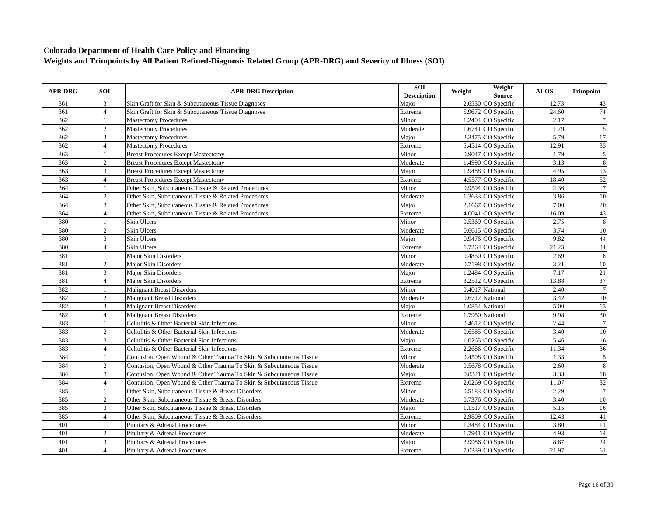| <b>APR-DRG</b> | <b>SOI</b>     | <b>APR-DRG Description</b>                                         | SOI<br><b>Description</b> | Weight | Weight<br><b>Source</b>         | <b>ALOS</b> | <b>Trimpoint</b> |
|----------------|----------------|--------------------------------------------------------------------|---------------------------|--------|---------------------------------|-------------|------------------|
| 361            | 3              | Skin Graft for Skin & Subcutaneous Tissue Diagnoses                | Major                     |        | 2.6530 CO Specific              | 12.73       | 43               |
| 361            | $\overline{4}$ | Skin Graft for Skin & Subcutaneous Tissue Diagnoses                | Extreme                   |        | 5.9672 CO Specific              | 24.60       | 74               |
| 362            | $\mathbf{1}$   | <b>Mastectomy Procedures</b>                                       | Minor                     |        | 1.2404 CO Specific              | 2.17        | $\overline{7}$   |
| 362            | $\overline{2}$ | <b>Mastectomy Procedures</b>                                       | Moderate                  |        | 1.6741 CO Specific              | 1.79        | 5                |
| 362            | $\overline{3}$ | <b>Mastectomy Procedures</b>                                       | Major                     |        | 2.3475 CO Specific              | 5.79        | 17               |
| 362            | $\overline{4}$ | <b>Mastectomy Procedures</b>                                       | Extreme                   |        | 5.4514 CO Specific              | 12.91       | 33               |
| 363            | $\overline{1}$ | <b>Breast Procedures Except Mastectomy</b>                         | Minor                     |        | 0.9047 CO Specific              | 1.79        | $\overline{5}$   |
| 363            | $\overline{2}$ | <b>Breast Procedures Except Mastectomy</b>                         | Moderate                  |        | 1.4990 CO Specific              | 3.13        | $\overline{8}$   |
| 363            | $\overline{3}$ | <b>Breast Procedures Except Mastectomy</b>                         | Major                     |        | 1.9488 CO Specific              | 4.95        | 13               |
| 363            | $\overline{4}$ | <b>Breast Procedures Except Mastectomy</b>                         | Extreme                   |        | 4.5577 CO Specific              | 18.40       | $\overline{52}$  |
| 364            | $\mathbf{1}$   | Other Skin, Subcutaneous Tissue & Related Procedures               | Minor                     |        | 0.9594 CO Specific              | 2.36        | $\overline{7}$   |
| 364            | $\overline{2}$ | Other Skin, Subcutaneous Tissue & Related Procedures               | Moderate                  |        | 1.3633 CO Specific              | 3.86        | 10               |
| 364            | 3              | Other Skin, Subcutaneous Tissue & Related Procedures               | Major                     |        | 2.1667 CO Specific              | 7.00        | 20               |
| 364            | $\overline{4}$ | Other Skin, Subcutaneous Tissue & Related Procedures               | Extreme                   |        | 4.0041 CO Specific              | 16.09       | 43               |
| 380            | $\mathbf{1}$   | Skin Ulcers                                                        | Minor                     |        | 0.5369 CO Specific              | 2.75        | 8                |
| 380            | $\overline{2}$ | Skin Ulcers                                                        | Moderate                  |        | 0.6615 CO Specific              | 3.74        | 10               |
| 380            | 3              | Skin Ulcers                                                        | Major                     |        | 0.9476 CO Specific              | 9.82        | 44               |
| 380            | $\overline{4}$ | Skin Ulcers                                                        | Extreme                   |        | 1.7264 CO Specific              | 21.23       | 84               |
| 381            | $\mathbf{1}$   | Major Skin Disorders                                               | Minor                     |        | 0.4850 CO Specific              | 2.69        | $\,$ 8 $\,$      |
| 381            | $\overline{2}$ | Major Skin Disorders                                               | Moderate                  |        | $\overline{0.7198}$ CO Specific | 3.21        | 10               |
| 381            | 3              | Major Skin Disorders                                               | Major                     |        | 1.2484 CO Specific              | 7.17        | 21               |
| 381            | $\overline{4}$ | Maior Skin Disorders                                               | Extreme                   |        | 3.2512 CO Specific              | 13.88       | 37               |
| 382            | 1              | <b>Malignant Breast Disorders</b>                                  | Minor                     |        | 0.4017 National                 | 2.40        | $\overline{7}$   |
| 382            | 2              | <b>Malignant Breast Disorders</b>                                  | Moderate                  |        | 0.6712 National                 | 3.42        | 10               |
| 382            | $\overline{3}$ | <b>Malignant Breast Disorders</b>                                  | Major                     |        | 1.0854 National                 | 5.00        | $\overline{13}$  |
| 382            | $\overline{4}$ | <b>Malignant Breast Disorders</b>                                  | Extreme                   |        | 1.7950 National                 | 9.98        | 30               |
| 383            | $\overline{1}$ | Cellulitis & Other Bacterial Skin Infections                       | Minor                     |        | $0.4612$ CO Specific            | 2.44        | $\overline{7}$   |
| 383            | $\overline{2}$ | Cellulitis & Other Bacterial Skin Infections                       | Moderate                  |        | 0.6585 CO Specific              | 3.40        | 10               |
| 383            | 3              | Cellulitis & Other Bacterial Skin Infections                       | Major                     |        | 1.0265 CO Specific              | 5.46        | 16               |
| 383            | $\overline{4}$ | Cellulitis & Other Bacterial Skin Infections                       | Extreme                   |        | 2.2686 CO Specific              | 11.34       | 36               |
| 384            |                | Contusion, Open Wound & Other Trauma To Skin & Subcutaneous Tissue | Minor                     |        | 0.4508 CO Specific              | 1.33        | 5                |
| 384            | 2              | Contusion, Open Wound & Other Trauma To Skin & Subcutaneous Tissue | Moderate                  |        | 0.5678 CO Specific              | 2.60        | 8                |
| 384            | 3              | Contusion, Open Wound & Other Trauma To Skin & Subcutaneous Tissue | Major                     |        | 0.8321 CO Specific              | 3.33        | 18               |
| 384            | $\overline{4}$ | Contusion, Open Wound & Other Trauma To Skin & Subcutaneous Tissue | Extreme                   |        | 2.0269 CO Specific              | 11.07       | 32               |
| 385            | $\mathbf{1}$   | Other Skin, Subcutaneous Tissue & Breast Disorders                 | Minor                     |        | 0.5183 CO Specific              | 2.29        | $\overline{7}$   |
| 385            | 2              | Other Skin, Subcutaneous Tissue & Breast Disorders                 | Moderate                  |        | 0.7376 CO Specific              | 3.40        | $\overline{10}$  |
| 385            | 3              | Other Skin, Subcutaneous Tissue & Breast Disorders                 | Major                     |        | 1.1517 CO Specific              | 5.15        | 16               |
| 385            | $\overline{4}$ | Other Skin, Subcutaneous Tissue & Breast Disorders                 | Extreme                   |        | 2.9809 CO Specific              | 12.43       | 41               |
| 401            | $\overline{1}$ | Pituitary & Adrenal Procedures                                     | Minor                     |        | 1.3484 CO Specific              | 3.80        | 11               |
| 401            | $\overline{2}$ | Pituitary & Adrenal Procedures                                     | Moderate                  |        | 1.7941 CO Specific              | 4.93        | 14               |
| 401            | $\mathbf{3}$   | Pituitary & Adrenal Procedures                                     | Major                     |        | 2.9986 CO Specific              | 8.67        | $\overline{24}$  |
| 401            | $\overline{4}$ | Pituitary & Adrenal Procedures                                     | Extreme                   |        | 7.0339 CO Specific              | 21.97       | 61               |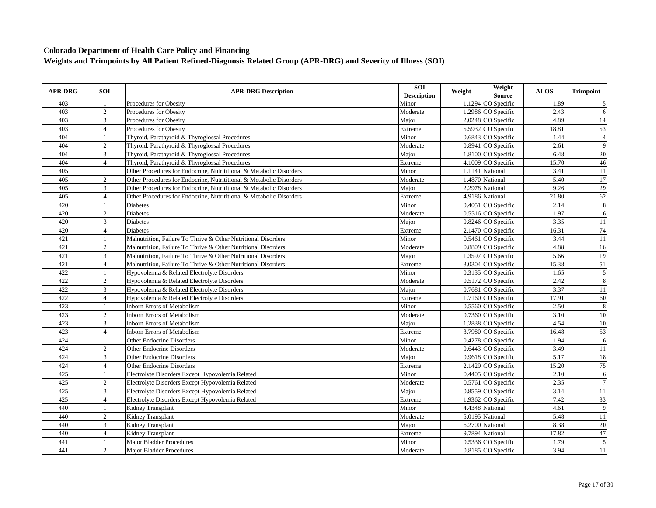| <b>APR-DRG</b> | <b>SOI</b>     | <b>APR-DRG Description</b>                                          | <b>SOI</b><br><b>Description</b> | Weight | Weight<br><b>Source</b> | <b>ALOS</b> | <b>Trimpoint</b>        |
|----------------|----------------|---------------------------------------------------------------------|----------------------------------|--------|-------------------------|-------------|-------------------------|
| 403            |                | Procedures for Obesity                                              | Minor                            |        | 1.1294 CO Specific      | 1.89        | 5                       |
| 403            | $\overline{2}$ | Procedures for Obesity                                              | Moderate                         |        | 1.2986 CO Specific      | 2.43        | 6                       |
| 403            | $\mathbf{3}$   | Procedures for Obesity                                              | Major                            |        | 2.0248 CO Specific      | 4.89        | 14                      |
| 403            | $\overline{4}$ | Procedures for Obesity                                              | Extreme                          |        | 5.5932 CO Specific      | 18.81       | 53                      |
| 404            |                | Thyroid, Parathyroid & Thyroglossal Procedures                      | Minor                            |        | 0.6843 CO Specific      | 1.44        | $\overline{4}$          |
| 404            | 2              | Thyroid, Parathyroid & Thyroglossal Procedures                      | Moderate                         |        | 0.8941 CO Specific      | 2.61        | 9                       |
| 404            | 3              | Thyroid, Parathyroid & Thyroglossal Procedures                      | Major                            |        | 1.8100 CO Specific      | 6.48        | 20                      |
| 404            | $\overline{4}$ | Thyroid, Parathyroid & Thyroglossal Procedures                      | Extreme                          |        | 4.1009 CO Specific      | 15.70       | 46                      |
| 405            | -1             | Other Procedures for Endocrine, Nutrititional & Metabolic Disorders | Minor                            |        | 1.1141 National         | 3.41        | $11$                    |
| 405            | 2              | Other Procedures for Endocrine, Nutrititional & Metabolic Disorders | Moderate                         |        | 1.4870 National         | 5.40        | 17                      |
| 405            | 3              | Other Procedures for Endocrine, Nutrititional & Metabolic Disorders | Major                            |        | 2.2978 National         | 9.26        | 29                      |
| 405            | $\overline{4}$ | Other Procedures for Endocrine, Nutrititional & Metabolic Disorders | Extreme                          |        | 4.9186 National         | 21.80       | 62                      |
| 420            | $\mathbf{1}$   | <b>Diabetes</b>                                                     | Minor                            |        | 0.4051 CO Specific      | 2.14        | $\,8\,$                 |
| 420            | 2              | Diabetes                                                            | Moderate                         |        | 0.5516 CO Specific      | 1.97        | 6                       |
| 420            | 3              | Diabetes                                                            | Major                            |        | 0.8246 CO Specific      | 3.35        | $11\,$                  |
| 420            | $\overline{4}$ | <b>Diabetes</b>                                                     | Extreme                          |        | 2.1470 CO Specific      | 16.31       | 74                      |
| 421            | $\mathbf{1}$   | Malnutrition, Failure To Thrive & Other Nutritional Disorders       | Minor                            |        | 0.5461 CO Specific      | 3.44        | 11                      |
| 421            | 2              | Malnutrition, Failure To Thrive & Other Nutritional Disorders       | Moderate                         |        | 0.8809 CO Specific      | 4.88        | 16                      |
| 421            | 3              | Malnutrition, Failure To Thrive & Other Nutritional Disorders       | Major                            |        | 1.3597 CO Specific      | 5.66        | 19                      |
| 421            | $\overline{4}$ | Malnutrition, Failure To Thrive & Other Nutritional Disorders       | Extreme                          |        | 3.0304 CO Specific      | 15.38       | 51                      |
| 422            | $\mathbf{1}$   | Hypovolemia & Related Electrolyte Disorders                         | Minor                            |        | 0.3135 CO Specific      | 1.65        | $\overline{\mathbf{5}}$ |
| 422            | 2              | Hypovolemia & Related Electrolyte Disorders                         | Moderate                         |        | 0.5172 CO Specific      | 2.42        | $\overline{8}$          |
| 422            | 3              | Hypovolemia & Related Electrolyte Disorders                         | Major                            |        | 0.7681 CO Specific      | 3.37        | 11                      |
| 422            | $\overline{4}$ | Hypovolemia & Related Electrolyte Disorders                         | Extreme                          |        | 1.7160 CO Specific      | 17.91       | 60                      |
| 423            |                | <b>Inborn Errors of Metabolism</b>                                  | Minor                            |        | 0.5560 CO Specific      | 2.50        | $\overline{\mathbf{8}}$ |
| 423            | 2              | <b>Inborn Errors of Metabolism</b>                                  | Moderate                         |        | 0.7360 CO Specific      | 3.10        | $10\,$                  |
| 423            | 3              | Inborn Errors of Metabolism                                         | Major                            |        | 1.2838 CO Specific      | 4.54        | 10                      |
| 423            | $\overline{4}$ | <b>Inborn Errors of Metabolism</b>                                  | Extreme                          |        | 3.7980 CO Specific      | 16.48       | 53                      |
| 424            | $\mathbf{1}$   | <b>Other Endocrine Disorders</b>                                    | Minor                            |        | 0.4278 CO Specific      | 1.94        | 6                       |
| 424            | 2              | <b>Other Endocrine Disorders</b>                                    | Moderate                         |        | 0.6443 CO Specific      | 3.49        | 11                      |
| 424            | 3              | <b>Other Endocrine Disorders</b>                                    | Major                            |        | 0.9618 CO Specific      | 5.17        | 18                      |
| 424            | $\overline{4}$ | <b>Other Endocrine Disorders</b>                                    | Extreme                          |        | 2.1429 CO Specific      | 15.20       | 75                      |
| 425            | $\mathbf{1}$   | Electrolyte Disorders Except Hypovolemia Related                    | Minor                            |        | 0.4405 CO Specific      | 2.10        | $\sqrt{6}$              |
| 425            | 2              | Electrolyte Disorders Except Hypovolemia Related                    | Moderate                         |        | 0.5761 CO Specific      | 2.35        | $\overline{7}$          |
| 425            | 3              | Electrolyte Disorders Except Hypovolemia Related                    | Major                            |        | 0.8559 CO Specific      | 3.14        | $\overline{11}$         |
| 425            | $\overline{4}$ | Electrolyte Disorders Except Hypovolemia Related                    | Extreme                          |        | 1.9362 CO Specific      | 7.42        | 33                      |
| 440            |                | Kidney Transplant                                                   | Minor                            |        | 4.4348 National         | 4.61        | $\overline{9}$          |
| 440            | 2              | Kidney Transplant                                                   | Moderate                         |        | 5.0195 National         | 5.48        | 11                      |
| 440            | 3              | Kidney Transplant                                                   | Major                            |        | 6.2700 National         | 8.38        | 20                      |
| 440            | $\overline{4}$ | <b>Kidney Transplant</b>                                            | Extreme                          |        | 9.7894 National         | 17.82       | 47                      |
| 441            |                | <b>Major Bladder Procedures</b>                                     | Minor                            |        | 0.5336 CO Specific      | 1.79        | $\overline{5}$          |
| 441            | $\overline{2}$ | <b>Maior Bladder Procedures</b>                                     | Moderate                         |        | 0.8185 CO Specific      | 3.94        | 11                      |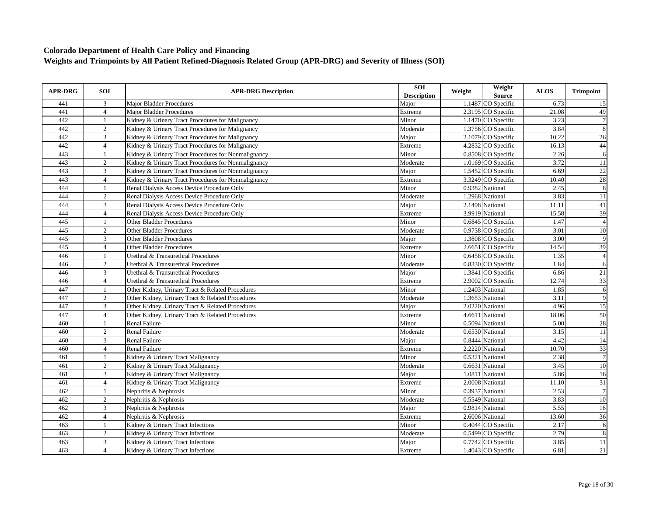| <b>APR-DRG</b> | <b>SOI</b>     | <b>APR-DRG Description</b>                          | SOI<br><b>Description</b> | Weight | Weight<br>Source     | <b>ALOS</b> | <b>Trimpoint</b> |
|----------------|----------------|-----------------------------------------------------|---------------------------|--------|----------------------|-------------|------------------|
| 441            | 3              | <b>Major Bladder Procedures</b>                     | Major                     |        | 1.1487 CO Specific   | 6.73        | 15               |
| 441            | $\overline{4}$ | <b>Major Bladder Procedures</b>                     | Extreme                   |        | 2.3195 CO Specific   | 21.08       | 49               |
| 442            | 1              | Kidney & Urinary Tract Procedures for Malignancy    | Minor                     |        | 1.1470 CO Specific   | 3.23        | $\overline{7}$   |
| 442            | $\overline{2}$ | Kidney & Urinary Tract Procedures for Malignancy    | Moderate                  |        | 1.3756 CO Specific   | 3.84        | 8                |
| 442            | 3              | Kidney & Urinary Tract Procedures for Malignancy    | Major                     |        | 2.1079 CO Specific   | 10.22       | 26               |
| 442            | $\overline{4}$ | Kidney & Urinary Tract Procedures for Malignancy    | Extreme                   |        | 4.2832 CO Specific   | 16.13       | 44               |
| 443            | $\mathbf{1}$   | Kidney & Urinary Tract Procedures for Nonmalignancy | Minor                     |        | 0.8508 CO Specific   | 2.26        | 6                |
| 443            | 2              | Kidney & Urinary Tract Procedures for Nonmalignancy | Moderate                  |        | 1.0169 CO Specific   | 3.72        | 11               |
| 443            | 3              | Kidney & Urinary Tract Procedures for Nonmalignancy | Major                     |        | 1.5452 CO Specific   | 6.69        | 22               |
| 443            | $\overline{4}$ | Kidney & Urinary Tract Procedures for Nonmalignancy | Extreme                   |        | 3.3249 CO Specific   | 10.40       | 28               |
| 444            | 1              | Renal Dialysis Access Device Procedure Only         | Minor                     |        | 0.9382 National      | 2.45        | 8                |
| 444            | $\overline{2}$ | Renal Dialysis Access Device Procedure Only         | Moderate                  |        | 1.2968 National      | 3.83        | 11               |
| 444            | 3              | Renal Dialysis Access Device Procedure Only         | Major                     |        | 2.1498 National      | 11.11       | $\overline{41}$  |
| 444            | $\overline{4}$ | Renal Dialysis Access Device Procedure Only         | Extreme                   |        | 3.9919 National      | 15.58       | 39               |
| 445            |                | <b>Other Bladder Procedures</b>                     | Minor                     |        | 0.6845 CO Specific   | 1.47        | $\overline{A}$   |
| 445            | $\overline{2}$ | <b>Other Bladder Procedures</b>                     | Moderate                  |        | 0.9738 CO Specific   | 3.01        | 10               |
| 445            | 3              | <b>Other Bladder Procedures</b>                     | Major                     |        | 1.3808 CO Specific   | 3.00        | 9                |
| 445            | $\overline{4}$ | <b>Other Bladder Procedures</b>                     | Extreme                   |        | 2.6651 CO Specific   | 14.54       | 39               |
| 446            | -1             | Urethral & Transurethral Procedures                 | Minor                     |        | 0.6458 CO Specific   | 1.35        | $\overline{4}$   |
| 446            | 2              | Urethral & Transurethral Procedures                 | Moderate                  |        | 0.8330 CO Specific   | 1.84        | 6                |
| 446            | 3              | Urethral & Transurethral Procedures                 | Major                     |        | 1.3841 CO Specific   | 6.86        | 21               |
| 446            | $\overline{4}$ | Urethral & Transurethral Procedures                 | Extreme                   |        | 2.9002 CO Specific   | 12.74       | $\overline{33}$  |
| 447            | $\mathbf{1}$   | Other Kidney, Urinary Tract & Related Procedures    | Minor                     |        | 1.2403 National      | 1.85        | 6                |
| 447            | 2              | Other Kidney, Urinary Tract & Related Procedures    | Moderate                  |        | 1.3653 National      | 3.11        | 9                |
| 447            | 3              | Other Kidney, Urinary Tract & Related Procedures    | Major                     |        | 2.0220 National      | 4.96        | $\overline{15}$  |
| 447            | $\overline{4}$ | Other Kidney, Urinary Tract & Related Procedures    | Extreme                   |        | 4.6611 National      | 18.06       | 50               |
| 460            | $\mathbf{1}$   | <b>Renal Failure</b>                                | Minor                     |        | 0.5094 National      | 5.00        | 28               |
| 460            | $\overline{2}$ | <b>Renal Failure</b>                                | Moderate                  |        | 0.6530 National      | 3.15        | 11               |
| 460            | 3              | Renal Failure                                       | Major                     |        | 0.8444 National      | 4.42        | 14               |
| 460            | $\overline{4}$ | Renal Failure                                       | Extreme                   |        | 2.2220 National      | 10.70       | 33               |
| 461            |                | Kidney & Urinary Tract Malignancy                   | Minor                     |        | 0.5321 National      | 2.38        | $\overline{7}$   |
| 461            | 2              | Kidney & Urinary Tract Malignancy                   | Moderate                  |        | 0.6631 National      | 3.45        | 10               |
| 461            | 3              | Kidney & Urinary Tract Malignancy                   | Major                     |        | 1.0811 National      | 5.86        | 16               |
| 461            | $\overline{4}$ | Kidney & Urinary Tract Malignancy                   | Extreme                   |        | 2.0008 National      | 11.10       | 31               |
| 462            | $\overline{1}$ | Nephritis & Nephrosis                               | Minor                     |        | 0.3937 National      | 2.53        | $\overline{7}$   |
| 462            | 2              | Nephritis & Nephrosis                               | Moderate                  |        | 0.5549 National      | 3.83        | 10               |
| 462            | 3              | Nephritis & Nephrosis                               | Major                     |        | 0.9814 National      | 5.55        | 16               |
| 462            | $\overline{4}$ | Nephritis & Nephrosis                               | Extreme                   |        | 2.6006 National      | 13.60       | 36               |
| 463            | $\mathbf{1}$   | Kidney & Urinary Tract Infections                   | Minor                     |        | $0.4044$ CO Specific | 2.17        | $\overline{6}$   |
| 463            | $\overline{2}$ | Kidney & Urinary Tract Infections                   | Moderate                  |        | 0.5499 CO Specific   | 2.79        | 8                |
| 463            | 3              | Kidney & Urinary Tract Infections                   | Major                     |        | 0.7742 CO Specific   | 3.85        | 11               |
| 463            | $\overline{4}$ | Kidney & Urinary Tract Infections                   | Extreme                   |        | 1.4043 CO Specific   | 6.81        | 21               |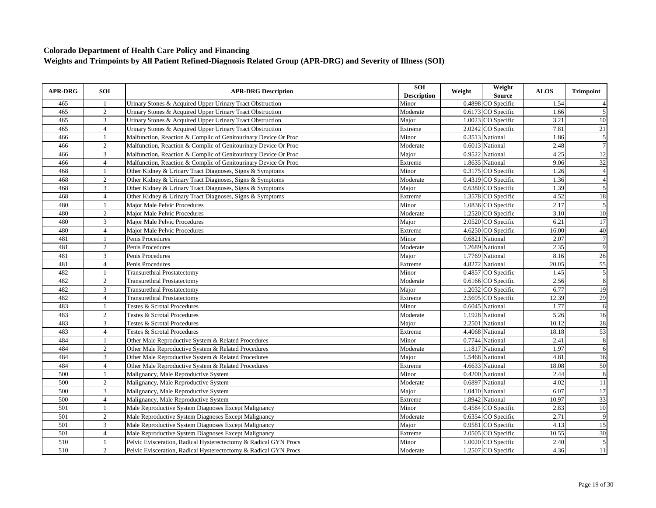| <b>APR-DRG</b> | <b>SOI</b>     | <b>APR-DRG Description</b>                                       | SOI<br><b>Description</b> | Weight | Weight<br>Source   | <b>ALOS</b> | <b>Trimpoint</b> |
|----------------|----------------|------------------------------------------------------------------|---------------------------|--------|--------------------|-------------|------------------|
| 465            | -1             | Urinary Stones & Acquired Upper Urinary Tract Obstruction        | Minor                     |        | 0.4898 CO Specific | 1.54        |                  |
| 465            | $\overline{2}$ | Urinary Stones & Acquired Upper Urinary Tract Obstruction        | Moderate                  |        | 0.6173 CO Specific | 1.66        | 5                |
| 465            | $\mathfrak{Z}$ | Urinary Stones & Acquired Upper Urinary Tract Obstruction        | Major                     |        | 1.0023 CO Specific | 3.21        | $10\,$           |
| 465            | $\overline{4}$ | Urinary Stones & Acquired Upper Urinary Tract Obstruction        | Extreme                   |        | 2.0242 CO Specific | 7.81        | 21               |
| 466            | $\mathbf{1}$   | Malfunction, Reaction & Complic of Genitourinary Device Or Proc  | Minor                     |        | 0.3513 National    | 1.86        | 5                |
| 466            | $\sqrt{2}$     | Malfunction, Reaction & Complic of Genitourinary Device Or Proc  | Moderate                  |        | 0.6013 National    | 2.48        | $\overline{7}$   |
| 466            | 3              | Malfunction, Reaction & Complic of Genitourinary Device Or Proc  | Major                     |        | 0.9522 National    | 4.25        | 12               |
| 466            | $\overline{4}$ | Malfunction, Reaction & Complic of Genitourinary Device Or Proc  | Extreme                   |        | 1.8635 National    | 9.06        | $\overline{32}$  |
| 468            | $\overline{1}$ | Other Kidney & Urinary Tract Diagnoses, Signs & Symptoms         | Minor                     |        | 0.3175 CO Specific | 1.26        | $\overline{4}$   |
| 468            | $\overline{2}$ | Other Kidney & Urinary Tract Diagnoses, Signs & Symptoms         | Moderate                  |        | 0.4319 CO Specific | 1.36        | $\overline{A}$   |
| 468            | $\mathfrak{Z}$ | Other Kidney & Urinary Tract Diagnoses, Signs & Symptoms         | Major                     |        | 0.6380 CO Specific | 1.39        | 5                |
| 468            | $\overline{4}$ | Other Kidney & Urinary Tract Diagnoses, Signs & Symptoms         | Extreme                   |        | 1.3578 CO Specific | 4.52        | 18               |
| 480            | $\mathbf{1}$   | Major Male Pelvic Procedures                                     | Minor                     |        | 1.0836 CO Specific | 2.17        | $\overline{5}$   |
| 480            | $\overline{c}$ | Major Male Pelvic Procedures                                     | Moderate                  |        | 1.2520 CO Specific | 3.10        | 10               |
| 480            | 3              | Major Male Pelvic Procedures                                     | Major                     |        | 2.0520 CO Specific | 6.21        | 17               |
| 480            | $\overline{4}$ | Major Male Pelvic Procedures                                     | Extreme                   |        | 4.6250 CO Specific | 16.00       | 40               |
| 481            | $\mathbf{1}$   | Penis Procedures                                                 | Minor                     |        | 0.6821 National    | 2.07        | $\overline{7}$   |
| 481            | $\overline{2}$ | Penis Procedures                                                 | Moderate                  |        | 1.2689 National    | 2.35        | 9                |
| 481            | $\mathfrak{Z}$ | Penis Procedures                                                 | Major                     |        | 1.7769 National    | 8.16        | 26               |
| 481            | $\overline{4}$ | Penis Procedures                                                 | Extreme                   |        | 4.8272 National    | 20.05       | $\overline{55}$  |
| 482            | $\mathbf{1}$   | <b>Transurethral Prostatectomy</b>                               | Minor                     |        | 0.4857 CO Specific | 1.45        | $\overline{5}$   |
| 482            | $\overline{2}$ | <b>Transurethral Prostatectomy</b>                               | Moderate                  |        | 0.6166 CO Specific | 2.56        | $\overline{8}$   |
| 482            | $\overline{3}$ | <b>Transurethral Prostatectomy</b>                               | Major                     |        | 1.2032 CO Specific | 6.77        | 19               |
| 482            | $\overline{4}$ | <b>Transurethral Prostatectomy</b>                               | Extreme                   |        | 2.5695 CO Specific | 12.39       | 29               |
| 483            | $\mathbf{1}$   | Testes & Scrotal Procedures                                      | Minor                     |        | 0.6045 National    | 1.77        | $\overline{6}$   |
| 483            | 2              | Testes & Scrotal Procedures                                      | Moderate                  |        | 1.1928 National    | 5.26        | 16               |
| 483            | $\mathbf{3}$   | Testes & Scrotal Procedures                                      | Maior                     |        | 2.2501 National    | 10.12       | 28               |
| 483            | $\overline{4}$ | Testes & Scrotal Procedures                                      | Extreme                   |        | 4.4068 National    | 18.18       | 53               |
| 484            | $\mathbf{1}$   | Other Male Reproductive System & Related Procedures              | Minor                     |        | 0.7744 National    | 2.41        | 8                |
| 484            | $\overline{2}$ | Other Male Reproductive System & Related Procedures              | Moderate                  |        | 1.1817 National    | 1.97        | 6                |
| 484            | 3              | Other Male Reproductive System & Related Procedures              | Major                     |        | 1.5468 National    | 4.81        | 16               |
| 484            | $\overline{4}$ | Other Male Reproductive System & Related Procedures              | Extreme                   |        | 4.6633 National    | 18.08       | 50               |
| 500            | -1             | Malignancy, Male Reproductive System                             | Minor                     |        | 0.4200 National    | 2.44        | 8                |
| 500            | $\overline{2}$ | Malignancy, Male Reproductive System                             | Moderate                  |        | 0.6897 National    | 4.02        | 11               |
| 500            | 3              | Malignancy, Male Reproductive System                             | Major                     |        | 1.0410 National    | 6.07        | 17               |
| 500            | $\overline{4}$ | Malignancy, Male Reproductive System                             | Extreme                   |        | 1.8942 National    | 10.97       | 33               |
| 501            | 1              | Male Reproductive System Diagnoses Except Malignancy             | Minor                     |        | 0.4584 CO Specific | 2.83        | 10               |
| 501            | $\overline{2}$ | Male Reproductive System Diagnoses Except Malignancy             | Moderate                  |        | 0.6354 CO Specific | 2.71        | 9                |
| 501            | 3              | Male Reproductive System Diagnoses Except Malignancy             | Major                     |        | 0.9581 CO Specific | 4.13        | 15               |
| 501            | $\overline{4}$ | Male Reproductive System Diagnoses Except Malignancy             | Extreme                   |        | 2.0505 CO Specific | 10.55       | $\overline{30}$  |
| 510            | 1              | Pelvic Evisceration, Radical Hysterectectomy & Radical GYN Procs | Minor                     |        | 1.0020 CO Specific | 2.40        | $\overline{5}$   |
| 510            | 2              | Pelvic Evisceration, Radical Hysterectectomy & Radical GYN Procs | Moderate                  |        | 1.2507 CO Specific | 4.36        | 11               |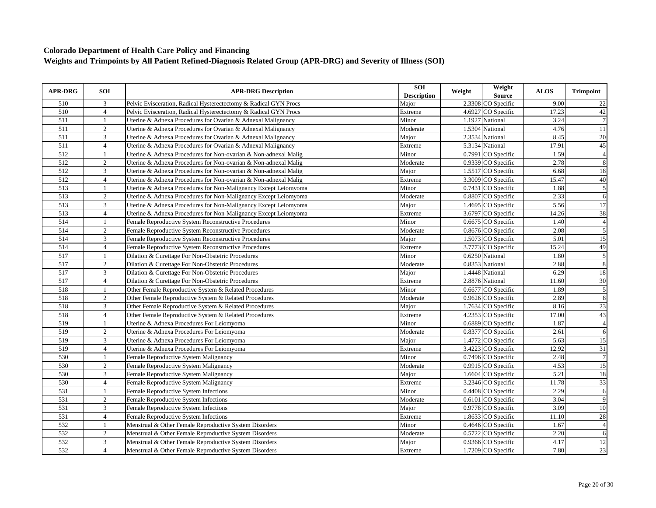| <b>APR-DRG</b>   | <b>SOI</b>     | <b>APR-DRG Description</b>                                       | SOI<br><b>Description</b> | Weight | Weight<br>Source   | <b>ALOS</b> | <b>Trimpoint</b> |
|------------------|----------------|------------------------------------------------------------------|---------------------------|--------|--------------------|-------------|------------------|
| 510              | 3              | Pelvic Evisceration, Radical Hysterectectomy & Radical GYN Procs | Major                     |        | 2.3308 CO Specific | 9.00        | 22               |
| 510              | $\overline{4}$ | Pelvic Evisceration, Radical Hysterectectomy & Radical GYN Procs | Extreme                   |        | 4.6927 CO Specific | 17.23       | 42               |
| 511              | $\mathbf{1}$   | Uterine & Adnexa Procedures for Ovarian & Adnexal Malignancy     | Minor                     |        | 1.1927 National    | 3.24        | $\overline{7}$   |
| 511              | $\overline{2}$ | Uterine & Adnexa Procedures for Ovarian & Adnexal Malignancy     | Moderate                  |        | 1.5304 National    | 4.76        | 11               |
| 511              | 3              | Uterine & Adnexa Procedures for Ovarian & Adnexal Malignancy     | Major                     |        | 2.3534 National    | 8.45        | 20               |
| 511              | $\overline{4}$ | Uterine & Adnexa Procedures for Ovarian & Adnexal Malignancy     | Extreme                   |        | 5.3134 National    | 17.91       | 45               |
| 512              |                | Uterine & Adnexa Procedures for Non-ovarian & Non-adnexal Malig  | Minor                     |        | 0.7991 CO Specific | 1.59        | $\overline{4}$   |
| 512              | $\overline{2}$ | Uterine & Adnexa Procedures for Non-ovarian & Non-adnexal Malig  | Moderate                  |        | 0.9339 CO Specific | 2.78        | 8                |
| $\overline{512}$ | 3              | Uterine & Adnexa Procedures for Non-ovarian & Non-adnexal Malig  | Major                     |        | 1.5517 CO Specific | 6.68        | 18               |
| 512              | $\overline{4}$ | Uterine & Adnexa Procedures for Non-ovarian & Non-adnexal Malig  | Extreme                   |        | 3.3009 CO Specific | 15.47       | 40               |
| 513              | $\mathbf{1}$   | Uterine & Adnexa Procedures for Non-Malignancy Except Leiomyoma  | Minor                     |        | 0.7431 CO Specific | 1.88        | 5                |
| 513              | $\overline{2}$ | Uterine & Adnexa Procedures for Non-Malignancy Except Leiomyoma  | Moderate                  |        | 0.8807 CO Specific | 2.33        | 6                |
| 513              | 3              | Uterine & Adnexa Procedures for Non-Malignancy Except Leiomyoma  | Major                     |        | 1.4695 CO Specific | 5.56        | 17               |
| 513              | $\overline{4}$ | Uterine & Adnexa Procedures for Non-Malignancy Except Leiomyoma  | Extreme                   |        | 3.6797 CO Specific | 14.26       | 38               |
| 514              | $\mathbf{1}$   | Female Reproductive System Reconstructive Procedures             | Minor                     |        | 0.6675 CO Specific | 1.40        | $\overline{4}$   |
| 514              | $\overline{2}$ | Female Reproductive System Reconstructive Procedures             | Moderate                  |        | 0.8676 CO Specific | 2.08        | 5                |
| 514              | 3              | Female Reproductive System Reconstructive Procedures             | Major                     |        | 1.5073 CO Specific | 5.01        | 15               |
| 514              | $\overline{4}$ | Female Reproductive System Reconstructive Procedures             | Extreme                   |        | 3.7773 CO Specific | 15.24       | 49               |
| $\overline{517}$ |                | Dilation & Curettage For Non-Obstetric Procedures                | Minor                     |        | 0.6250 National    | 1.80        | 5                |
| 517              | $\overline{2}$ | Dilation & Curettage For Non-Obstetric Procedures                | Moderate                  |        | 0.8353 National    | 2.88        | 8                |
| 517              | 3              | Dilation & Curettage For Non-Obstetric Procedures                | Major                     |        | 1.4448 National    | 6.29        | 18               |
| 517              | $\overline{4}$ | Dilation & Curettage For Non-Obstetric Procedures                | Extreme                   |        | 2.8876 National    | 11.60       | 30               |
| 518              | $\mathbf{1}$   | Other Female Reproductive System & Related Procedures            | Minor                     |        | 0.6677 CO Specific | 1.89        | $\overline{5}$   |
| 518              | $\sqrt{2}$     | Other Female Reproductive System & Related Procedures            | Moderate                  |        | 0.9626 CO Specific | 2.89        | 8                |
| 518              | 3              | Other Female Reproductive System & Related Procedures            | Major                     |        | 1.7634 CO Specific | 8.16        | 23               |
| 518              | $\overline{4}$ | Other Female Reproductive System & Related Procedures            | Extreme                   |        | 4.2353 CO Specific | 17.00       | 43               |
| 519              |                | Uterine & Adnexa Procedures For Leiomyoma                        | Minor                     |        | 0.6889 CO Specific | 1.87        | $\overline{A}$   |
| 519              | $\overline{2}$ | Uterine & Adnexa Procedures For Leiomyoma                        | Moderate                  |        | 0.8377 CO Specific | 2.61        | 6                |
| 519              | $\overline{3}$ | Uterine & Adnexa Procedures For Leiomyoma                        | Major                     |        | 1.4772 CO Specific | 5.63        | 15               |
| 519              | $\overline{4}$ | Uterine & Adnexa Procedures For Leiomyoma                        | Extreme                   |        | 3.4223 CO Specific | 12.92       | 31               |
| 530              | 1              | Female Reproductive System Malignancy                            | Minor                     |        | 0.7496 CO Specific | 2.48        | $\overline{7}$   |
| 530              | $\sqrt{2}$     | Female Reproductive System Malignancy                            | Moderate                  |        | 0.9915 CO Specific | 4.53        | $\overline{15}$  |
| 530              | 3              | Female Reproductive System Malignancy                            | Major                     |        | 1.6604 CO Specific | 5.21        | 18               |
| 530              | $\overline{4}$ | Female Reproductive System Malignancy                            | Extreme                   |        | 3.2346 CO Specific | 11.78       | 33               |
| 531              |                | Female Reproductive System Infections                            | Minor                     |        | 0.4408 CO Specific | 2.29        | 6                |
| 531              | $\overline{2}$ | Female Reproductive System Infections                            | Moderate                  |        | 0.6101 CO Specific | 3.04        | $\overline{9}$   |
| 531              | 3              | Female Reproductive System Infections                            | Major                     |        | 0.9778 CO Specific | 3.09        | 10               |
| 531              | $\overline{4}$ | Female Reproductive System Infections                            | Extreme                   |        | 1.8633 CO Specific | 11.10       | 28               |
| 532              | 1              | Menstrual & Other Female Reproductive System Disorders           | Minor                     |        | 0.4646 CO Specific | 1.67        | $\overline{4}$   |
| 532              | $\overline{2}$ | Menstrual & Other Female Reproductive System Disorders           | Moderate                  |        | 0.5722 CO Specific | 2.20        | 6                |
| 532              | 3              | Menstrual & Other Female Reproductive System Disorders           | Major                     |        | 0.9366 CO Specific | 4.17        | 12               |
| 532              | $\overline{4}$ | Menstrual & Other Female Reproductive System Disorders           | Extreme                   |        | 1.7209 CO Specific | 7.80        | $\overline{23}$  |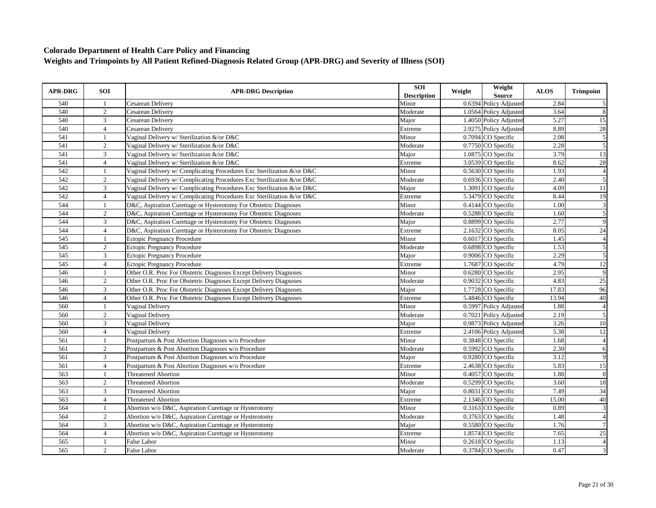| 2.84<br>540<br>Cesarean Delivery<br>Minor<br>0.6394 Policy Adjusted<br>540<br>2<br>1.0564 Policy Adjusted<br>8<br>Moderate<br>3.64<br>Cesarean Delivery<br>3<br>540<br>Major<br>1.4050 Policy Adjusted<br>5.27<br>Cesarean Delivery<br>2.9275 Policy Adjusted<br>28<br>540<br>8.89<br>$\overline{4}$<br>Cesarean Delivery<br>Extreme<br>$\overline{5}$<br>541<br>2.08<br>Vaginal Delivery w/ Sterilization &/or D&C<br>Minor<br>0.7094 CO Specific<br>5<br>541<br>2<br>0.7750 CO Specific<br>2.28<br>Vaginal Delivery w/ Sterilization &/or D&C<br>Moderate<br>1.0875 CO Specific<br>13<br>541<br>3<br>Vaginal Delivery w/ Sterilization &/or D&C<br>Major<br>3.79<br>541<br>$\overline{4}$<br>8.62<br>$28\,$<br>3.0539 CO Specific<br>Vaginal Delivery w/ Sterilization &/or D&C<br>Extreme<br>$\overline{4}$<br>542<br>1.93<br>0.5630 CO Specific<br>Vaginal Delivery w/ Complicating Procedures Exc Sterilization &/or D&C<br>Minor<br>2<br>0.6936 CO Specific<br>5<br>542<br>Vaginal Delivery w/ Complicating Procedures Exc Sterilization &/or D&C<br>Moderate<br>2.40<br>542<br>3<br>1.3091 CO Specific<br>4.09<br>11<br>Vaginal Delivery w/ Complicating Procedures Exc Sterilization &/or D&C<br>Major<br>542<br>5.3479 CO Specific<br>8.44<br>$\overline{4}$<br>Vaginal Delivery w/ Complicating Procedures Exc Sterilization &/or D&C<br>Extreme<br>544<br>0.4144 CO Specific<br>D&C, Aspiration Curettage or Hysterotomy For Obstetric Diagnoses<br>Minor<br>1.00<br>-1<br>544<br>5<br>2<br>D&C, Aspiration Curettage or Hysterotomy For Obstetric Diagnoses<br>0.5288 CO Specific<br>1.60<br>Moderate<br>544<br>3<br>0.8899 CO Specific<br>2.77<br>9<br>D&C, Aspiration Curettage or Hysterotomy For Obstetric Diagnoses<br>Major<br>24<br>544<br>$\overline{4}$<br>2.1632 CO Specific<br>8.05<br>D&C, Aspiration Curettage or Hysterotomy For Obstetric Diagnoses<br>Extreme<br>0.6017 CO Specific<br>545<br><b>Ectopic Pregnancy Procedure</b><br>Minor<br>1.45<br>$\overline{4}$<br>$\mathbf{1}$<br>5<br>545<br>$\overline{2}$<br>0.6898 CO Specific<br>1.53<br><b>Ectopic Pregnancy Procedure</b><br>Moderate<br>2.29<br>545<br>3<br>0.9006 CO Specific<br>Major<br><b>Ectopic Pregnancy Procedure</b><br>545<br>1.7687 CO Specific<br>4.79<br>$\overline{4}$<br><b>Ectopic Pregnancy Procedure</b><br>Extreme<br>546<br>0.6280 CO Specific<br>2.95<br>Other O.R. Proc For Obstetric Diagnoses Except Delivery Diagnoses<br>Minor<br>1<br>25<br>546<br>2<br>0.9032 CO Specific<br>4.83<br>Other O.R. Proc For Obstetric Diagnoses Except Delivery Diagnoses<br>Moderate<br>96<br>546<br>3<br>Other O.R. Proc For Obstetric Diagnoses Except Delivery Diagnoses<br>1.7728 CO Specific<br>17.83<br>Major<br>40<br>546<br>13.94<br>$\overline{4}$<br>Other O.R. Proc For Obstetric Diagnoses Except Delivery Diagnoses<br>5.4846 CO Specific<br>Extreme<br>$\overline{4}$<br>560<br>0.5997 Policy Adjusted<br>1.88<br>Minor<br>Vaginal Delivery<br>$\overline{5}$<br>0.7021 Policy Adjusted<br>2<br>2.19<br>560<br>Vaginal Delivery<br>Moderate<br>0.9873 Policy Adjusted<br>560<br>3<br>Vaginal Delivery<br>3.26<br>10<br>Major<br>5.38<br>12<br>560<br>$\overline{4}$<br>2.4106 Policy Adjusted<br>Vaginal Delivery<br>Extreme<br>$\overline{\mathbf{r}}$<br>561<br>0.3848 CO Specific<br>1.68<br>Postpartum & Post Abortion Diagnoses w/o Procedure<br>Minor<br>$\mathbf{1}$<br>0.5992 CO Specific | <b>APR-DRG</b> | <b>SOI</b> | <b>APR-DRG Description</b>                         | <b>SOI</b><br><b>Description</b> | Weight | Weight<br><b>Source</b> | <b>ALOS</b> | <b>Trimpoint</b> |
|--------------------------------------------------------------------------------------------------------------------------------------------------------------------------------------------------------------------------------------------------------------------------------------------------------------------------------------------------------------------------------------------------------------------------------------------------------------------------------------------------------------------------------------------------------------------------------------------------------------------------------------------------------------------------------------------------------------------------------------------------------------------------------------------------------------------------------------------------------------------------------------------------------------------------------------------------------------------------------------------------------------------------------------------------------------------------------------------------------------------------------------------------------------------------------------------------------------------------------------------------------------------------------------------------------------------------------------------------------------------------------------------------------------------------------------------------------------------------------------------------------------------------------------------------------------------------------------------------------------------------------------------------------------------------------------------------------------------------------------------------------------------------------------------------------------------------------------------------------------------------------------------------------------------------------------------------------------------------------------------------------------------------------------------------------------------------------------------------------------------------------------------------------------------------------------------------------------------------------------------------------------------------------------------------------------------------------------------------------------------------------------------------------------------------------------------------------------------------------------------------------------------------------------------------------------------------------------------------------------------------------------------------------------------------------------------------------------------------------------------------------------------------------------------------------------------------------------------------------------------------------------------------------------------------------------------------------------------------------------------------------------------------------------------------------------------------------------------------------------------------------------------------------------------------------------------------------------------------------------------------------------------------------------------------------------------------------------------------------------------------------------------------------------------|----------------|------------|----------------------------------------------------|----------------------------------|--------|-------------------------|-------------|------------------|
|                                                                                                                                                                                                                                                                                                                                                                                                                                                                                                                                                                                                                                                                                                                                                                                                                                                                                                                                                                                                                                                                                                                                                                                                                                                                                                                                                                                                                                                                                                                                                                                                                                                                                                                                                                                                                                                                                                                                                                                                                                                                                                                                                                                                                                                                                                                                                                                                                                                                                                                                                                                                                                                                                                                                                                                                                                                                                                                                                                                                                                                                                                                                                                                                                                                                                                                                                                                                                    |                |            |                                                    |                                  |        |                         |             | $\mathfrak{S}$   |
|                                                                                                                                                                                                                                                                                                                                                                                                                                                                                                                                                                                                                                                                                                                                                                                                                                                                                                                                                                                                                                                                                                                                                                                                                                                                                                                                                                                                                                                                                                                                                                                                                                                                                                                                                                                                                                                                                                                                                                                                                                                                                                                                                                                                                                                                                                                                                                                                                                                                                                                                                                                                                                                                                                                                                                                                                                                                                                                                                                                                                                                                                                                                                                                                                                                                                                                                                                                                                    |                |            |                                                    |                                  |        |                         |             |                  |
|                                                                                                                                                                                                                                                                                                                                                                                                                                                                                                                                                                                                                                                                                                                                                                                                                                                                                                                                                                                                                                                                                                                                                                                                                                                                                                                                                                                                                                                                                                                                                                                                                                                                                                                                                                                                                                                                                                                                                                                                                                                                                                                                                                                                                                                                                                                                                                                                                                                                                                                                                                                                                                                                                                                                                                                                                                                                                                                                                                                                                                                                                                                                                                                                                                                                                                                                                                                                                    |                |            |                                                    |                                  |        |                         |             | 15               |
|                                                                                                                                                                                                                                                                                                                                                                                                                                                                                                                                                                                                                                                                                                                                                                                                                                                                                                                                                                                                                                                                                                                                                                                                                                                                                                                                                                                                                                                                                                                                                                                                                                                                                                                                                                                                                                                                                                                                                                                                                                                                                                                                                                                                                                                                                                                                                                                                                                                                                                                                                                                                                                                                                                                                                                                                                                                                                                                                                                                                                                                                                                                                                                                                                                                                                                                                                                                                                    |                |            |                                                    |                                  |        |                         |             |                  |
|                                                                                                                                                                                                                                                                                                                                                                                                                                                                                                                                                                                                                                                                                                                                                                                                                                                                                                                                                                                                                                                                                                                                                                                                                                                                                                                                                                                                                                                                                                                                                                                                                                                                                                                                                                                                                                                                                                                                                                                                                                                                                                                                                                                                                                                                                                                                                                                                                                                                                                                                                                                                                                                                                                                                                                                                                                                                                                                                                                                                                                                                                                                                                                                                                                                                                                                                                                                                                    |                |            |                                                    |                                  |        |                         |             |                  |
|                                                                                                                                                                                                                                                                                                                                                                                                                                                                                                                                                                                                                                                                                                                                                                                                                                                                                                                                                                                                                                                                                                                                                                                                                                                                                                                                                                                                                                                                                                                                                                                                                                                                                                                                                                                                                                                                                                                                                                                                                                                                                                                                                                                                                                                                                                                                                                                                                                                                                                                                                                                                                                                                                                                                                                                                                                                                                                                                                                                                                                                                                                                                                                                                                                                                                                                                                                                                                    |                |            |                                                    |                                  |        |                         |             |                  |
|                                                                                                                                                                                                                                                                                                                                                                                                                                                                                                                                                                                                                                                                                                                                                                                                                                                                                                                                                                                                                                                                                                                                                                                                                                                                                                                                                                                                                                                                                                                                                                                                                                                                                                                                                                                                                                                                                                                                                                                                                                                                                                                                                                                                                                                                                                                                                                                                                                                                                                                                                                                                                                                                                                                                                                                                                                                                                                                                                                                                                                                                                                                                                                                                                                                                                                                                                                                                                    |                |            |                                                    |                                  |        |                         |             |                  |
|                                                                                                                                                                                                                                                                                                                                                                                                                                                                                                                                                                                                                                                                                                                                                                                                                                                                                                                                                                                                                                                                                                                                                                                                                                                                                                                                                                                                                                                                                                                                                                                                                                                                                                                                                                                                                                                                                                                                                                                                                                                                                                                                                                                                                                                                                                                                                                                                                                                                                                                                                                                                                                                                                                                                                                                                                                                                                                                                                                                                                                                                                                                                                                                                                                                                                                                                                                                                                    |                |            |                                                    |                                  |        |                         |             |                  |
|                                                                                                                                                                                                                                                                                                                                                                                                                                                                                                                                                                                                                                                                                                                                                                                                                                                                                                                                                                                                                                                                                                                                                                                                                                                                                                                                                                                                                                                                                                                                                                                                                                                                                                                                                                                                                                                                                                                                                                                                                                                                                                                                                                                                                                                                                                                                                                                                                                                                                                                                                                                                                                                                                                                                                                                                                                                                                                                                                                                                                                                                                                                                                                                                                                                                                                                                                                                                                    |                |            |                                                    |                                  |        |                         |             |                  |
|                                                                                                                                                                                                                                                                                                                                                                                                                                                                                                                                                                                                                                                                                                                                                                                                                                                                                                                                                                                                                                                                                                                                                                                                                                                                                                                                                                                                                                                                                                                                                                                                                                                                                                                                                                                                                                                                                                                                                                                                                                                                                                                                                                                                                                                                                                                                                                                                                                                                                                                                                                                                                                                                                                                                                                                                                                                                                                                                                                                                                                                                                                                                                                                                                                                                                                                                                                                                                    |                |            |                                                    |                                  |        |                         |             |                  |
|                                                                                                                                                                                                                                                                                                                                                                                                                                                                                                                                                                                                                                                                                                                                                                                                                                                                                                                                                                                                                                                                                                                                                                                                                                                                                                                                                                                                                                                                                                                                                                                                                                                                                                                                                                                                                                                                                                                                                                                                                                                                                                                                                                                                                                                                                                                                                                                                                                                                                                                                                                                                                                                                                                                                                                                                                                                                                                                                                                                                                                                                                                                                                                                                                                                                                                                                                                                                                    |                |            |                                                    |                                  |        |                         |             |                  |
|                                                                                                                                                                                                                                                                                                                                                                                                                                                                                                                                                                                                                                                                                                                                                                                                                                                                                                                                                                                                                                                                                                                                                                                                                                                                                                                                                                                                                                                                                                                                                                                                                                                                                                                                                                                                                                                                                                                                                                                                                                                                                                                                                                                                                                                                                                                                                                                                                                                                                                                                                                                                                                                                                                                                                                                                                                                                                                                                                                                                                                                                                                                                                                                                                                                                                                                                                                                                                    |                |            |                                                    |                                  |        |                         |             | 19               |
|                                                                                                                                                                                                                                                                                                                                                                                                                                                                                                                                                                                                                                                                                                                                                                                                                                                                                                                                                                                                                                                                                                                                                                                                                                                                                                                                                                                                                                                                                                                                                                                                                                                                                                                                                                                                                                                                                                                                                                                                                                                                                                                                                                                                                                                                                                                                                                                                                                                                                                                                                                                                                                                                                                                                                                                                                                                                                                                                                                                                                                                                                                                                                                                                                                                                                                                                                                                                                    |                |            |                                                    |                                  |        |                         |             | $\mathfrak{Z}$   |
|                                                                                                                                                                                                                                                                                                                                                                                                                                                                                                                                                                                                                                                                                                                                                                                                                                                                                                                                                                                                                                                                                                                                                                                                                                                                                                                                                                                                                                                                                                                                                                                                                                                                                                                                                                                                                                                                                                                                                                                                                                                                                                                                                                                                                                                                                                                                                                                                                                                                                                                                                                                                                                                                                                                                                                                                                                                                                                                                                                                                                                                                                                                                                                                                                                                                                                                                                                                                                    |                |            |                                                    |                                  |        |                         |             |                  |
|                                                                                                                                                                                                                                                                                                                                                                                                                                                                                                                                                                                                                                                                                                                                                                                                                                                                                                                                                                                                                                                                                                                                                                                                                                                                                                                                                                                                                                                                                                                                                                                                                                                                                                                                                                                                                                                                                                                                                                                                                                                                                                                                                                                                                                                                                                                                                                                                                                                                                                                                                                                                                                                                                                                                                                                                                                                                                                                                                                                                                                                                                                                                                                                                                                                                                                                                                                                                                    |                |            |                                                    |                                  |        |                         |             |                  |
|                                                                                                                                                                                                                                                                                                                                                                                                                                                                                                                                                                                                                                                                                                                                                                                                                                                                                                                                                                                                                                                                                                                                                                                                                                                                                                                                                                                                                                                                                                                                                                                                                                                                                                                                                                                                                                                                                                                                                                                                                                                                                                                                                                                                                                                                                                                                                                                                                                                                                                                                                                                                                                                                                                                                                                                                                                                                                                                                                                                                                                                                                                                                                                                                                                                                                                                                                                                                                    |                |            |                                                    |                                  |        |                         |             |                  |
|                                                                                                                                                                                                                                                                                                                                                                                                                                                                                                                                                                                                                                                                                                                                                                                                                                                                                                                                                                                                                                                                                                                                                                                                                                                                                                                                                                                                                                                                                                                                                                                                                                                                                                                                                                                                                                                                                                                                                                                                                                                                                                                                                                                                                                                                                                                                                                                                                                                                                                                                                                                                                                                                                                                                                                                                                                                                                                                                                                                                                                                                                                                                                                                                                                                                                                                                                                                                                    |                |            |                                                    |                                  |        |                         |             |                  |
|                                                                                                                                                                                                                                                                                                                                                                                                                                                                                                                                                                                                                                                                                                                                                                                                                                                                                                                                                                                                                                                                                                                                                                                                                                                                                                                                                                                                                                                                                                                                                                                                                                                                                                                                                                                                                                                                                                                                                                                                                                                                                                                                                                                                                                                                                                                                                                                                                                                                                                                                                                                                                                                                                                                                                                                                                                                                                                                                                                                                                                                                                                                                                                                                                                                                                                                                                                                                                    |                |            |                                                    |                                  |        |                         |             |                  |
|                                                                                                                                                                                                                                                                                                                                                                                                                                                                                                                                                                                                                                                                                                                                                                                                                                                                                                                                                                                                                                                                                                                                                                                                                                                                                                                                                                                                                                                                                                                                                                                                                                                                                                                                                                                                                                                                                                                                                                                                                                                                                                                                                                                                                                                                                                                                                                                                                                                                                                                                                                                                                                                                                                                                                                                                                                                                                                                                                                                                                                                                                                                                                                                                                                                                                                                                                                                                                    |                |            |                                                    |                                  |        |                         |             | 5                |
|                                                                                                                                                                                                                                                                                                                                                                                                                                                                                                                                                                                                                                                                                                                                                                                                                                                                                                                                                                                                                                                                                                                                                                                                                                                                                                                                                                                                                                                                                                                                                                                                                                                                                                                                                                                                                                                                                                                                                                                                                                                                                                                                                                                                                                                                                                                                                                                                                                                                                                                                                                                                                                                                                                                                                                                                                                                                                                                                                                                                                                                                                                                                                                                                                                                                                                                                                                                                                    |                |            |                                                    |                                  |        |                         |             | 12               |
|                                                                                                                                                                                                                                                                                                                                                                                                                                                                                                                                                                                                                                                                                                                                                                                                                                                                                                                                                                                                                                                                                                                                                                                                                                                                                                                                                                                                                                                                                                                                                                                                                                                                                                                                                                                                                                                                                                                                                                                                                                                                                                                                                                                                                                                                                                                                                                                                                                                                                                                                                                                                                                                                                                                                                                                                                                                                                                                                                                                                                                                                                                                                                                                                                                                                                                                                                                                                                    |                |            |                                                    |                                  |        |                         |             | 9                |
|                                                                                                                                                                                                                                                                                                                                                                                                                                                                                                                                                                                                                                                                                                                                                                                                                                                                                                                                                                                                                                                                                                                                                                                                                                                                                                                                                                                                                                                                                                                                                                                                                                                                                                                                                                                                                                                                                                                                                                                                                                                                                                                                                                                                                                                                                                                                                                                                                                                                                                                                                                                                                                                                                                                                                                                                                                                                                                                                                                                                                                                                                                                                                                                                                                                                                                                                                                                                                    |                |            |                                                    |                                  |        |                         |             |                  |
|                                                                                                                                                                                                                                                                                                                                                                                                                                                                                                                                                                                                                                                                                                                                                                                                                                                                                                                                                                                                                                                                                                                                                                                                                                                                                                                                                                                                                                                                                                                                                                                                                                                                                                                                                                                                                                                                                                                                                                                                                                                                                                                                                                                                                                                                                                                                                                                                                                                                                                                                                                                                                                                                                                                                                                                                                                                                                                                                                                                                                                                                                                                                                                                                                                                                                                                                                                                                                    |                |            |                                                    |                                  |        |                         |             |                  |
|                                                                                                                                                                                                                                                                                                                                                                                                                                                                                                                                                                                                                                                                                                                                                                                                                                                                                                                                                                                                                                                                                                                                                                                                                                                                                                                                                                                                                                                                                                                                                                                                                                                                                                                                                                                                                                                                                                                                                                                                                                                                                                                                                                                                                                                                                                                                                                                                                                                                                                                                                                                                                                                                                                                                                                                                                                                                                                                                                                                                                                                                                                                                                                                                                                                                                                                                                                                                                    |                |            |                                                    |                                  |        |                         |             |                  |
|                                                                                                                                                                                                                                                                                                                                                                                                                                                                                                                                                                                                                                                                                                                                                                                                                                                                                                                                                                                                                                                                                                                                                                                                                                                                                                                                                                                                                                                                                                                                                                                                                                                                                                                                                                                                                                                                                                                                                                                                                                                                                                                                                                                                                                                                                                                                                                                                                                                                                                                                                                                                                                                                                                                                                                                                                                                                                                                                                                                                                                                                                                                                                                                                                                                                                                                                                                                                                    |                |            |                                                    |                                  |        |                         |             |                  |
|                                                                                                                                                                                                                                                                                                                                                                                                                                                                                                                                                                                                                                                                                                                                                                                                                                                                                                                                                                                                                                                                                                                                                                                                                                                                                                                                                                                                                                                                                                                                                                                                                                                                                                                                                                                                                                                                                                                                                                                                                                                                                                                                                                                                                                                                                                                                                                                                                                                                                                                                                                                                                                                                                                                                                                                                                                                                                                                                                                                                                                                                                                                                                                                                                                                                                                                                                                                                                    |                |            |                                                    |                                  |        |                         |             |                  |
|                                                                                                                                                                                                                                                                                                                                                                                                                                                                                                                                                                                                                                                                                                                                                                                                                                                                                                                                                                                                                                                                                                                                                                                                                                                                                                                                                                                                                                                                                                                                                                                                                                                                                                                                                                                                                                                                                                                                                                                                                                                                                                                                                                                                                                                                                                                                                                                                                                                                                                                                                                                                                                                                                                                                                                                                                                                                                                                                                                                                                                                                                                                                                                                                                                                                                                                                                                                                                    |                |            |                                                    |                                  |        |                         |             |                  |
|                                                                                                                                                                                                                                                                                                                                                                                                                                                                                                                                                                                                                                                                                                                                                                                                                                                                                                                                                                                                                                                                                                                                                                                                                                                                                                                                                                                                                                                                                                                                                                                                                                                                                                                                                                                                                                                                                                                                                                                                                                                                                                                                                                                                                                                                                                                                                                                                                                                                                                                                                                                                                                                                                                                                                                                                                                                                                                                                                                                                                                                                                                                                                                                                                                                                                                                                                                                                                    |                |            |                                                    |                                  |        |                         |             |                  |
|                                                                                                                                                                                                                                                                                                                                                                                                                                                                                                                                                                                                                                                                                                                                                                                                                                                                                                                                                                                                                                                                                                                                                                                                                                                                                                                                                                                                                                                                                                                                                                                                                                                                                                                                                                                                                                                                                                                                                                                                                                                                                                                                                                                                                                                                                                                                                                                                                                                                                                                                                                                                                                                                                                                                                                                                                                                                                                                                                                                                                                                                                                                                                                                                                                                                                                                                                                                                                    |                |            |                                                    |                                  |        |                         |             |                  |
|                                                                                                                                                                                                                                                                                                                                                                                                                                                                                                                                                                                                                                                                                                                                                                                                                                                                                                                                                                                                                                                                                                                                                                                                                                                                                                                                                                                                                                                                                                                                                                                                                                                                                                                                                                                                                                                                                                                                                                                                                                                                                                                                                                                                                                                                                                                                                                                                                                                                                                                                                                                                                                                                                                                                                                                                                                                                                                                                                                                                                                                                                                                                                                                                                                                                                                                                                                                                                    | 561            | 2          | Postpartum & Post Abortion Diagnoses w/o Procedure | Moderate                         |        |                         | 2.30        | 6                |
| 0.9280 CO Specific<br>9<br>561<br>3<br>3.12<br>Postpartum & Post Abortion Diagnoses w/o Procedure<br>Major                                                                                                                                                                                                                                                                                                                                                                                                                                                                                                                                                                                                                                                                                                                                                                                                                                                                                                                                                                                                                                                                                                                                                                                                                                                                                                                                                                                                                                                                                                                                                                                                                                                                                                                                                                                                                                                                                                                                                                                                                                                                                                                                                                                                                                                                                                                                                                                                                                                                                                                                                                                                                                                                                                                                                                                                                                                                                                                                                                                                                                                                                                                                                                                                                                                                                                         |                |            |                                                    |                                  |        |                         |             |                  |
| 2.4638 CO Specific<br>5.83<br>15<br>561<br>$\overline{4}$<br>Postpartum & Post Abortion Diagnoses w/o Procedure<br>Extreme                                                                                                                                                                                                                                                                                                                                                                                                                                                                                                                                                                                                                                                                                                                                                                                                                                                                                                                                                                                                                                                                                                                                                                                                                                                                                                                                                                                                                                                                                                                                                                                                                                                                                                                                                                                                                                                                                                                                                                                                                                                                                                                                                                                                                                                                                                                                                                                                                                                                                                                                                                                                                                                                                                                                                                                                                                                                                                                                                                                                                                                                                                                                                                                                                                                                                         |                |            |                                                    |                                  |        |                         |             |                  |
| $\,8\,$<br>563<br>Minor<br>0.4057 CO Specific<br>1.88<br><b>Threatened Abortion</b>                                                                                                                                                                                                                                                                                                                                                                                                                                                                                                                                                                                                                                                                                                                                                                                                                                                                                                                                                                                                                                                                                                                                                                                                                                                                                                                                                                                                                                                                                                                                                                                                                                                                                                                                                                                                                                                                                                                                                                                                                                                                                                                                                                                                                                                                                                                                                                                                                                                                                                                                                                                                                                                                                                                                                                                                                                                                                                                                                                                                                                                                                                                                                                                                                                                                                                                                |                |            |                                                    |                                  |        |                         |             |                  |
| 0.5299 CO Specific<br>18<br>563<br>2<br>3.60<br><b>Threatened Abortion</b><br>Moderate                                                                                                                                                                                                                                                                                                                                                                                                                                                                                                                                                                                                                                                                                                                                                                                                                                                                                                                                                                                                                                                                                                                                                                                                                                                                                                                                                                                                                                                                                                                                                                                                                                                                                                                                                                                                                                                                                                                                                                                                                                                                                                                                                                                                                                                                                                                                                                                                                                                                                                                                                                                                                                                                                                                                                                                                                                                                                                                                                                                                                                                                                                                                                                                                                                                                                                                             |                |            |                                                    |                                  |        |                         |             |                  |
| 34<br>563<br>$\overline{3}$<br>7.49<br>0.8031 CO Specific<br><b>Threatened Abortion</b><br>Major                                                                                                                                                                                                                                                                                                                                                                                                                                                                                                                                                                                                                                                                                                                                                                                                                                                                                                                                                                                                                                                                                                                                                                                                                                                                                                                                                                                                                                                                                                                                                                                                                                                                                                                                                                                                                                                                                                                                                                                                                                                                                                                                                                                                                                                                                                                                                                                                                                                                                                                                                                                                                                                                                                                                                                                                                                                                                                                                                                                                                                                                                                                                                                                                                                                                                                                   |                |            |                                                    |                                  |        |                         |             |                  |
| 2.1346 CO Specific<br>40<br>563<br>$\overline{4}$<br>15.00<br><b>Threatened Abortion</b><br>Extreme                                                                                                                                                                                                                                                                                                                                                                                                                                                                                                                                                                                                                                                                                                                                                                                                                                                                                                                                                                                                                                                                                                                                                                                                                                                                                                                                                                                                                                                                                                                                                                                                                                                                                                                                                                                                                                                                                                                                                                                                                                                                                                                                                                                                                                                                                                                                                                                                                                                                                                                                                                                                                                                                                                                                                                                                                                                                                                                                                                                                                                                                                                                                                                                                                                                                                                                |                |            |                                                    |                                  |        |                         |             |                  |
| $\mathfrak{Z}$<br>0.3163 CO Specific<br>0.89<br>564<br>Abortion w/o D&C, Aspiration Curettage or Hysterotomy<br>Minor<br>-1                                                                                                                                                                                                                                                                                                                                                                                                                                                                                                                                                                                                                                                                                                                                                                                                                                                                                                                                                                                                                                                                                                                                                                                                                                                                                                                                                                                                                                                                                                                                                                                                                                                                                                                                                                                                                                                                                                                                                                                                                                                                                                                                                                                                                                                                                                                                                                                                                                                                                                                                                                                                                                                                                                                                                                                                                                                                                                                                                                                                                                                                                                                                                                                                                                                                                        |                |            |                                                    |                                  |        |                         |             |                  |
| 564<br>2<br>Abortion w/o D&C, Aspiration Curettage or Hysterotomy<br>Moderate<br>0.3763 CO Specific<br>1.48<br>$\overline{4}$                                                                                                                                                                                                                                                                                                                                                                                                                                                                                                                                                                                                                                                                                                                                                                                                                                                                                                                                                                                                                                                                                                                                                                                                                                                                                                                                                                                                                                                                                                                                                                                                                                                                                                                                                                                                                                                                                                                                                                                                                                                                                                                                                                                                                                                                                                                                                                                                                                                                                                                                                                                                                                                                                                                                                                                                                                                                                                                                                                                                                                                                                                                                                                                                                                                                                      |                |            |                                                    |                                  |        |                         |             |                  |
| 0.5580 CO Specific<br>564<br>$\mathbf{3}$<br>Abortion w/o D&C, Aspiration Curettage or Hysterotomy<br>1.76<br>$\overline{7}$<br>Major                                                                                                                                                                                                                                                                                                                                                                                                                                                                                                                                                                                                                                                                                                                                                                                                                                                                                                                                                                                                                                                                                                                                                                                                                                                                                                                                                                                                                                                                                                                                                                                                                                                                                                                                                                                                                                                                                                                                                                                                                                                                                                                                                                                                                                                                                                                                                                                                                                                                                                                                                                                                                                                                                                                                                                                                                                                                                                                                                                                                                                                                                                                                                                                                                                                                              |                |            |                                                    |                                  |        |                         |             |                  |
| 1.8574 CO Specific<br>25<br>564<br>$\overline{4}$<br>Abortion w/o D&C, Aspiration Curettage or Hysterotomy<br>7.65<br>Extreme                                                                                                                                                                                                                                                                                                                                                                                                                                                                                                                                                                                                                                                                                                                                                                                                                                                                                                                                                                                                                                                                                                                                                                                                                                                                                                                                                                                                                                                                                                                                                                                                                                                                                                                                                                                                                                                                                                                                                                                                                                                                                                                                                                                                                                                                                                                                                                                                                                                                                                                                                                                                                                                                                                                                                                                                                                                                                                                                                                                                                                                                                                                                                                                                                                                                                      |                |            |                                                    |                                  |        |                         |             |                  |
| 565<br>$\overline{4}$<br><b>False Labor</b><br>0.2618 CO Specific<br>Minor<br>1.13<br>$\mathbf{1}$                                                                                                                                                                                                                                                                                                                                                                                                                                                                                                                                                                                                                                                                                                                                                                                                                                                                                                                                                                                                                                                                                                                                                                                                                                                                                                                                                                                                                                                                                                                                                                                                                                                                                                                                                                                                                                                                                                                                                                                                                                                                                                                                                                                                                                                                                                                                                                                                                                                                                                                                                                                                                                                                                                                                                                                                                                                                                                                                                                                                                                                                                                                                                                                                                                                                                                                 |                |            |                                                    |                                  |        |                         |             |                  |
| 0.3784 CO Specific<br>0.47<br>3<br>565<br>2<br>False Labor<br>Moderate                                                                                                                                                                                                                                                                                                                                                                                                                                                                                                                                                                                                                                                                                                                                                                                                                                                                                                                                                                                                                                                                                                                                                                                                                                                                                                                                                                                                                                                                                                                                                                                                                                                                                                                                                                                                                                                                                                                                                                                                                                                                                                                                                                                                                                                                                                                                                                                                                                                                                                                                                                                                                                                                                                                                                                                                                                                                                                                                                                                                                                                                                                                                                                                                                                                                                                                                             |                |            |                                                    |                                  |        |                         |             |                  |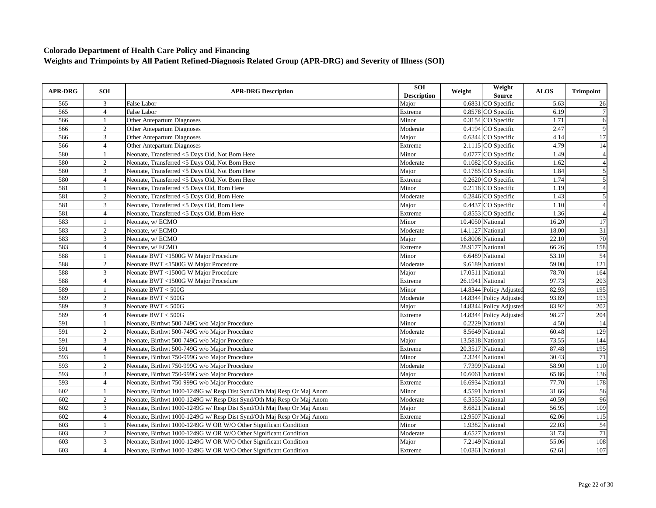| <b>APR-DRG</b> | <b>SOI</b>       | <b>APR-DRG Description</b>                                             | SOI<br><b>Description</b> | Weight | Weight<br>Source        | <b>ALOS</b>        | <b>Trimpoint</b> |
|----------------|------------------|------------------------------------------------------------------------|---------------------------|--------|-------------------------|--------------------|------------------|
| 565            | 3                | False Labor                                                            | Major                     |        | 0.6831 CO Specific      | 5.63               | 26               |
| 565            | $\overline{4}$   | <b>False Labor</b>                                                     | Extreme                   |        | 0.8578 CO Specific      | 6.19               | $\overline{7}$   |
| 566            | 1                | Other Antepartum Diagnoses                                             | Minor                     |        | $0.3154$ CO Specific    | 1.71               | 6                |
| 566            | $\boldsymbol{2}$ | Other Antepartum Diagnoses                                             | Moderate                  |        | 0.4194 CO Specific      | 2.47               | 9                |
| 566            | 3                | <b>Other Antepartum Diagnoses</b>                                      | Major                     |        | 0.6344 CO Specific      | 4.14               | 17               |
| 566            | $\overline{4}$   | Other Antepartum Diagnoses                                             | Extreme                   |        | 2.1115 CO Specific      | 4.79               | 14               |
| 580            | $\mathbf{1}$     | Neonate, Transferred <5 Days Old, Not Born Here                        | Minor                     |        | 0.0777 CO Specific      | 1.49               | $\overline{4}$   |
| 580            | 2                | Neonate, Transferred <5 Days Old, Not Born Here                        | Moderate                  |        | $0.1082$ CO Specific    | 1.62               | $\overline{A}$   |
| 580            | $\overline{3}$   | Neonate, Transferred <5 Days Old, Not Born Here                        | Major                     |        | 0.1785 CO Specific      | 1.84               | 5                |
| 580            | $\overline{4}$   | Neonate, Transferred <5 Days Old, Not Born Here                        | Extreme                   |        | 0.2620 CO Specific      | 1.74               | 5                |
| 581            | $\mathbf{1}$     | Neonate, Transferred <5 Days Old, Born Here                            | Minor                     |        | 0.2118 CO Specific      | 1.19               | $\overline{A}$   |
| 581            | $\overline{c}$   | Neonate, Transferred <5 Days Old, Born Here                            | Moderate                  |        | 0.2846 CO Specific      | 1.43               | 5                |
| 581            | $\overline{3}$   | Neonate, Transferred <5 Days Old, Born Here                            | Major                     |        | 0.4437 CO Specific      | 1.10               | $\overline{4}$   |
| 581            | $\overline{4}$   | Neonate, Transferred <5 Days Old, Born Here                            | Extreme                   |        | 0.8553 CO Specific      | 1.36               | $\overline{4}$   |
| 583            | 1                | Neonate, w/ ECMO                                                       | Minor                     |        | 10.4050 National        | 16.20              | 17               |
| 583            | $\overline{2}$   | Neonate, w/ ECMO                                                       | Moderate                  |        | 14.1127 National        | 18.00              | $\overline{31}$  |
| 583            | 3                | Neonate, w/ ECMO                                                       | Major                     |        | 16.8006 National        | 22.10              | 70               |
| 583            | $\overline{4}$   | Neonate, w/ ECMO                                                       | Extreme                   |        | 28.9177 National        | 66.26              | 158              |
| 588            | -1               | Neonate BWT <1500G W Major Procedure                                   | Minor                     |        | 6.6489 National         | 53.10              | 54               |
| 588            | $\sqrt{2}$       | Neonate BWT <1500G W Major Procedure                                   | Moderate                  |        | 9.6189 National         | 59.00              | 121              |
| 588            | 3                | Neonate BWT <1500G W Major Procedure                                   | Major                     |        | 17.0511 National        | 78.70              | 164              |
| 588            | $\overline{4}$   | Neonate BWT <1500G W Major Procedure                                   | Extreme                   |        | 26.1941 National        | 97.73              | 203              |
| 589            | 1                | Neonate $BWT < 500G$                                                   | Minor                     |        | 14.8344 Policy Adjusted | 82.93              | 195              |
| 589            | 2                | Neonate $BWT < 500G$                                                   | Moderate                  |        | 14.8344 Policy Adjusted | 93.89              | 193              |
| 589            | 3                | Neonate $BWT < 500G$                                                   | Major                     |        | 14.8344 Policy Adjusted | 83.92              | 202              |
| 589            | $\overline{4}$   | Neonate $BWT < 500G$                                                   | Extreme                   |        | 14.8344 Policy Adjusted | 98.27              | 204              |
| 591            | $\mathbf{1}$     | Neonate, Birthwt 500-749G w/o Maior Procedure                          | Minor                     |        | 0.2229 National         | 4.50               | 14               |
| 591            | $\overline{c}$   | Neonate, Birthwt 500-749G w/o Major Procedure                          | Moderate                  |        | 8.5649 National         | 60.48              | 129              |
| 591            | 3                | Neonate, Birthwt 500-749G w/o Major Procedure                          | Major                     |        | 13.5818 National        | 73.55              | 144              |
| 591            | $\overline{4}$   | Neonate, Birthwt 500-749G w/o Major Procedure                          | Extreme                   |        | 20.3517 National        | 87.48              | 195              |
| 593            | 1                | Neonate, Birthwt 750-999G w/o Major Procedure                          | Minor                     |        | 2.3244 National         | 30.43              | 71               |
| 593            | $\overline{2}$   | Neonate, Birthwt 750-999G w/o Major Procedure                          | Moderate                  |        | 7.7399 National         | 58.90              | 110              |
| 593            | 3                | Neonate, Birthwt 750-999G w/o Major Procedure                          | Major                     |        | 10.6061 National        | 65.86              | 136              |
| 593            | $\overline{4}$   | Neonate, Birthwt 750-999G w/o Major Procedure                          | Extreme                   |        | 16.6934 National        | 77.70              | 178              |
| 602            | $\mathbf{1}$     | Neonate, Birthwt 1000-1249G w/ Resp Dist Synd/Oth Maj Resp Or Maj Anom | Minor                     |        | 4.5591 National         | 31.66              | 56               |
| 602            | $\overline{2}$   | Neonate, Birthwt 1000-1249G w/ Resp Dist Synd/Oth Maj Resp Or Maj Anom | Moderate                  |        | 6.3555 National         | 40.59              | 96               |
| 602            | 3                | Neonate, Birthwt 1000-1249G w/ Resp Dist Synd/Oth Maj Resp Or Maj Anom | Major                     |        | 8.6821 National         | 56.95              | 109              |
| 602            | $\overline{4}$   | Neonate, Birthwt 1000-1249G w/ Resp Dist Synd/Oth Maj Resp Or Maj Anom | Extreme                   |        | 12.9507 National        | 62.06              | $\overline{115}$ |
| 603            | $\mathbf{1}$     | Neonate, Birthwt 1000-1249G W OR W/O Other Significant Condition       | Minor                     |        | 1.9382 National         | $\overline{22.03}$ | 54               |
| 603            | $\mathfrak{2}$   | Neonate, Birthwt 1000-1249G W OR W/O Other Significant Condition       | Moderate                  |        | 4.6527 National         | 31.73              | 71               |
| 603            | $\overline{3}$   | Neonate, Birthwt 1000-1249G W OR W/O Other Significant Condition       | Major                     |        | 7.2149 National         | 55.06              | 108              |
| 603            | $\overline{4}$   | Neonate, Birthwt 1000-1249G W OR W/O Other Significant Condition       | Extreme                   |        | 10.0361 National        | 62.61              | 107              |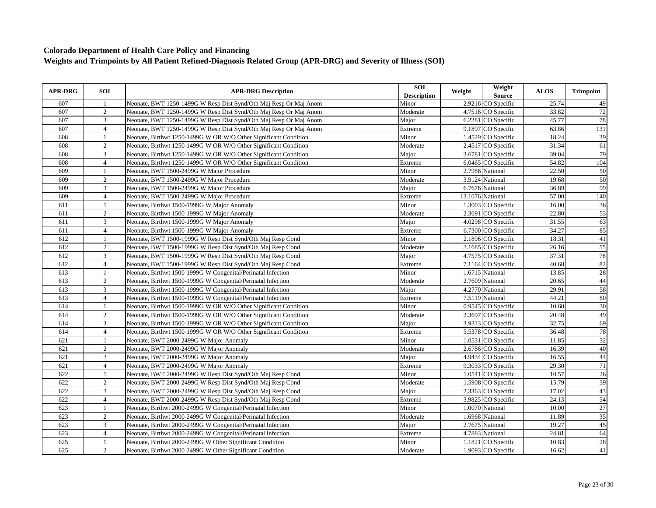| <b>APR-DRG</b> | <b>SOI</b>     | <b>APR-DRG Description</b>                                        | <b>SOI</b><br><b>Description</b> | Weight | Weight<br><b>Source</b> | <b>ALOS</b>        | <b>Trimpoint</b> |
|----------------|----------------|-------------------------------------------------------------------|----------------------------------|--------|-------------------------|--------------------|------------------|
| 607            | -1             | Neonate, BWT 1250-1499G W Resp Dist Synd/Oth Maj Resp Or Maj Anom | Minor                            |        | 2.9216 CO Specific      | 25.74              | 49               |
| 607            | $\overline{2}$ | Neonate, BWT 1250-1499G W Resp Dist Synd/Oth Maj Resp Or Maj Anom | Moderate                         |        | 4.7516 CO Specific      | 33.82              | 72               |
| 607            | 3              | Neonate, BWT 1250-1499G W Resp Dist Synd/Oth Maj Resp Or Maj Anom | Major                            |        | 6.2281 CO Specific      | 45.77              | 78               |
| 607            | $\overline{4}$ | Neonate, BWT 1250-1499G W Resp Dist Synd/Oth Maj Resp Or Maj Anom | Extreme                          |        | 9.1897 CO Specific      | 63.86              | 131              |
| 608            | $\overline{1}$ | Neonate, Birthwt 1250-1499G W OR W/O Other Significant Condition  | Minor                            |        | 1.4529 CO Specific      | 18.24              | 39               |
| 608            | $\overline{2}$ | Neonate, Birthwt 1250-1499G W OR W/O Other Significant Condition  | Moderate                         |        | 2.4517 CO Specific      | 31.34              | 61               |
| 608            | 3              | Neonate, Birthwt 1250-1499G W OR W/O Other Significant Condition  | Major                            |        | 3.6781 CO Specific      | 39.04              | 79               |
| 608            | $\overline{4}$ | Neonate, Birthwt 1250-1499G W OR W/O Other Significant Condition  | Extreme                          |        | 6.0465 CO Specific      | 54.82              | 104              |
| 609            | $\mathbf{1}$   | Neonate, BWT 1500-2499G W Major Procedure                         | Minor                            |        | 2.7986 National         | $\overline{22.50}$ | 50               |
| 609            | 2              | Neonate, BWT 1500-2499G W Major Procedure                         | Moderate                         |        | 3.9124 National         | 19.68              | 50               |
| 609            | 3              | Neonate, BWT 1500-2499G W Major Procedure                         | Major                            |        | 6.7676 National         | 36.89              | 99               |
| 609            | $\overline{4}$ | Neonate, BWT 1500-2499G W Major Procedure                         | Extreme                          |        | 13.1076 National        | 57.00              | 140              |
| 611            | $\mathbf{1}$   | Neonate, Birthwt 1500-1999G W Major Anomaly                       | Minor                            |        | 1.3003 CO Specific      | 16.00              | 36               |
| 611            | 2              | Neonate, Birthwt 1500-1999G W Major Anomaly                       | Moderate                         |        | 2.3691 CO Specific      | 22.80              | 53               |
| 611            | 3              | Neonate, Birthwt 1500-1999G W Major Anomaly                       | Major                            |        | 4.0298 CO Specific      | 31.55              | 63               |
| 611            | $\overline{4}$ | Neonate, Birthwt 1500-1999G W Major Anomaly                       | Extreme                          |        | 6.7300 CO Specific      | 34.27              | 85               |
| 612            |                | Neonate, BWT 1500-1999G W Resp Dist Synd/Oth Maj Resp Cond        | Minor                            |        | 2.1896 CO Specific      | 18.31              | 41               |
| 612            | 2              | Neonate, BWT 1500-1999G W Resp Dist Synd/Oth Maj Resp Cond        | Moderate                         |        | 3.1685 CO Specific      | 26.16              | 55               |
| 612            | 3              | Neonate, BWT 1500-1999G W Resp Dist Synd/Oth Maj Resp Cond        | Major                            |        | 4.7575 CO Specific      | 37.31              | 78               |
| 612            | $\overline{4}$ | Neonate, BWT 1500-1999G W Resp Dist Synd/Oth Maj Resp Cond        | Extreme                          |        | 7.1164 CO Specific      | 40.68              | 82               |
| 613            | $\mathbf{1}$   | Neonate, Birthwt 1500-1999G W Congenital/Perinatal Infection      | Minor                            |        | 1.6715 National         | 13.85              | 28               |
| 613            | $\overline{c}$ | Neonate, Birthwt 1500-1999G W Congenital/Perinatal Infection      | Moderate                         |        | 2.7609 National         | 20.65              | 44               |
| 613            | 3              | Neonate, Birthwt 1500-1999G W Congenital/Perinatal Infection      | Major                            |        | 4.2770 National         | 29.91              | 58               |
| 613            | $\overline{4}$ | Neonate, Birthwt 1500-1999G W Congenital/Perinatal Infection      | Extreme                          |        | 7.5119 National         | 44.21              | 80               |
| 614            |                | Neonate, Birthwt 1500-1999G W OR W/O Other Significant Condition  | Minor                            |        | 0.9545 CO Specific      | 10.60              | 30               |
| 614            | 2              | Neonate, Birthwt 1500-1999G W OR W/O Other Significant Condition  | Moderate                         |        | 2.3697 CO Specific      | 20.48              | 49               |
| 614            | 3              | Neonate, Birthwt 1500-1999G W OR W/O Other Significant Condition  | Major                            |        | 3.9313 CO Specific      | 32.75              | 69               |
| 614            | $\overline{4}$ | Neonate, Birthwt 1500-1999G W OR W/O Other Significant Condition  | Extreme                          |        | 5.5378 CO Specific      | 36.48              | 78               |
| 621            | -1             | Neonate, BWT 2000-2499G W Major Anomaly                           | Minor                            |        | 1.0531 CO Specific      | 11.85              | 32               |
| 621            | 2              | Neonate, BWT 2000-2499G W Major Anomaly                           | Moderate                         |        | 2.6786 CO Specific      | 16.39              | 40               |
| 621            | 3              | Neonate, BWT 2000-2499G W Major Anomaly                           | Major                            |        | 4.9434 CO Specific      | 16.55              | 44               |
| 621            | $\overline{4}$ | Neonate, BWT 2000-2499G W Major Anomaly                           | Extreme                          |        | 9.3033 CO Specific      | 29.30              | 71               |
| 622            | -1             | Neonate, BWT 2000-2499G W Resp Dist Synd/Oth Maj Resp Cond        | Minor                            |        | 1.0541 CO Specific      | 10.57              | 26               |
| 622            | 2              | Neonate, BWT 2000-2499G W Resp Dist Synd/Oth Maj Resp Cond        | Moderate                         |        | 1.5908 CO Specific      | 15.79              | 39               |
| 622            | 3              | Neonate, BWT 2000-2499G W Resp Dist Synd/Oth Maj Resp Cond        | Major                            |        | 2.3363 CO Specific      | 17.02              | 43               |
| 622            | $\overline{4}$ | Neonate, BWT 2000-2499G W Resp Dist Synd/Oth Maj Resp Cond        | Extreme                          |        | 3.9825 CO Specific      | 24.13              | 54               |
| 623            | 1              | Neonate, Birthwt 2000-2499G W Congenital/Perinatal Infection      | Minor                            |        | 1.0070 National         | 10.00              | 27               |
| 623            | $\overline{2}$ | Neonate, Birthwt 2000-2499G W Congenital/Perinatal Infection      | Moderate                         |        | 1.6968 National         | 11.89              | 35               |
| 623            | 3              | Neonate, Birthwt 2000-2499G W Congenital/Perinatal Infection      | Major                            |        | 2.7675 National         | 19.27              | 45               |
| 623            | $\overline{4}$ | Neonate, Birthwt 2000-2499G W Congenital/Perinatal Infection      | Extreme                          |        | 4.7883 National         | 24.81              | 64               |
| 625            |                | Neonate, Birthwt 2000-2499G W Other Significant Condition         | Minor                            |        | 1.1821 CO Specific      | 10.83              | 28               |
| 625            | 2              | Neonate, Birthwt 2000-2499G W Other Significant Condition         | Moderate                         |        | 1.9093 CO Specific      | 16.62              | 41               |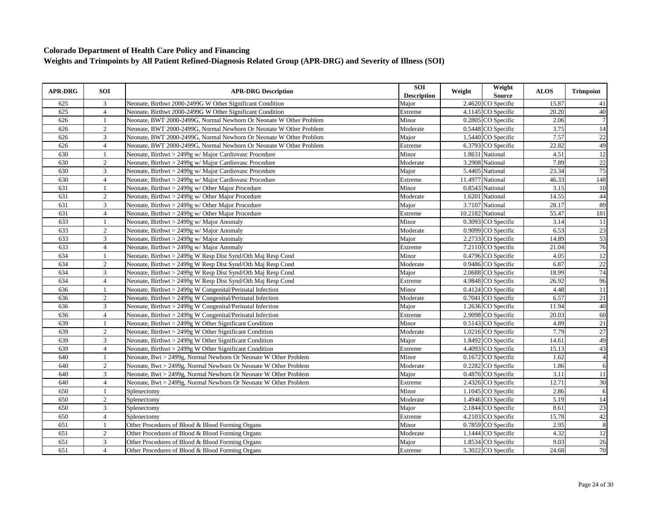| <b>APR-DRG</b> | SOI            | <b>APR-DRG Description</b>                                         | <b>SOI</b><br><b>Description</b> | Weight | Weight<br><b>Source</b> | <b>ALOS</b> | <b>Trimpoint</b> |
|----------------|----------------|--------------------------------------------------------------------|----------------------------------|--------|-------------------------|-------------|------------------|
| 625            | 3              | Neonate, Birthwt 2000-2499G W Other Significant Condition          | Major                            |        | 2.4620 CO Specific      | 15.87       | 41               |
| 625            | $\overline{4}$ | Neonate, Birthwt 2000-2499G W Other Significant Condition          | Extreme                          |        | 4.1145 CO Specific      | 20.20       | 40               |
| 626            | $\mathbf{1}$   | Neonate, BWT 2000-2499G, Normal Newborn Or Neonate W Other Problem | Minor                            |        | 0.2805 CO Specific      | 2.06        | $\overline{7}$   |
| 626            | $\overline{2}$ | Neonate, BWT 2000-2499G, Normal Newborn Or Neonate W Other Problem | Moderate                         |        | 0.5448 CO Specific      | 3.75        | 14               |
| 626            | $\overline{3}$ | Neonate, BWT 2000-2499G, Normal Newborn Or Neonate W Other Problem | Major                            |        | 1.5440 CO Specific      | 7.57        | 22               |
| 626            | $\overline{4}$ | Neonate, BWT 2000-2499G, Normal Newborn Or Neonate W Other Problem | Extreme                          |        | 6.3793 CO Specific      | 22.82       | 49               |
| 630            | $\overline{1}$ | Neonate, Birthwt > 2499g w/ Major Cardiovasc Procedure             | Minor                            |        | 1.8631 National         | 4.51        | 12               |
| 630            | $\overline{2}$ | Neonate, Birthwt > 2499g w/ Major Cardiovasc Procedure             | Moderate                         |        | 3.2908 National         | 7.89        | 22               |
| 630            | 3              | Neonate, Birthwt > 2499g w/ Major Cardiovasc Procedure             | Major                            |        | 5.4405 National         | 23.34       | 75               |
| 630            | $\overline{4}$ | Neonate, Birthwt > 2499g w/ Major Cardiovasc Procedure             | Extreme                          |        | 11.4977 National        | 46.33       | 148              |
| 631            | $\mathbf{1}$   | Neonate, Birthwt > 2499g w/ Other Major Procedure                  | Minor                            |        | 0.8543 National         | 3.15        | 10               |
| 631            | 2              | Neonate, Birthwt > 2499g w/ Other Major Procedure                  | Moderate                         |        | 1.6201 National         | 14.55       | 44               |
| 631            | 3              | Neonate, Birthwt > 2499g w/ Other Major Procedure                  | Major                            |        | 3.7107 National         | 28.17       | 89               |
| 631            | $\overline{4}$ | Neonate, Birthwt > 2499g w/ Other Major Procedure                  | Extreme                          |        | 10.2182 National        | 55.47       | 181              |
| 633            | $\mathbf{1}$   | Neonate, Birthwt > 2499g w/ Major Anomaly                          | Minor                            |        | 0.3093 CO Specific      | 3.14        | 11               |
| 633            | $\overline{2}$ | Neonate, Birthwt $> 2499g$ w/ Major Anomaly                        | Moderate                         |        | 0.9099 CO Specific      | 6.53        | 23               |
| 633            | 3              | Neonate, Birthwt > 2499g w/ Major Anomaly                          | Major                            |        | 2.2733 CO Specific      | 14.89       | 53               |
| 633            | $\overline{4}$ | Neonate, Birthwt > 2499g w/ Major Anomaly                          | Extreme                          |        | 7.2110 CO Specific      | 21.04       | 76               |
| 634            | $\overline{1}$ | Neonate, Birthwt > 2499g W Resp Dist Synd/Oth Maj Resp Cond        | Minor                            |        | 0.4796 CO Specific      | 4.05        | 12               |
| 634            | $\overline{2}$ | Neonate, Birthwt > 2499g W Resp Dist Synd/Oth Maj Resp Cond        | Moderate                         |        | 0.9486 CO Specific      | 6.87        | $\overline{22}$  |
| 634            | 3              | Neonate, Birthwt > 2499g W Resp Dist Synd/Oth Maj Resp Cond        | Major                            |        | 2.0688 CO Specific      | 18.99       | 74               |
| 634            | $\overline{4}$ | Neonate, Birthwt > 2499g W Resp Dist Synd/Oth Maj Resp Cond        | Extreme                          |        | 4.9848 CO Specific      | 26.92       | 96               |
| 636            | $\mathbf{1}$   | Neonate, Birthwt > 2499g W Congenital/Perinatal Infection          | Minor                            |        | 0.4124 CO Specific      | 4.48        | 11               |
| 636            | $\overline{2}$ | Neonate, Birthwt > 2499g W Congenital/Perinatal Infection          | Moderate                         |        | 0.7041 CO Specific      | 6.57        | 21               |
| 636            | 3              | Neonate, Birthwt > 2499g W Congenital/Perinatal Infection          | Major                            |        | 1.2636 CO Specific      | 11.94       | 40               |
| 636            | $\overline{4}$ | Neonate, Birthwt > 2499g W Congenital/Perinatal Infection          | Extreme                          |        | 2.9098 CO Specific      | 20.03       | 60               |
| 639            | $\mathbf{1}$   | Neonate, Birthwt > 2499g W Other Significant Condition             | Minor                            |        | 0.5143 CO Specific      | 4.89        | 21               |
| 639            | $\overline{2}$ | Neonate, Birthwt > 2499g W Other Significant Condition             | Moderate                         |        | 1.0216 CO Specific      | 7.79        | 27               |
| 639            | 3              | Neonate, Birthwt $> 2499g$ W Other Significant Condition           | Major                            |        | 1.8492 CO Specific      | 14.61       | 49               |
| 639            | $\overline{4}$ | Neonate, Birthwt > 2499g W Other Significant Condition             | Extreme                          |        | 4.4093 CO Specific      | 15.13       | 43               |
| 640            | $\mathbf{1}$   | Neonate, Bwt > 2499g, Normal Newborn Or Neonate W Other Problem    | Minor                            |        | 0.1672 CO Specific      | 1.62        | $\overline{A}$   |
| 640            | $\overline{2}$ | Neonate, Bwt > 2499g, Normal Newborn Or Neonate W Other Problem    | Moderate                         |        | 0.2282 CO Specific      | 1.86        | 6                |
| 640            | $\overline{3}$ | Neonate, Bwt > 2499g, Normal Newborn Or Neonate W Other Problem    | Major                            |        | 0.4876 CO Specific      | 3.11        | 11               |
| 640            | $\overline{4}$ | Neonate, Bwt > 2499g, Normal Newborn Or Neonate W Other Problem    | Extreme                          |        | 2.4326 CO Specific      | 12.71       | $\overline{30}$  |
| 650            | $\mathbf{1}$   | Splenectomy                                                        | Minor                            |        | 1.1045 CO Specific      | 2.86        | 6                |
| 650            | 2              | Splenectomy                                                        | Moderate                         |        | 1.4946 CO Specific      | 5.19        | $\overline{14}$  |
| 650            | 3              | Splenectomy                                                        | Major                            |        | $2.1844$ CO Specific    | 8.61        | 23               |
| 650            | $\overline{4}$ | Splenectomy                                                        | Extreme                          |        | 4.2103 CO Specific      | 15.78       | 42               |
| 651            | $\mathbf{1}$   | Other Procedures of Blood & Blood Forming Organs                   | Minor                            |        | 0.7859 CO Specific      | 2.95        | 8                |
| 651            | 2              | Other Procedures of Blood & Blood Forming Organs                   | Moderate                         |        | 1.1444 CO Specific      | 4.32        | $\overline{12}$  |
| 651            | $\overline{3}$ | Other Procedures of Blood & Blood Forming Organs                   | Major                            |        | 1.8534 CO Specific      | 9.03        | $\overline{26}$  |
| 651            | $\overline{4}$ | Other Procedures of Blood & Blood Forming Organs                   | Extreme                          |        | 5.3022 CO Specific      | 24.68       | 70               |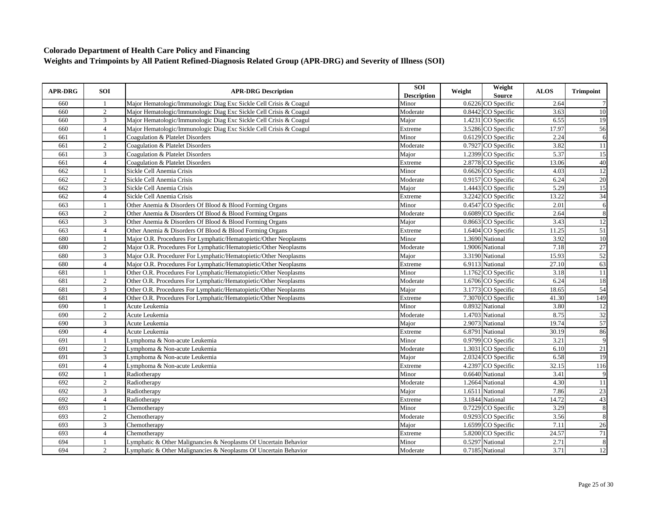| <b>APR-DRG</b> | SOI            | <b>APR-DRG Description</b>                                         | SOI<br><b>Description</b> | Weight | Weight<br><b>Source</b> | <b>ALOS</b> | <b>Trimpoint</b> |
|----------------|----------------|--------------------------------------------------------------------|---------------------------|--------|-------------------------|-------------|------------------|
| 660            | -1             | Major Hematologic/Immunologic Diag Exc Sickle Cell Crisis & Coagul | Minor                     |        | 0.6226 CO Specific      | 2.64        |                  |
| 660            | $\overline{2}$ | Major Hematologic/Immunologic Diag Exc Sickle Cell Crisis & Coagul | Moderate                  |        | 0.8442 CO Specific      | 3.63        | 10               |
| 660            | 3              | Major Hematologic/Immunologic Diag Exc Sickle Cell Crisis & Coagul | Major                     |        | 1.4231 CO Specific      | 6.55        | 19               |
| 660            | $\overline{4}$ | Major Hematologic/Immunologic Diag Exc Sickle Cell Crisis & Coagul | Extreme                   |        | 3.5286 CO Specific      | 17.97       | 56               |
| 661            | $\overline{1}$ | Coagulation & Platelet Disorders                                   | Minor                     |        | 0.6129 CO Specific      | 2.24        | 6                |
| 661            | $\overline{2}$ | Coagulation & Platelet Disorders                                   | Moderate                  |        | 0.7927 CO Specific      | 3.82        | $\overline{11}$  |
| 661            | 3              | Coagulation & Platelet Disorders                                   | Major                     |        | 1.2399 CO Specific      | 5.37        | $\overline{15}$  |
| 661            | $\overline{4}$ | Coagulation & Platelet Disorders                                   | Extreme                   |        | 2.8778 CO Specific      | 13.06       | 40               |
| 662            | $\overline{1}$ | Sickle Cell Anemia Crisis                                          | Minor                     |        | 0.6626 CO Specific      | 4.03        | 12               |
| 662            | 2              | Sickle Cell Anemia Crisis                                          | Moderate                  |        | 0.9157 CO Specific      | 6.24        | 20               |
| 662            | 3              | Sickle Cell Anemia Crisis                                          | Major                     |        | 1.4443 CO Specific      | 5.29        | $\overline{15}$  |
| 662            | $\overline{4}$ | Sickle Cell Anemia Crisis                                          | Extreme                   |        | 3.2242 CO Specific      | 13.22       | 34               |
| 663            | $\mathbf{1}$   | Other Anemia & Disorders Of Blood & Blood Forming Organs           | Minor                     |        | 0.4547 CO Specific      | 2.01        | 6                |
| 663            | $\overline{2}$ | Other Anemia & Disorders Of Blood & Blood Forming Organs           | Moderate                  |        | 0.6089 CO Specific      | 2.64        | $\overline{8}$   |
| 663            | $\overline{3}$ | Other Anemia & Disorders Of Blood & Blood Forming Organs           | Major                     |        | $0.8663$ CO Specific    | 3.43        | 12               |
| 663            | $\overline{4}$ | Other Anemia & Disorders Of Blood & Blood Forming Organs           | Extreme                   |        | 1.6404 CO Specific      | 11.25       | $\overline{51}$  |
| 680            | $\mathbf{1}$   | Major O.R. Procedures For Lymphatic/Hematopietic/Other Neoplasms   | Minor                     |        | 1.3690 National         | 3.92        | 10               |
| 680            | $\overline{2}$ | Major O.R. Procedures For Lymphatic/Hematopietic/Other Neoplasms   | Moderate                  |        | 1.9006 National         | 7.18        | 27               |
| 680            | $\overline{3}$ | Major O.R. Procedurer For Lymphatic/Hematopietic/Other Neoplasms   | Major                     |        | 3.3190 National         | 15.93       | 52               |
| 680            | $\overline{4}$ | Major O.R. Procedures For Lymphatic/Hematopietic/Other Neoplasms   | Extreme                   |        | 6.9113 National         | 27.10       | 63               |
| 681            | 1              | Other O.R. Procedures For Lymphatic/Hematopietic/Other Neoplasms   | Minor                     |        | 1.1762 CO Specific      | 3.18        | $\overline{11}$  |
| 681            | $\overline{2}$ | Other O.R. Procedures For Lymphatic/Hematopietic/Other Neoplasms   | Moderate                  |        | 1.6706 CO Specific      | 6.24        | 18               |
| 681            | $\mathfrak{Z}$ | Other O.R. Procedures For Lymphatic/Hematopietic/Other Neoplasms   | Major                     |        | 3.1773 CO Specific      | 18.65       | 54               |
| 681            | $\overline{4}$ | Other O.R. Procedures For Lymphatic/Hematopietic/Other Neoplasms   | Extreme                   |        | 7.3070 CO Specific      | 41.30       | 149              |
| 690            |                | Acute Leukemia                                                     | Minor                     |        | 0.8932 National         | 3.80        | 12               |
| 690            | 2              | Acute Leukemia                                                     | Moderate                  |        | 1.4703 National         | 8.75        | 32               |
| 690            | 3              | Acute Leukemia                                                     | Major                     |        | 2.9073 National         | 19.74       | 57               |
| 690            | $\overline{4}$ | Acute Leukemia                                                     | Extreme                   |        | 6.8791 National         | 30.19       | 86               |
| 691            | -1             | Lymphoma & Non-acute Leukemia                                      | Minor                     |        | 0.9799 CO Specific      | 3.21        | $\overline{9}$   |
| 691            | $\overline{2}$ | Lymphoma & Non-acute Leukemia                                      | Moderate                  |        | 1.3031 CO Specific      | 6.10        | 21               |
| 691            | 3              | Lymphoma & Non-acute Leukemia                                      | Major                     |        | 2.0324 CO Specific      | 6.58        | $\overline{19}$  |
| 691            | $\overline{4}$ | Lymphoma & Non-acute Leukemia                                      | Extreme                   |        | 4.2397 CO Specific      | 32.15       | 116              |
| 692            | $\mathbf{1}$   | Radiotherapy                                                       | Minor                     |        | 0.6640 National         | 3.41        | 9                |
| 692            | 2              | Radiotherapy                                                       | Moderate                  |        | 1.2664 National         | 4.30        | <sup>11</sup>    |
| 692            | 3              | Radiotherapy                                                       | Major                     |        | 1.6511 National         | 7.86        | 23               |
| 692            | $\overline{4}$ | Radiotherapy                                                       | Extreme                   |        | 3.1844 National         | 14.72       | 43               |
| 693            | $\mathbf{1}$   | Chemotherapy                                                       | Minor                     |        | 0.7229 CO Specific      | 3.29        | $\overline{8}$   |
| 693            | $\overline{2}$ | Chemotherapy                                                       | Moderate                  |        | 0.9293 CO Specific      | 3.56        | 8                |
| 693            | $\mathfrak{Z}$ | Chemotherapy                                                       | Major                     |        | 1.6599 CO Specific      | 7.11        | 26               |
| 693            | $\overline{4}$ | Chemotherapy                                                       | Extreme                   |        | 5.8200 CO Specific      | 24.57       | 71               |
| 694            | 1              | Lymphatic & Other Malignancies & Neoplasms Of Uncertain Behavior   | Minor                     |        | 0.5297 National         | 2.71        | $\overline{8}$   |
| 694            | $\overline{2}$ | Lymphatic & Other Malignancies & Neoplasms Of Uncertain Behavior   | Moderate                  |        | 0.7185 National         | 3.71        | 12               |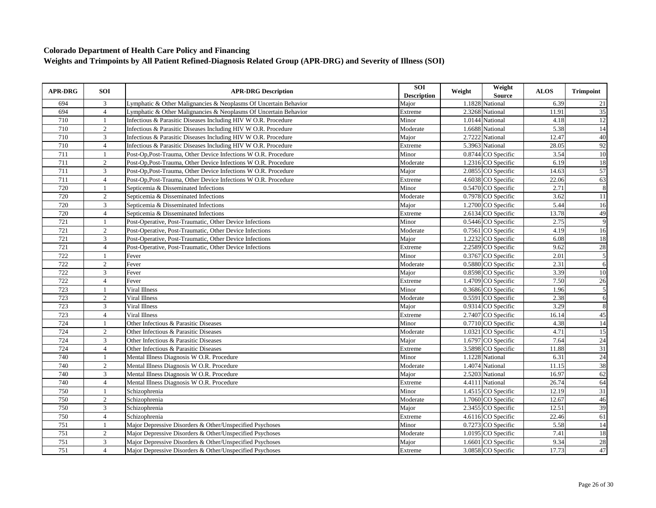| <b>APR-DRG</b> | <b>SOI</b>     | <b>APR-DRG Description</b>                                       | SOI<br><b>Description</b> | Weight | Weight<br><b>Source</b> | <b>ALOS</b> | <b>Trimpoint</b> |
|----------------|----------------|------------------------------------------------------------------|---------------------------|--------|-------------------------|-------------|------------------|
| 694            | 3              | Lymphatic & Other Malignancies & Neoplasms Of Uncertain Behavior | Major                     |        | 1.1828 National         | 6.39        | 21               |
| 694            | $\overline{4}$ | Lymphatic & Other Malignancies & Neoplasms Of Uncertain Behavior | Extreme                   |        | 2.3268 National         | 11.91       | $\overline{35}$  |
| 710            | $\mathbf{1}$   | Infectious & Parasitic Diseases Including HIV W O.R. Procedure   | Minor                     |        | 1.0144 National         | 4.18        | $\overline{12}$  |
| 710            | $\overline{2}$ | Infectious & Parasitic Diseases Including HIV W O.R. Procedure   | Moderate                  |        | 1.6688 National         | 5.38        | 14               |
| 710            | 3              | Infectious & Parasitic Diseases Including HIV W O.R. Procedure   | Major                     |        | 2.7222 National         | 12.47       | 40               |
| 710            | $\overline{4}$ | Infectious & Parasitic Diseases Including HIV W O.R. Procedure   | Extreme                   |        | 5.3963 National         | 28.05       | 92               |
| 711            |                | Post-Op, Post-Trauma, Other Device Infections W O.R. Procedure   | Minor                     |        | 0.8744 CO Specific      | 3.54        | 10               |
| 711            | $\overline{2}$ | Post-Op, Post-Trauma, Other Device Infections W O.R. Procedure   | Moderate                  |        | 1.2316 CO Specific      | 6.19        | 18               |
| 711            | 3              | Post-Op, Post-Trauma, Other Device Infections W O.R. Procedure   | Major                     |        | 2.0855 CO Specific      | 14.63       | 57               |
| 711            | $\overline{4}$ | Post-Op, Post-Trauma, Other Device Infections W O.R. Procedure   | Extreme                   |        | 4.6038 CO Specific      | 22.06       | 63               |
| 720            | $\overline{1}$ | Septicemia & Disseminated Infections                             | Minor                     |        | 0.5470 CO Specific      | 2.71        | 8                |
| 720            | $\overline{2}$ | Septicemia & Disseminated Infections                             | Moderate                  |        | 0.7978 CO Specific      | 3.62        | 11               |
| 720            | 3              | Septicemia & Disseminated Infections                             | Major                     |        | 1.2700 CO Specific      | 5.44        | 16               |
| 720            | $\overline{4}$ | Septicemia & Disseminated Infections                             | Extreme                   |        | 2.6134 CO Specific      | 13.78       | 49               |
| 721            |                | Post-Operative, Post-Traumatic, Other Device Infections          | Minor                     |        | 0.5446 CO Specific      | 2.75        | 9                |
| 721            | $\overline{2}$ | Post-Operative, Post-Traumatic, Other Device Infections          | Moderate                  |        | 0.7561 CO Specific      | 4.19        | 16               |
| 721            | 3              | Post-Operative, Post-Traumatic, Other Device Infections          | Major                     |        | 1.2232 CO Specific      | 6.08        | 18               |
| 721            | $\overline{4}$ | Post-Operative, Post-Traumatic, Other Device Infections          | Extreme                   |        | 2.2589 CO Specific      | 9.62        | 28               |
| 722            |                | Fever                                                            | Minor                     |        | 0.3767 CO Specific      | 2.01        | $\overline{5}$   |
| 722            | $\overline{2}$ | Fever                                                            | Moderate                  |        | 0.5880 CO Specific      | 2.31        | 6                |
| 722            | 3              | Fever                                                            | Major                     |        | 0.8598 CO Specific      | 3.39        | 10               |
| 722            | $\overline{4}$ | Fever                                                            | Extreme                   |        | 1.4709 CO Specific      | 7.50        | $\overline{26}$  |
| 723            | $\mathbf{1}$   | <b>Viral Illness</b>                                             | Minor                     |        | 0.3686 CO Specific      | 1.96        | $\overline{5}$   |
| 723            | $\overline{2}$ | <b>Viral Illness</b>                                             | Moderate                  |        | 0.5591 CO Specific      | 2.38        | 6                |
| 723            | 3              | <b>Viral Illness</b>                                             | Major                     |        | 0.9314 CO Specific      | 3.29        | 8                |
| 723            | $\overline{4}$ | <b>Viral Illness</b>                                             | Extreme                   |        | 2.7407 CO Specific      | 16.14       | 45               |
| 724            |                | Other Infectious & Parasitic Diseases                            | Minor                     |        | 0.7710 CO Specific      | 4.38        | 14               |
| 724            | $\overline{2}$ | Other Infectious & Parasitic Diseases                            | Moderate                  |        | 1.0321 CO Specific      | 4.71        | 15               |
| 724            | 3              | Other Infectious & Parasitic Diseases                            | Major                     |        | 1.6797 CO Specific      | 7.64        | 24               |
| 724            | $\overline{4}$ | Other Infectious & Parasitic Diseases                            | Extreme                   |        | 3.5898 CO Specific      | 11.88       | 31               |
| 740            | -1             | Mental Illness Diagnosis W O.R. Procedure                        | Minor                     |        | 1.1228 National         | 6.31        | 24               |
| 740            | $\overline{2}$ | Mental Illness Diagnosis W O.R. Procedure                        | Moderate                  |        | 1.4074 National         | 11.15       | 38               |
| 740            | 3              | Mental Illness Diagnosis W O.R. Procedure                        | Major                     |        | 2.5203 National         | 16.97       | 62               |
| 740            | $\overline{4}$ | Mental Illness Diagnosis W O.R. Procedure                        | Extreme                   |        | 4.4111 National         | 26.74       | 64               |
| 750            |                | Schizophrenia                                                    | Minor                     |        | 1.4515 CO Specific      | 12.19       | $\overline{31}$  |
| 750            | 2              | Schizophrenia                                                    | Moderate                  |        | 1.7060 CO Specific      | 12.67       | 46               |
| 750            | 3              | Schizophrenia                                                    | Major                     |        | 2.3455 CO Specific      | 12.51       | 39               |
| 750            | $\overline{4}$ | Schizophrenia                                                    | Extreme                   |        | 4.6116 CO Specific      | 22.46       | 61               |
| 751            | -1             | Major Depressive Disorders & Other/Unspecified Psychoses         | Minor                     |        | 0.7273 CO Specific      | 5.58        | 14               |
| 751            | 2              | Major Depressive Disorders & Other/Unspecified Psychoses         | Moderate                  |        | 1.0195 CO Specific      | 7.41        | <sup>18</sup>    |
| 751            | 3              | Major Depressive Disorders & Other/Unspecified Psychoses         | Major                     |        | 1.6601 CO Specific      | 9.34        | 28               |
| 751            | $\overline{4}$ | Major Depressive Disorders & Other/Unspecified Psychoses         | Extreme                   |        | 3.0858 CO Specific      | 17.73       | 47               |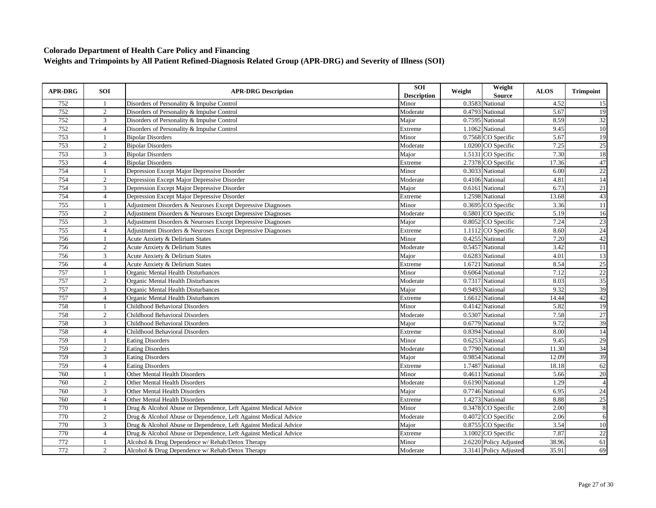| <b>APR-DRG</b> | SOI            | <b>APR-DRG Description</b>                                      | SOI<br><b>Description</b> | Weight | Weight<br><b>Source</b> | <b>ALOS</b> | <b>Trimpoint</b> |
|----------------|----------------|-----------------------------------------------------------------|---------------------------|--------|-------------------------|-------------|------------------|
| 752            | -1             | Disorders of Personality & Impulse Control                      | Minor                     |        | 0.3583 National         | 4.52        | 15               |
| 752            | $\overline{c}$ | Disorders of Personality & Impulse Control                      | Moderate                  |        | 0.4793 National         | 5.67        | 19               |
| 752            | 3              | Disorders of Personality & Impulse Control                      | Major                     |        | 0.7595 National         | 8.59        | $\overline{32}$  |
| 752            | $\overline{4}$ | Disorders of Personality & Impulse Control                      | Extreme                   |        | 1.1062 National         | 9.45        | 10               |
| 753            | $\overline{1}$ | <b>Bipolar Disorders</b>                                        | Minor                     |        | 0.7568 CO Specific      | 5.67        | $\overline{19}$  |
| 753            | $\sqrt{2}$     | <b>Bipolar Disorders</b>                                        | Moderate                  |        | 1.0200 CO Specific      | 7.25        | 25               |
| 753            | $\mathfrak{Z}$ | <b>Bipolar Disorders</b>                                        | Major                     |        | 1.5131 CO Specific      | 7.30        | 18               |
| 753            | $\overline{4}$ | <b>Bipolar Disorders</b>                                        | Extreme                   |        | 2.7378 CO Specific      | 17.36       | 47               |
| 754            | $\mathbf{1}$   | Depression Except Major Depressive Disorder                     | Minor                     |        | 0.3033 National         | 6.00        | $\overline{22}$  |
| 754            | 2              | Depression Except Major Depressive Disorder                     | Moderate                  |        | 0.4106 National         | 4.81        | 14               |
| 754            | $\mathbf{3}$   | Depression Except Major Depressive Disorder                     | Major                     |        | 0.6161 National         | 6.73        | 21               |
| 754            | $\overline{4}$ | Depression Except Major Depressive Disorder                     | Extreme                   |        | 1.2598 National         | 13.68       | 43               |
| 755            | $\mathbf{1}$   | Adjustment Disorders & Neuroses Except Depressive Diagnoses     | Minor                     |        | 0.3695 CO Specific      | 3.36        | 11               |
| 755            | $\overline{2}$ | Adjustment Disorders & Neuroses Except Depressive Diagnoses     | Moderate                  |        | 0.5801 CO Specific      | 5.19        | 16               |
| 755            | 3              | Adjustment Disorders & Neuroses Except Depressive Diagnoses     | Major                     |        | $0.8052$ CO Specific    | 7.24        | 23               |
| 755            | $\overline{4}$ | Adjustment Disorders & Neuroses Except Depressive Diagnoses     | Extreme                   |        | 1.1112 CO Specific      | 8.60        | $\overline{24}$  |
| 756            |                | Acute Anxiety & Delirium States                                 | Minor                     |        | 0.4255 National         | 7.20        | 42               |
| 756            | 2              | Acute Anxiety & Delirium States                                 | Moderate                  |        | 0.5457 National         | 3.42        | $\overline{11}$  |
| 756            | 3              | Acute Anxiety & Delirium States                                 | Major                     |        | 0.6283 National         | 4.01        | 13               |
| 756            | $\overline{4}$ | Acute Anxiety & Delirium States                                 | Extreme                   |        | 1.6721 National         | 8.54        | 25               |
| 757            |                | Organic Mental Health Disturbances                              | Minor                     |        | 0.6064 National         | 7.12        | 22               |
| 757            | 2              | Organic Mental Health Disturbances                              | Moderate                  |        | 0.7317 National         | 8.03        | 35               |
| 757            | 3              | Organic Mental Health Disturbances                              | Major                     |        | 0.9493 National         | 9.32        | 39               |
| 757            | $\overline{4}$ | Organic Mental Health Disturbances                              | Extreme                   |        | 1.6612 National         | 14.44       | 42               |
| 758            |                | <b>Childhood Behavioral Disorders</b>                           | Minor                     |        | 0.4142 National         | 5.82        | 19               |
| 758            | $\overline{2}$ | <b>Childhood Behavioral Disorders</b>                           | Moderate                  |        | 0.5307 National         | 7.58        | 27               |
| 758            | 3              | <b>Childhood Behavioral Disorders</b>                           | Major                     |        | 0.6779 National         | 9.72        | 39               |
| 758            | $\overline{4}$ | Childhood Behavioral Disorders                                  | Extreme                   |        | 0.8394 National         | 8.00        | $\overline{14}$  |
| 759            | -1             | <b>Eating Disorders</b>                                         | Minor                     |        | 0.6253 National         | 9.45        | 29               |
| 759            | $\overline{2}$ | <b>Eating Disorders</b>                                         | Moderate                  |        | 0.7790 National         | 11.30       | 34               |
| 759            | 3              | <b>Eating Disorders</b>                                         | Major                     |        | 0.9854 National         | 12.09       | 39               |
| 759            | $\overline{4}$ | <b>Eating Disorders</b>                                         | Extreme                   |        | 1.7487 National         | 18.18       | 62               |
| 760            |                | Other Mental Health Disorders                                   | Minor                     |        | 0.4611 National         | 5.66        | 20               |
| 760            | 2              | Other Mental Health Disorders                                   | Moderate                  |        | 0.6190 National         | 1.29        | $\overline{4}$   |
| 760            | 3              | Other Mental Health Disorders                                   | Major                     |        | 0.7746 National         | 6.95        | $\overline{24}$  |
| 760            | $\overline{4}$ | Other Mental Health Disorders                                   | Extreme                   |        | 1.4273 National         | 8.88        | $\overline{25}$  |
| 770            | -1             | Drug & Alcohol Abuse or Dependence, Left Against Medical Advice | Minor                     |        | 0.3478 CO Specific      | 2.00        | $\,8\,$          |
| 770            | $\overline{2}$ | Drug & Alcohol Abuse or Dependence, Left Against Medical Advice | Moderate                  |        | 0.4072 CO Specific      | 2.06        | 6                |
| 770            | 3              | Drug & Alcohol Abuse or Dependence, Left Against Medical Advice | Major                     |        | 0.8755 CO Specific      | 3.54        | $10\,$           |
| 770            | $\overline{4}$ | Drug & Alcohol Abuse or Dependence, Left Against Medical Advice | Extreme                   |        | 3.1002 CO Specific      | 7.87        | $\overline{22}$  |
| 772            |                | Alcohol & Drug Dependence w/ Rehab/Detox Therapy                | Minor                     |        | 2.6220 Policy Adjusted  | 38.96       | 61               |
| 772            | 2              | Alcohol & Drug Dependence w/ Rehab/Detox Therapy                | Moderate                  |        | 3.3141 Policy Adjusted  | 35.91       | 69               |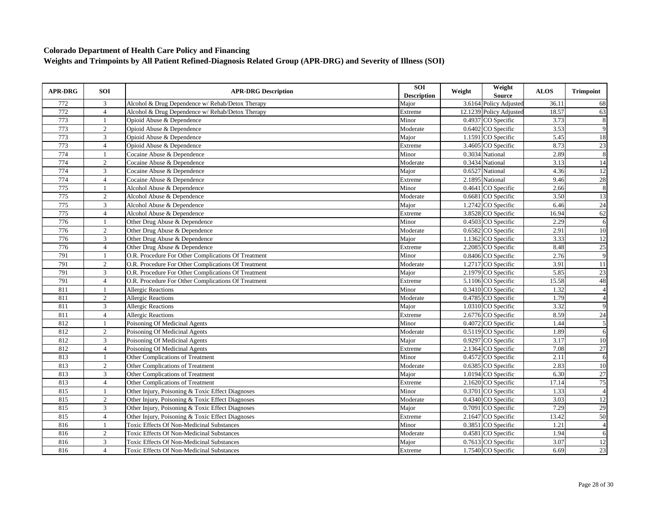| <b>APR-DRG</b> | SOI            | <b>APR-DRG Description</b>                          | SOI<br><b>Description</b> | Weight | Weight<br><b>Source</b> | <b>ALOS</b> | <b>Trimpoint</b> |
|----------------|----------------|-----------------------------------------------------|---------------------------|--------|-------------------------|-------------|------------------|
| 772            | 3              | Alcohol & Drug Dependence w/ Rehab/Detox Therapy    | Major                     |        | 3.6164 Policy Adjusted  | 36.11       | 68               |
| 772            | $\overline{4}$ | Alcohol & Drug Dependence w/ Rehab/Detox Therapy    | Extreme                   |        | 12.1239 Policy Adjusted | 18.57       | 63               |
| 773            | $\mathbf{1}$   | Opioid Abuse & Dependence                           | Minor                     |        | 0.4937 CO Specific      | 3.73        | $\,$ 8 $\,$      |
| 773            | $\overline{2}$ | Opioid Abuse & Dependence                           | Moderate                  |        | 0.6402 CO Specific      | 3.53        | 9                |
| 773            | 3              | Opioid Abuse & Dependence                           | Major                     |        | 1.1591 CO Specific      | 5.45        | 18               |
| 773            | $\overline{4}$ | Opioid Abuse & Dependence                           | Extreme                   |        | 3.4605 CO Specific      | 8.73        | 23               |
| 774            |                | Cocaine Abuse & Dependence                          | Minor                     |        | 0.3034 National         | 2.89        | $\,$ 8 $\,$      |
| 774            | $\overline{2}$ | Cocaine Abuse & Dependence                          | Moderate                  |        | 0.3434 National         | 3.13        | 14               |
| 774            | 3              | Cocaine Abuse & Dependence                          | Major                     |        | 0.6527 National         | 4.36        | $\overline{12}$  |
| 774            | $\overline{4}$ | Cocaine Abuse & Dependence                          | Extreme                   |        | 2.1895 National         | 9.46        | 28               |
| 775            | $\mathbf{1}$   | Alcohol Abuse & Dependence                          | Minor                     |        | 0.4641 CO Specific      | 2.66        | $\overline{8}$   |
| 775            | $\sqrt{2}$     | Alcohol Abuse & Dependence                          | Moderate                  | 0.6681 | CO Specific             | 3.50        | 13               |
| 775            | $\overline{3}$ | Alcohol Abuse & Dependence                          | Major                     |        | 1.2742 CO Specific      | 6.46        | 24               |
| 775            | $\overline{4}$ | Alcohol Abuse & Dependence                          | Extreme                   |        | 3.8528 CO Specific      | 16.94       | 62               |
| 776            |                | Other Drug Abuse & Dependence                       | Minor                     |        | 0.4503 CO Specific      | 2.29        | 6                |
| 776            | $\overline{2}$ | Other Drug Abuse & Dependence                       | Moderate                  |        | 0.6582 CO Specific      | 2.91        | $\overline{10}$  |
| 776            | 3              | Other Drug Abuse & Dependence                       | Major                     |        | 1.1362 CO Specific      | 3.33        | 12               |
| 776            | $\overline{4}$ | Other Drug Abuse & Dependence                       | Extreme                   |        | 2.2085 CO Specific      | 8.48        | 25               |
| 791            | 1              | O.R. Procedure For Other Complications Of Treatment | Minor                     |        | 0.8406 CO Specific      | 2.76        | $\overline{9}$   |
| 791            | $\overline{2}$ | O.R. Procedure For Other Complications Of Treatment | Moderate                  |        | 1.2717 CO Specific      | 3.91        | 11               |
| 791            | 3              | O.R. Procedure For Other Complications Of Treatment | Major                     |        | 2.1979 CO Specific      | 5.85        | 23               |
| 791            | $\overline{4}$ | O.R. Procedure For Other Complications Of Treatment | Extreme                   |        | 5.1106 CO Specific      | 15.58       | 48               |
| 811            | $\mathbf{1}$   | <b>Allergic Reactions</b>                           | Minor                     |        | 0.3410 CO Specific      | 1.32        | $\overline{4}$   |
| 811            | 2              | <b>Allergic Reactions</b>                           | Moderate                  |        | 0.4785 CO Specific      | 1.79        | $\overline{4}$   |
| 811            | $\overline{3}$ | <b>Allergic Reactions</b>                           | Major                     |        | 1.0310 CO Specific      | 3.32        | 9                |
| 811            | $\overline{4}$ | <b>Allergic Reactions</b>                           | Extreme                   |        | 2.6776 CO Specific      | 8.59        | 24               |
| 812            |                | Poisoning Of Medicinal Agents                       | Minor                     |        | 0.4072 CO Specific      | 1.44        | $\overline{5}$   |
| 812            | 2              | Poisoning Of Medicinal Agents                       | Moderate                  |        | 0.5119 CO Specific      | 1.89        | 6                |
| 812            | 3              | Poisoning Of Medicinal Agents                       | Major                     |        | 0.9297 CO Specific      | 3.17        | 10               |
| 812            | $\overline{4}$ | Poisoning Of Medicinal Agents                       | Extreme                   |        | 2.1364 CO Specific      | 7.08        | $\overline{27}$  |
| 813            | $\mathbf{1}$   | <b>Other Complications of Treatment</b>             | Minor                     |        | $0.4572$ CO Specific    | 2.11        | 6                |
| 813            | $\sqrt{2}$     | <b>Other Complications of Treatment</b>             | Moderate                  |        | 0.6385 CO Specific      | 2.83        | $\overline{10}$  |
| 813            | $\overline{3}$ | Other Complications of Treatment                    | Maior                     |        | 1.0194 CO Specific      | 6.30        | 27               |
| 813            | $\overline{4}$ | Other Complications of Treatment                    | Extreme                   |        | 2.1620 CO Specific      | 17.14       | 75               |
| 815            | $\overline{1}$ | Other Injury, Poisoning & Toxic Effect Diagnoses    | Minor                     |        | 0.3701 CO Specific      | 1.33        | $\overline{4}$   |
| 815            | 2              | Other Injury, Poisoning & Toxic Effect Diagnoses    | Moderate                  |        | 0.4340 CO Specific      | 3.03        | 12               |
| 815            | $\mathfrak{Z}$ | Other Injury, Poisoning & Toxic Effect Diagnoses    | Major                     |        | 0.7091 CO Specific      | 7.29        | 29               |
| 815            | $\overline{4}$ | Other Injury, Poisoning & Toxic Effect Diagnoses    | Extreme                   |        | 2.1647 CO Specific      | 13.42       | 50               |
| 816            | $\mathbf{1}$   | <b>Toxic Effects Of Non-Medicinal Substances</b>    | Minor                     |        | 0.3851 CO Specific      | 1.21        | $\overline{4}$   |
| 816            | 2              | <b>Toxic Effects Of Non-Medicinal Substances</b>    | Moderate                  |        | 0.4581 CO Specific      | 1.94        | 6                |
| 816            | 3              | <b>Toxic Effects Of Non-Medicinal Substances</b>    | Major                     |        | 0.7613 CO Specific      | 3.07        | $\overline{12}$  |
| 816            | $\overline{4}$ | <b>Toxic Effects Of Non-Medicinal Substances</b>    | Extreme                   |        | 1.7540 CO Specific      | 6.69        | $\overline{23}$  |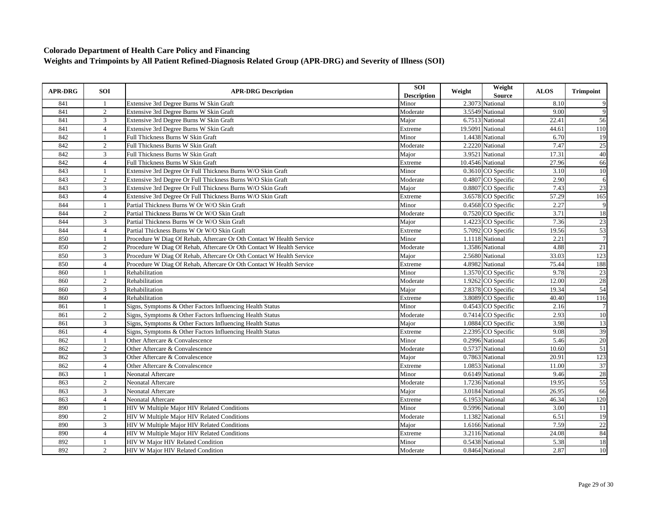| <b>APR-DRG</b> | <b>SOI</b>     | <b>APR-DRG Description</b>                                           | <b>SOI</b><br><b>Description</b> | Weight | Weight<br><b>Source</b> | <b>ALOS</b> | <b>Trimpoint</b> |
|----------------|----------------|----------------------------------------------------------------------|----------------------------------|--------|-------------------------|-------------|------------------|
| 841            |                | Extensive 3rd Degree Burns W Skin Graft                              | Minor                            |        | 2.3073 National         | 8.10        | 9                |
| 841            | $\overline{2}$ | Extensive 3rd Degree Burns W Skin Graft                              | Moderate                         |        | 3.5549 National         | 9.00        | 9                |
| 841            | $\mathbf{3}$   | Extensive 3rd Degree Burns W Skin Graft                              | Major                            |        | 6.7513 National         | 22.41       | 56               |
| 841            | $\overline{4}$ | Extensive 3rd Degree Burns W Skin Graft                              | Extreme                          |        | 19.5091 National        | 44.61       | 110              |
| 842            |                | Full Thickness Burns W Skin Graft                                    | Minor                            |        | 1.4438 National         | 6.70        | 19               |
| 842            | 2              | Full Thickness Burns W Skin Graft                                    | Moderate                         |        | 2.2220 National         | 7.47        | 25               |
| 842            | 3              | Full Thickness Burns W Skin Graft                                    | Major                            |        | 3.9521 National         | 17.31       | 40               |
| 842            | $\overline{4}$ | Full Thickness Burns W Skin Graft                                    | Extreme                          |        | 10.4546 National        | 27.96       | 66               |
| 843            | -1             | Extensive 3rd Degree Or Full Thickness Burns W/O Skin Graft          | Minor                            |        | 0.3610 CO Specific      | 3.10        | 10               |
| 843            | 2              | Extensive 3rd Degree Or Full Thickness Burns W/O Skin Graft          | Moderate                         |        | 0.4807 CO Specific      | 2.90        | 6                |
| 843            | 3              | Extensive 3rd Degree Or Full Thickness Burns W/O Skin Graft          | Major                            |        | 0.8807 CO Specific      | 7.43        | 23               |
| 843            | $\overline{4}$ | Extensive 3rd Degree Or Full Thickness Burns W/O Skin Graft          | Extreme                          |        | 3.6578 CO Specific      | 57.29       | 165              |
| 844            | $\mathbf{1}$   | Partial Thickness Burns W Or W/O Skin Graft                          | Minor                            |        | 0.4568 CO Specific      | 2.27        | 9                |
| 844            | 2              | Partial Thickness Burns W Or W/O Skin Graft                          | Moderate                         |        | 0.7520 CO Specific      | 3.71        | 18               |
| 844            | 3              | Partial Thickness Burns W Or W/O Skin Graft                          | Major                            |        | 1.4223 CO Specific      | 7.36        | 23               |
| 844            | $\overline{4}$ | Partial Thickness Burns W Or W/O Skin Graft                          | Extreme                          |        | 5.7092 CO Specific      | 19.56       | 53               |
| 850            | $\mathbf{1}$   | Procedure W Diag Of Rehab, Aftercare Or Oth Contact W Health Service | Minor                            |        | 1.1118 National         | 2.21        | $\overline{7}$   |
| 850            | 2              | Procedure W Diag Of Rehab, Aftercare Or Oth Contact W Health Service | Moderate                         |        | 1.3586 National         | 4.88        | 21               |
| 850            | 3              | Procedure W Diag Of Rehab, Aftercare Or Oth Contact W Health Service | Major                            |        | 2.5680 National         | 33.03       | 123              |
| 850            | $\overline{4}$ | Procedure W Diag Of Rehab, Aftercare Or Oth Contact W Health Service | Extreme                          |        | 4.8982 National         | 75.44       | 188              |
| 860            | $\mathbf{1}$   | Rehabilitation                                                       | Minor                            |        | 1.3570 CO Specific      | 9.78        | 23               |
| 860            | $\overline{c}$ | Rehabilitation                                                       | Moderate                         |        | 1.9262 CO Specific      | 12.00       | 28               |
| 860            | 3              | Rehabilitation                                                       | Major                            |        | 2.8378 CO Specific      | 19.34       | 54               |
| 860            | $\overline{4}$ | Rehabilitation                                                       | Extreme                          |        | 3.8089 CO Specific      | 40.40       | 116              |
| 861            |                | Signs, Symptoms & Other Factors Influencing Health Status            | Minor                            |        | 0.4543 CO Specific      | 2.16        | $\overline{7}$   |
| 861            | 2              | Signs, Symptoms & Other Factors Influencing Health Status            | Moderate                         |        | 0.7414 CO Specific      | 2.93        | $\overline{10}$  |
| 861            | 3              | Signs, Symptoms & Other Factors Influencing Health Status            | Major                            |        | 1.0884 CO Specific      | 3.98        | 13               |
| 861            | $\overline{4}$ | Signs, Symptoms & Other Factors Influencing Health Status            | Extreme                          |        | 2.2395 CO Specific      | 9.08        | 39               |
| 862            | $\mathbf{1}$   | Other Aftercare & Convalescence                                      | Minor                            |        | 0.2996 National         | 5.46        | 20               |
| 862            | 2              | Other Aftercare & Convalescence                                      | Moderate                         |        | 0.5737 National         | 10.60       | 51               |
| 862            | 3              | Other Aftercare & Convalescence                                      | Major                            |        | 0.7863 National         | 20.91       | 123              |
| 862            | $\overline{4}$ | Other Aftercare & Convalescence                                      | Extreme                          |        | 1.0853 National         | 11.00       | 37               |
| 863            | $\mathbf{1}$   | <b>Neonatal Aftercare</b>                                            | Minor                            |        | 0.6149 National         | 9.46        | 28               |
| 863            | 2              | <b>Neonatal Aftercare</b>                                            | Moderate                         |        | 1.7236 National         | 19.95       | 55               |
| 863            | 3              | Neonatal Aftercare                                                   | Major                            |        | 3.0184 National         | 26.95       | 66               |
| 863            | $\overline{4}$ | <b>Neonatal Aftercare</b>                                            | Extreme                          |        | 6.1953 National         | 46.34       | 120              |
| 890            | $\mathbf{1}$   | HIV W Multiple Major HIV Related Conditions                          | Minor                            |        | 0.5996 National         | 3.00        | 11               |
| 890            | 2              | HIV W Multiple Major HIV Related Conditions                          | Moderate                         |        | 1.1382 National         | 6.51        | 19               |
| 890            | $\overline{3}$ | HIV W Multiple Major HIV Related Conditions                          | Major                            |        | 1.6166 National         | 7.59        | 22               |
| 890            | $\overline{4}$ | HIV W Multiple Major HIV Related Conditions                          | Extreme                          |        | 3.2116 National         | 24.08       | 84               |
| 892            | $\mathbf{1}$   | HIV W Major HIV Related Condition                                    | Minor                            |        | 0.5438 National         | 5.38        | $\overline{18}$  |
| 892            | $\overline{2}$ | HIV W Major HIV Related Condition                                    | Moderate                         |        | 0.8464 National         | 2.87        | 10               |